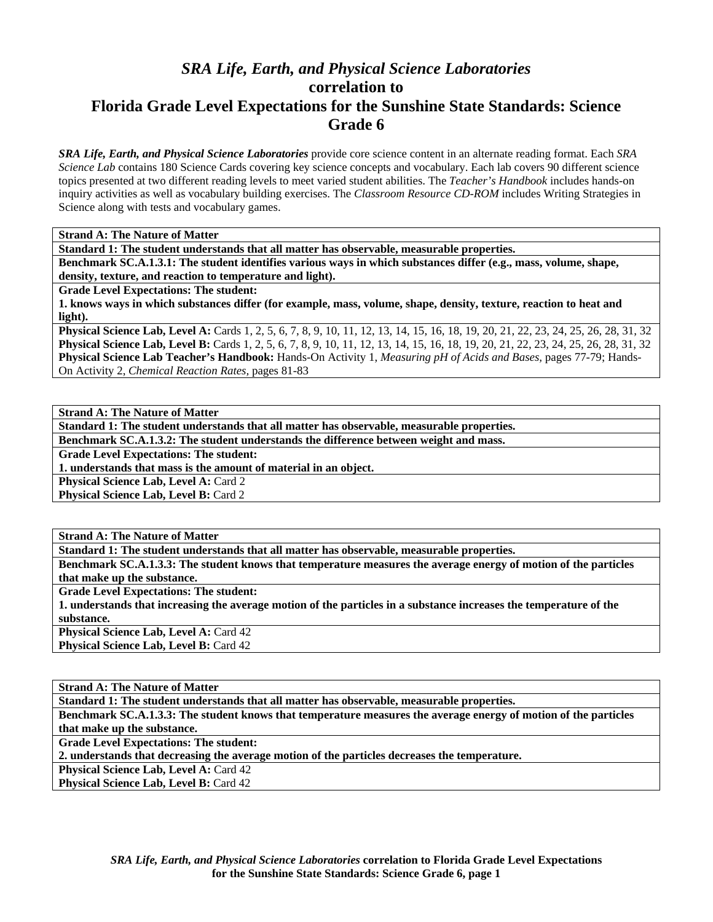## *SRA Life, Earth, and Physical Science Laboratories*  **correlation to Florida Grade Level Expectations for the Sunshine State Standards: Science Grade 6**

*SRA Life, Earth, and Physical Science Laboratories* provide core science content in an alternate reading format. Each *SRA Science Lab* contains 180 Science Cards covering key science concepts and vocabulary. Each lab covers 90 different science topics presented at two different reading levels to meet varied student abilities. The *Teacher's Handbook* includes hands-on inquiry activities as well as vocabulary building exercises. The *Classroom Resource CD-ROM* includes Writing Strategies in Science along with tests and vocabulary games.

**Strand A: The Nature of Matter** 

**Standard 1: The student understands that all matter has observable, measurable properties.** 

**Benchmark SC.A.1.3.1: The student identifies various ways in which substances differ (e.g., mass, volume, shape, density, texture, and reaction to temperature and light).** 

**Grade Level Expectations: The student:** 

**1. knows ways in which substances differ (for example, mass, volume, shape, density, texture, reaction to heat and light).** 

**Physical Science Lab, Level A:** Cards 1, 2, 5, 6, 7, 8, 9, 10, 11, 12, 13, 14, 15, 16, 18, 19, 20, 21, 22, 23, 24, 25, 26, 28, 31, 32 **Physical Science Lab, Level B:** Cards 1, 2, 5, 6, 7, 8, 9, 10, 11, 12, 13, 14, 15, 16, 18, 19, 20, 21, 22, 23, 24, 25, 26, 28, 31, 32 **Physical Science Lab Teacher's Handbook:** Hands-On Activity 1, *Measuring pH of Acids and Bases,* pages 77-79; Hands-On Activity 2, *Chemical Reaction Rates,* pages 81-83

**Strand A: The Nature of Matter** 

**Standard 1: The student understands that all matter has observable, measurable properties.** 

**Benchmark SC.A.1.3.2: The student understands the difference between weight and mass.** 

**Grade Level Expectations: The student:** 

**1. understands that mass is the amount of material in an object.** 

**Physical Science Lab, Level A: Card 2 Physical Science Lab, Level B: Card 2** 

**Strand A: The Nature of Matter** 

**Standard 1: The student understands that all matter has observable, measurable properties.** 

**Benchmark SC.A.1.3.3: The student knows that temperature measures the average energy of motion of the particles that make up the substance.** 

**Grade Level Expectations: The student:** 

**1. understands that increasing the average motion of the particles in a substance increases the temperature of the substance.** 

**Physical Science Lab, Level A: Card 42 Physical Science Lab, Level B: Card 42** 

**Strand A: The Nature of Matter** 

**Standard 1: The student understands that all matter has observable, measurable properties.** 

**Benchmark SC.A.1.3.3: The student knows that temperature measures the average energy of motion of the particles that make up the substance.** 

**Grade Level Expectations: The student:** 

**2. understands that decreasing the average motion of the particles decreases the temperature.** 

**Physical Science Lab, Level A: Card 42** 

**Physical Science Lab, Level B: Card 42**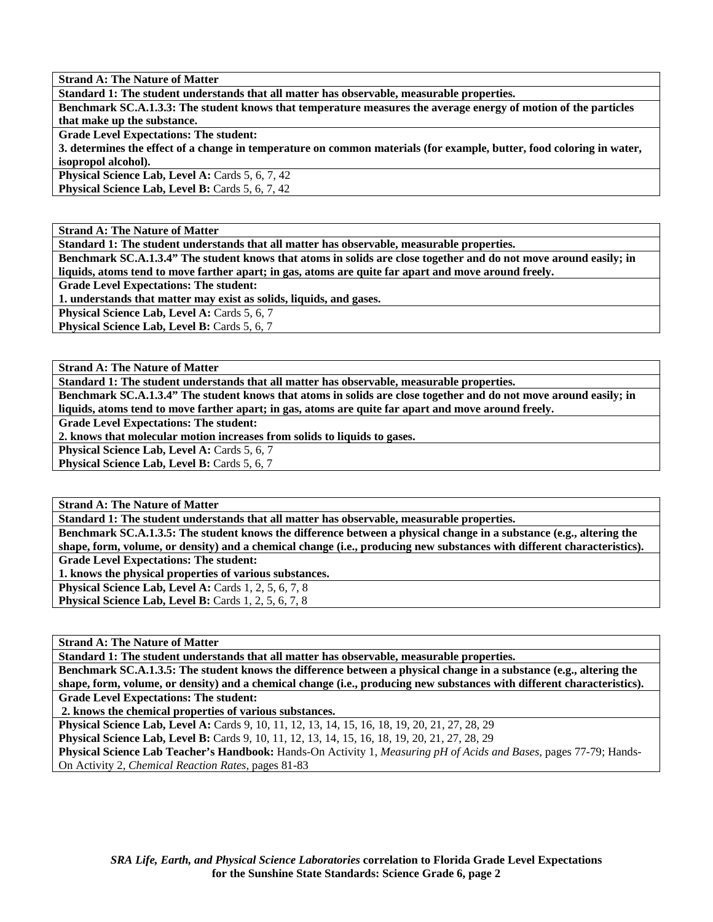**Strand A: The Nature of Matter Standard 1: The student understands that all matter has observable, measurable properties. Benchmark SC.A.1.3.3: The student knows that temperature measures the average energy of motion of the particles that make up the substance. Grade Level Expectations: The student: 3. determines the effect of a change in temperature on common materials (for example, butter, food coloring in water, isopropol alcohol).**  Physical Science Lab, Level A: Cards 5, 6, 7, 42 **Physical Science Lab, Level B: Cards 5, 6, 7, 42** 

**Strand A: The Nature of Matter** 

**Standard 1: The student understands that all matter has observable, measurable properties.** 

**Benchmark SC.A.1.3.4" The student knows that atoms in solids are close together and do not move around easily; in liquids, atoms tend to move farther apart; in gas, atoms are quite far apart and move around freely.** 

**Grade Level Expectations: The student:** 

**1. understands that matter may exist as solids, liquids, and gases.** 

Physical Science Lab, Level A: Cards 5, 6, 7

**Physical Science Lab, Level B: Cards 5, 6, 7** 

**Strand A: The Nature of Matter** 

**Standard 1: The student understands that all matter has observable, measurable properties.** 

**Benchmark SC.A.1.3.4" The student knows that atoms in solids are close together and do not move around easily; in liquids, atoms tend to move farther apart; in gas, atoms are quite far apart and move around freely.** 

**Grade Level Expectations: The student:** 

**2. knows that molecular motion increases from solids to liquids to gases.** 

**Physical Science Lab, Level A: Cards 5, 6, 7** 

**Physical Science Lab, Level B: Cards 5, 6, 7** 

**Strand A: The Nature of Matter** 

**Standard 1: The student understands that all matter has observable, measurable properties.** 

**Benchmark SC.A.1.3.5: The student knows the difference between a physical change in a substance (e.g., altering the shape, form, volume, or density) and a chemical change (i.e., producing new substances with different characteristics). Grade Level Expectations: The student:** 

**1. knows the physical properties of various substances.** 

**Physical Science Lab, Level A: Cards 1, 2, 5, 6, 7, 8** 

**Physical Science Lab, Level B:** Cards 1, 2, 5, 6, 7, 8

**Strand A: The Nature of Matter** 

**Standard 1: The student understands that all matter has observable, measurable properties.** 

**Benchmark SC.A.1.3.5: The student knows the difference between a physical change in a substance (e.g., altering the shape, form, volume, or density) and a chemical change (i.e., producing new substances with different characteristics). Grade Level Expectations: The student:** 

 **2. knows the chemical properties of various substances.** 

**Physical Science Lab, Level A:** Cards 9, 10, 11, 12, 13, 14, 15, 16, 18, 19, 20, 21, 27, 28, 29

**Physical Science Lab, Level B:** Cards 9, 10, 11, 12, 13, 14, 15, 16, 18, 19, 20, 21, 27, 28, 29

**Physical Science Lab Teacher's Handbook:** Hands-On Activity 1, *Measuring pH of Acids and Bases,* pages 77-79; Hands-On Activity 2, *Chemical Reaction Rates,* pages 81-83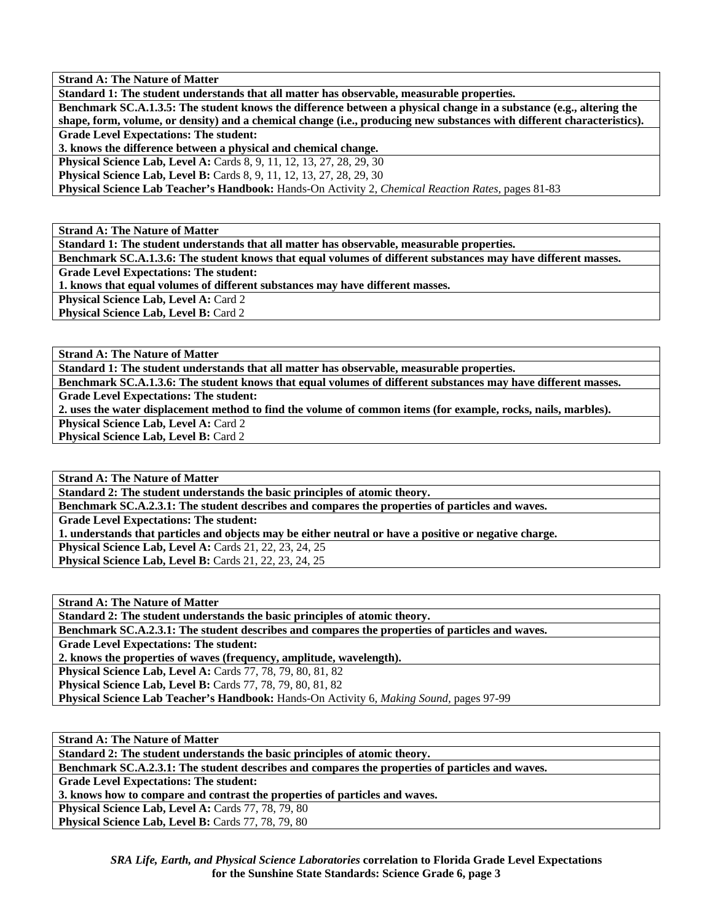**Strand A: The Nature of Matter** 

**Standard 1: The student understands that all matter has observable, measurable properties.** 

**Benchmark SC.A.1.3.5: The student knows the difference between a physical change in a substance (e.g., altering the shape, form, volume, or density) and a chemical change (i.e., producing new substances with different characteristics).** 

**Grade Level Expectations: The student:** 

**3. knows the difference between a physical and chemical change.** 

**Physical Science Lab, Level A: Cards 8, 9, 11, 12, 13, 27, 28, 29, 30** 

**Physical Science Lab, Level B:** Cards 8, 9, 11, 12, 13, 27, 28, 29, 30

**Physical Science Lab Teacher's Handbook:** Hands-On Activity 2, *Chemical Reaction Rates,* pages 81-83

**Strand A: The Nature of Matter** 

**Standard 1: The student understands that all matter has observable, measurable properties.** 

**Benchmark SC.A.1.3.6: The student knows that equal volumes of different substances may have different masses.** 

**Grade Level Expectations: The student:** 

**1. knows that equal volumes of different substances may have different masses.** 

**Physical Science Lab, Level A: Card 2** 

**Physical Science Lab, Level B: Card 2** 

**Strand A: The Nature of Matter** 

**Standard 1: The student understands that all matter has observable, measurable properties.** 

**Benchmark SC.A.1.3.6: The student knows that equal volumes of different substances may have different masses. Grade Level Expectations: The student:** 

**2. uses the water displacement method to find the volume of common items (for example, rocks, nails, marbles).** 

**Physical Science Lab, Level A: Card 2 Physical Science Lab, Level B: Card 2** 

**Strand A: The Nature of Matter** 

**Standard 2: The student understands the basic principles of atomic theory.** 

**Benchmark SC.A.2.3.1: The student describes and compares the properties of particles and waves.** 

**Grade Level Expectations: The student:** 

**1. understands that particles and objects may be either neutral or have a positive or negative charge.** 

**Physical Science Lab, Level A:** Cards 21, 22, 23, 24, 25 **Physical Science Lab, Level B:** Cards 21, 22, 23, 24, 25

**Strand A: The Nature of Matter** 

**Standard 2: The student understands the basic principles of atomic theory.** 

**Benchmark SC.A.2.3.1: The student describes and compares the properties of particles and waves.** 

**Grade Level Expectations: The student:** 

**2. knows the properties of waves (frequency, amplitude, wavelength).** 

**Physical Science Lab, Level A:** Cards 77, 78, 79, 80, 81, 82

**Physical Science Lab, Level B:** Cards 77, 78, 79, 80, 81, 82

**Physical Science Lab Teacher's Handbook:** Hands-On Activity 6, *Making Sound,* pages 97-99

**Strand A: The Nature of Matter** 

**Standard 2: The student understands the basic principles of atomic theory.** 

**Benchmark SC.A.2.3.1: The student describes and compares the properties of particles and waves.** 

**Grade Level Expectations: The student:** 

**3. knows how to compare and contrast the properties of particles and waves.** 

**Physical Science Lab, Level A: Cards 77, 78, 79, 80** 

**Physical Science Lab, Level B: Cards 77, 78, 79, 80**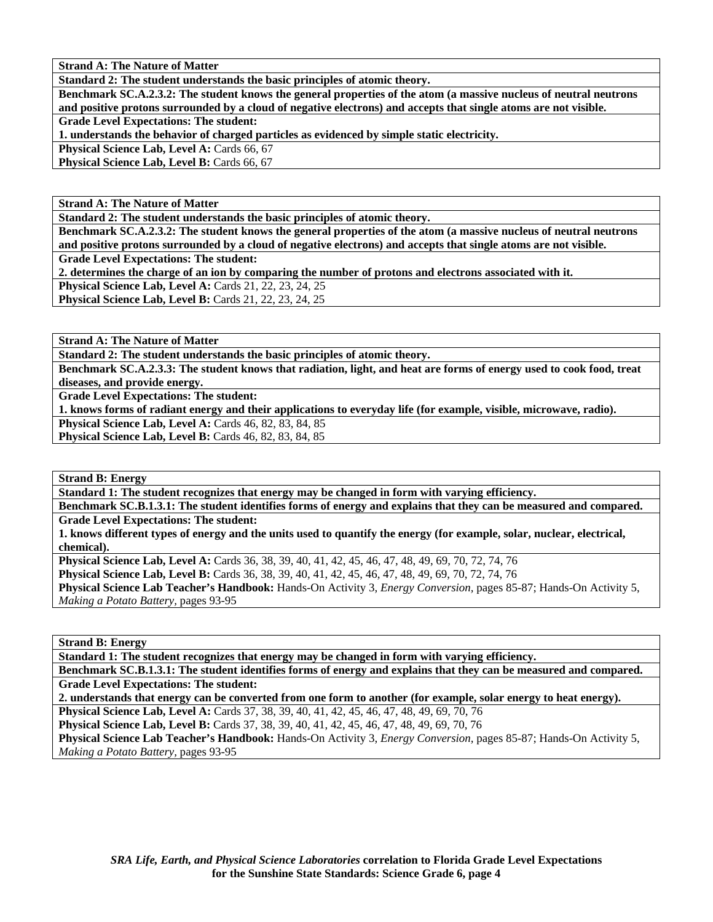**Strand A: The Nature of Matter** 

**Standard 2: The student understands the basic principles of atomic theory.** 

**Benchmark SC.A.2.3.2: The student knows the general properties of the atom (a massive nucleus of neutral neutrons and positive protons surrounded by a cloud of negative electrons) and accepts that single atoms are not visible.** 

**Grade Level Expectations: The student:** 

**1. understands the behavior of charged particles as evidenced by simple static electricity.** 

Physical Science Lab, Level A: Cards 66, 67

**Physical Science Lab, Level B: Cards 66, 67** 

**Strand A: The Nature of Matter** 

**Standard 2: The student understands the basic principles of atomic theory.** 

**Benchmark SC.A.2.3.2: The student knows the general properties of the atom (a massive nucleus of neutral neutrons and positive protons surrounded by a cloud of negative electrons) and accepts that single atoms are not visible. Grade Level Expectations: The student:** 

**2. determines the charge of an ion by comparing the number of protons and electrons associated with it.** 

**Physical Science Lab, Level A: Cards 21, 22, 23, 24, 25** 

**Physical Science Lab, Level B:** Cards 21, 22, 23, 24, 25

**Strand A: The Nature of Matter** 

**Standard 2: The student understands the basic principles of atomic theory.** 

**Benchmark SC.A.2.3.3: The student knows that radiation, light, and heat are forms of energy used to cook food, treat diseases, and provide energy.** 

**Grade Level Expectations: The student:** 

**1. knows forms of radiant energy and their applications to everyday life (for example, visible, microwave, radio).** 

**Physical Science Lab, Level A:** Cards 46, 82, 83, 84, 85 **Physical Science Lab, Level B:** Cards 46, 82, 83, 84, 85

**Strand B: Energy** 

**Standard 1: The student recognizes that energy may be changed in form with varying efficiency.** 

**Benchmark SC.B.1.3.1: The student identifies forms of energy and explains that they can be measured and compared. Grade Level Expectations: The student:** 

**1. knows different types of energy and the units used to quantify the energy (for example, solar, nuclear, electrical, chemical).** 

**Physical Science Lab, Level A:** Cards 36, 38, 39, 40, 41, 42, 45, 46, 47, 48, 49, 69, 70, 72, 74, 76

**Physical Science Lab, Level B:** Cards 36, 38, 39, 40, 41, 42, 45, 46, 47, 48, 49, 69, 70, 72, 74, 76

**Physical Science Lab Teacher's Handbook:** Hands-On Activity 3, *Energy Conversion,* pages 85-87; Hands-On Activity 5, *Making a Potato Battery,* pages 93-95

**Strand B: Energy** 

**Standard 1: The student recognizes that energy may be changed in form with varying efficiency.** 

**Benchmark SC.B.1.3.1: The student identifies forms of energy and explains that they can be measured and compared. Grade Level Expectations: The student:** 

**2. understands that energy can be converted from one form to another (for example, solar energy to heat energy).** 

**Physical Science Lab, Level A:** Cards 37, 38, 39, 40, 41, 42, 45, 46, 47, 48, 49, 69, 70, 76

**Physical Science Lab, Level B:** Cards 37, 38, 39, 40, 41, 42, 45, 46, 47, 48, 49, 69, 70, 76

**Physical Science Lab Teacher's Handbook:** Hands-On Activity 3, *Energy Conversion,* pages 85-87; Hands-On Activity 5, *Making a Potato Battery,* pages 93-95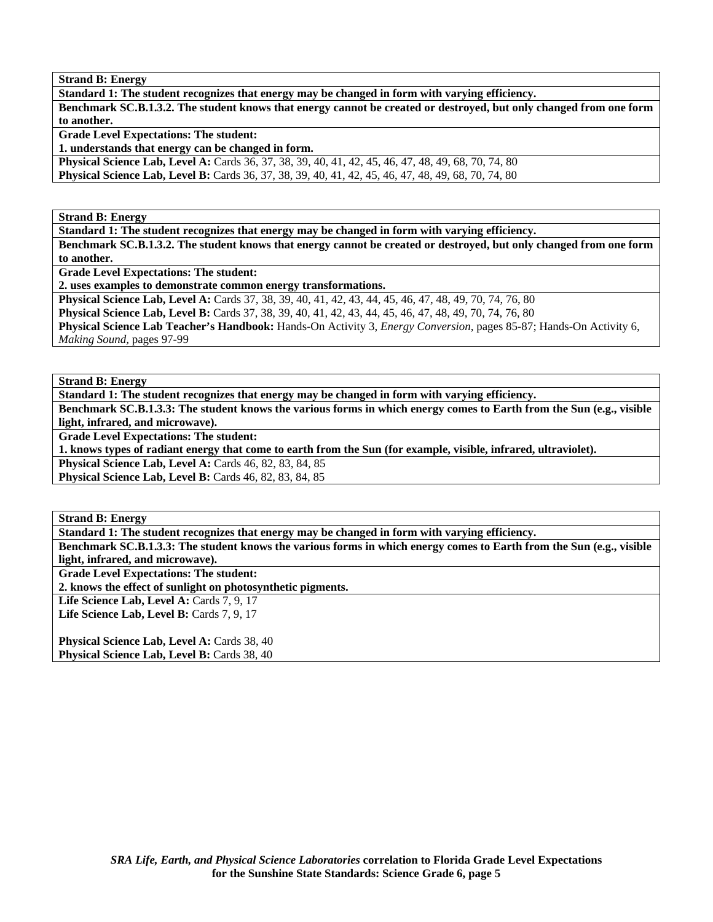**Strand B: Energy** 

**Standard 1: The student recognizes that energy may be changed in form with varying efficiency. Benchmark SC.B.1.3.2. The student knows that energy cannot be created or destroyed, but only changed from one form to another.** 

**Grade Level Expectations: The student: 1. understands that energy can be changed in form.** 

**Physical Science Lab, Level A:** Cards 36, 37, 38, 39, 40, 41, 42, 45, 46, 47, 48, 49, 68, 70, 74, 80 **Physical Science Lab, Level B:** Cards 36, 37, 38, 39, 40, 41, 42, 45, 46, 47, 48, 49, 68, 70, 74, 80

**Strand B: Energy** 

**Standard 1: The student recognizes that energy may be changed in form with varying efficiency.** 

**Benchmark SC.B.1.3.2. The student knows that energy cannot be created or destroyed, but only changed from one form to another.** 

**Grade Level Expectations: The student:** 

**2. uses examples to demonstrate common energy transformations.** 

**Physical Science Lab, Level A:** Cards 37, 38, 39, 40, 41, 42, 43, 44, 45, 46, 47, 48, 49, 70, 74, 76, 80

**Physical Science Lab, Level B:** Cards 37, 38, 39, 40, 41, 42, 43, 44, 45, 46, 47, 48, 49, 70, 74, 76, 80

**Physical Science Lab Teacher's Handbook:** Hands-On Activity 3, *Energy Conversion,* pages 85-87; Hands-On Activity 6, *Making Sound,* pages 97-99

**Strand B: Energy** 

**Standard 1: The student recognizes that energy may be changed in form with varying efficiency.** 

**Benchmark SC.B.1.3.3: The student knows the various forms in which energy comes to Earth from the Sun (e.g., visible light, infrared, and microwave).** 

**Grade Level Expectations: The student:** 

**1. knows types of radiant energy that come to earth from the Sun (for example, visible, infrared, ultraviolet).** 

**Physical Science Lab, Level A: Cards 46, 82, 83, 84, 85** 

**Physical Science Lab, Level B: Cards 46, 82, 83, 84, 85** 

**Strand B: Energy** 

**Standard 1: The student recognizes that energy may be changed in form with varying efficiency.** 

**Benchmark SC.B.1.3.3: The student knows the various forms in which energy comes to Earth from the Sun (e.g., visible light, infrared, and microwave).** 

**Grade Level Expectations: The student:** 

**2. knows the effect of sunlight on photosynthetic pigments.** 

Life Science Lab, Level A: Cards 7, 9, 17

Life Science Lab, Level B: Cards 7, 9, 17

Physical Science Lab, Level A: Cards 38, 40 Physical Science Lab, Level B: Cards 38, 40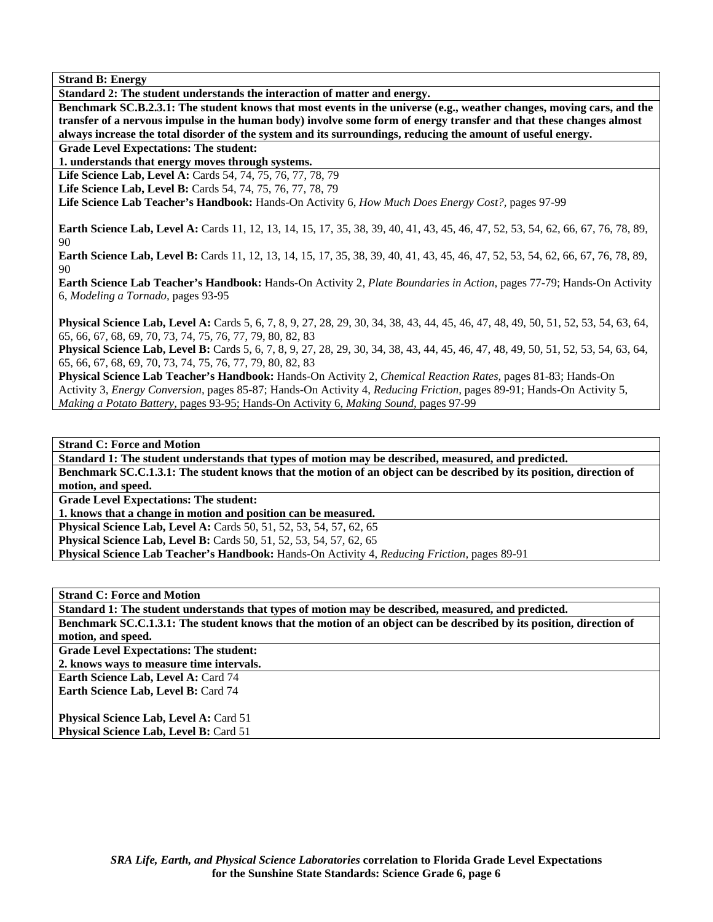**Strand B: Energy** 

**Standard 2: The student understands the interaction of matter and energy.** 

**Benchmark SC.B.2.3.1: The student knows that most events in the universe (e.g., weather changes, moving cars, and the transfer of a nervous impulse in the human body) involve some form of energy transfer and that these changes almost always increase the total disorder of the system and its surroundings, reducing the amount of useful energy.** 

**Grade Level Expectations: The student:** 

**1. understands that energy moves through systems.** 

**Life Science Lab, Level A:** Cards 54, 74, 75, 76, 77, 78, 79

**Life Science Lab, Level B:** Cards 54, 74, 75, 76, 77, 78, 79

**Life Science Lab Teacher's Handbook:** Hands-On Activity 6, *How Much Does Energy Cost?,* pages 97-99

**Earth Science Lab, Level A:** Cards 11, 12, 13, 14, 15, 17, 35, 38, 39, 40, 41, 43, 45, 46, 47, 52, 53, 54, 62, 66, 67, 76, 78, 89, 90

**Earth Science Lab, Level B:** Cards 11, 12, 13, 14, 15, 17, 35, 38, 39, 40, 41, 43, 45, 46, 47, 52, 53, 54, 62, 66, 67, 76, 78, 89, 90

**Earth Science Lab Teacher's Handbook:** Hands-On Activity 2, *Plate Boundaries in Action,* pages 77-79; Hands-On Activity 6, *Modeling a Tornado,* pages 93-95

**Physical Science Lab, Level A:** Cards 5, 6, 7, 8, 9, 27, 28, 29, 30, 34, 38, 43, 44, 45, 46, 47, 48, 49, 50, 51, 52, 53, 54, 63, 64, 65, 66, 67, 68, 69, 70, 73, 74, 75, 76, 77, 79, 80, 82, 83

**Physical Science Lab, Level B:** Cards 5, 6, 7, 8, 9, 27, 28, 29, 30, 34, 38, 43, 44, 45, 46, 47, 48, 49, 50, 51, 52, 53, 54, 63, 64, 65, 66, 67, 68, 69, 70, 73, 74, 75, 76, 77, 79, 80, 82, 83

**Physical Science Lab Teacher's Handbook:** Hands-On Activity 2, *Chemical Reaction Rates,* pages 81-83; Hands-On Activity 3, *Energy Conversion,* pages 85-87; Hands-On Activity 4, *Reducing Friction,* pages 89-91; Hands-On Activity 5, *Making a Potato Battery,* pages 93-95; Hands-On Activity 6, *Making Sound,* pages 97-99

**Strand C: Force and Motion** 

**Standard 1: The student understands that types of motion may be described, measured, and predicted. Benchmark SC.C.1.3.1: The student knows that the motion of an object can be described by its position, direction of motion, and speed.** 

**Grade Level Expectations: The student:** 

**1. knows that a change in motion and position can be measured.** 

**Physical Science Lab, Level A: Cards 50, 51, 52, 53, 54, 57, 62, 65** 

**Physical Science Lab, Level B:** Cards 50, 51, 52, 53, 54, 57, 62, 65

**Physical Science Lab Teacher's Handbook:** Hands-On Activity 4, *Reducing Friction,* pages 89-91

**Strand C: Force and Motion** 

**Standard 1: The student understands that types of motion may be described, measured, and predicted.** 

**Benchmark SC.C.1.3.1: The student knows that the motion of an object can be described by its position, direction of motion, and speed.** 

**Grade Level Expectations: The student:** 

**2. knows ways to measure time intervals.** 

**Earth Science Lab, Level A:** Card 74 Earth Science Lab, Level B: Card 74

**Physical Science Lab, Level A: Card 51 Physical Science Lab, Level B: Card 51**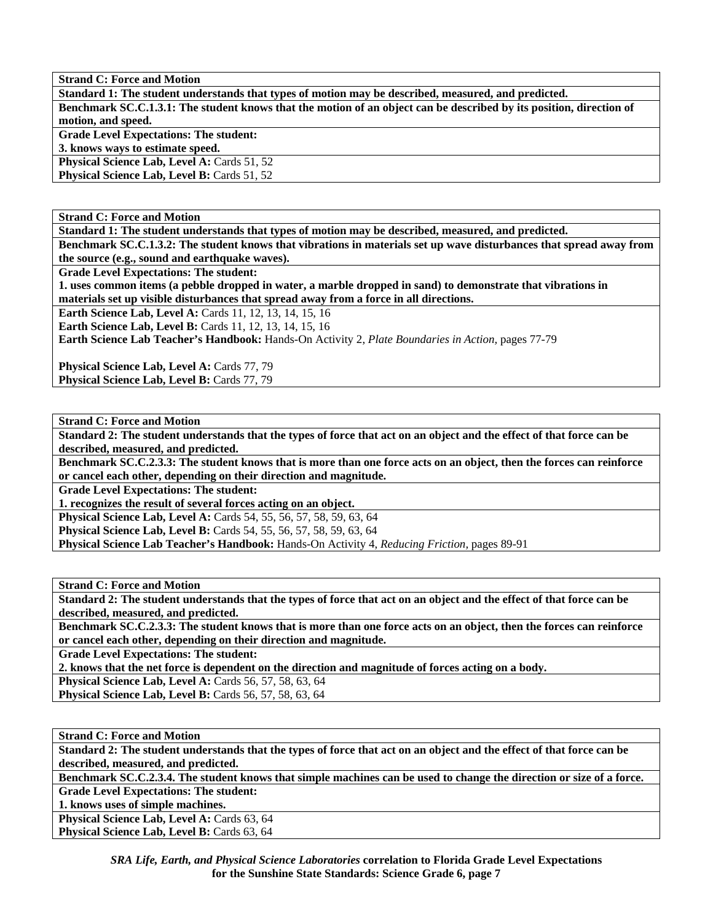**Standard 1: The student understands that types of motion may be described, measured, and predicted. Benchmark SC.C.1.3.1: The student knows that the motion of an object can be described by its position, direction of motion, and speed. Grade Level Expectations: The student: 3. knows ways to estimate speed.**  Physical Science Lab, Level A: Cards 51, 52

**Physical Science Lab, Level B: Cards 51, 52** 

**Strand C: Force and Motion** 

**Standard 1: The student understands that types of motion may be described, measured, and predicted.** 

**Benchmark SC.C.1.3.2: The student knows that vibrations in materials set up wave disturbances that spread away from the source (e.g., sound and earthquake waves).** 

**Grade Level Expectations: The student:** 

**1. uses common items (a pebble dropped in water, a marble dropped in sand) to demonstrate that vibrations in materials set up visible disturbances that spread away from a force in all directions.** 

**Earth Science Lab, Level A:** Cards 11, 12, 13, 14, 15, 16

**Earth Science Lab, Level B:** Cards 11, 12, 13, 14, 15, 16

**Earth Science Lab Teacher's Handbook:** Hands-On Activity 2, *Plate Boundaries in Action,* pages 77-79

Physical Science Lab, Level A: Cards 77, 79 Physical Science Lab, Level B: Cards 77, 79

**Strand C: Force and Motion** 

**Standard 2: The student understands that the types of force that act on an object and the effect of that force can be described, measured, and predicted.** 

**Benchmark SC.C.2.3.3: The student knows that is more than one force acts on an object, then the forces can reinforce or cancel each other, depending on their direction and magnitude.** 

**Grade Level Expectations: The student:** 

**1. recognizes the result of several forces acting on an object.** 

**Physical Science Lab, Level A:** Cards 54, 55, 56, 57, 58, 59, 63, 64 **Physical Science Lab, Level B:** Cards 54, 55, 56, 57, 58, 59, 63, 64

**Physical Science Lab Teacher's Handbook:** Hands-On Activity 4, *Reducing Friction,* pages 89-91

**Strand C: Force and Motion** 

**Standard 2: The student understands that the types of force that act on an object and the effect of that force can be described, measured, and predicted.** 

**Benchmark SC.C.2.3.3: The student knows that is more than one force acts on an object, then the forces can reinforce or cancel each other, depending on their direction and magnitude.** 

**Grade Level Expectations: The student:** 

**2. knows that the net force is dependent on the direction and magnitude of forces acting on a body.** 

**Physical Science Lab, Level A:** Cards 56, 57, 58, 63, 64

**Physical Science Lab, Level B:** Cards 56, 57, 58, 63, 64

**Strand C: Force and Motion** 

**Standard 2: The student understands that the types of force that act on an object and the effect of that force can be described, measured, and predicted.** 

**Benchmark SC.C.2.3.4. The student knows that simple machines can be used to change the direction or size of a force.** 

**Grade Level Expectations: The student:** 

**1. knows uses of simple machines.** 

Physical Science Lab, Level A: Cards 63, 64 Physical Science Lab, Level B: Cards 63, 64

> *SRA Life, Earth, and Physical Science Laboratories* **correlation to Florida Grade Level Expectations for the Sunshine State Standards: Science Grade 6, page 7**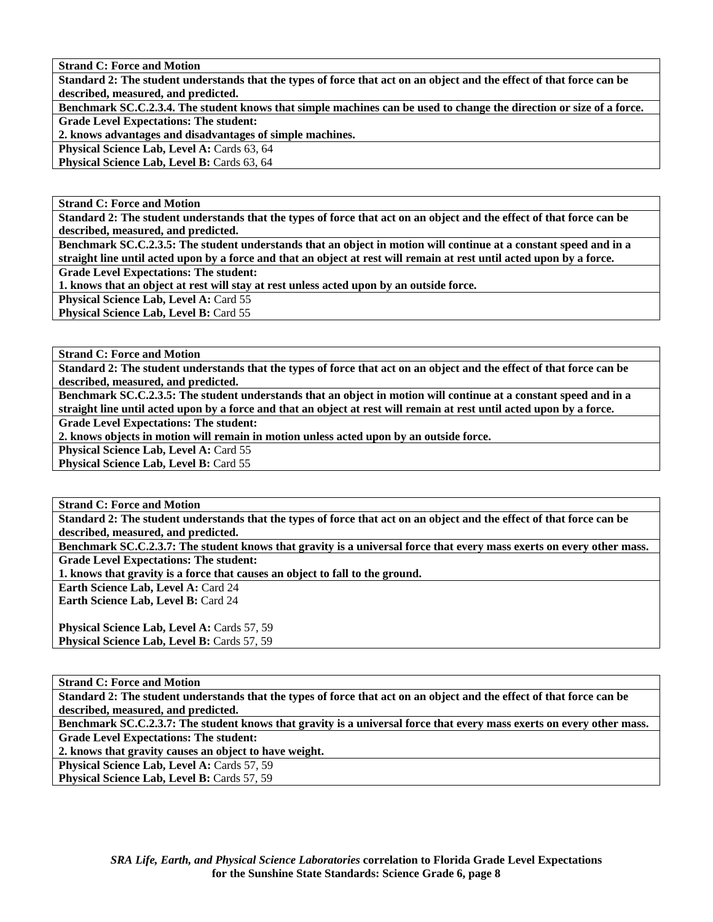**Standard 2: The student understands that the types of force that act on an object and the effect of that force can be described, measured, and predicted.** 

**Benchmark SC.C.2.3.4. The student knows that simple machines can be used to change the direction or size of a force. Grade Level Expectations: The student:** 

**2. knows advantages and disadvantages of simple machines.** 

**Physical Science Lab, Level A: Cards 63, 64** 

**Physical Science Lab, Level B: Cards 63, 64** 

**Strand C: Force and Motion** 

**Standard 2: The student understands that the types of force that act on an object and the effect of that force can be described, measured, and predicted.** 

**Benchmark SC.C.2.3.5: The student understands that an object in motion will continue at a constant speed and in a straight line until acted upon by a force and that an object at rest will remain at rest until acted upon by a force.** 

**Grade Level Expectations: The student:** 

**1. knows that an object at rest will stay at rest unless acted upon by an outside force.** 

**Physical Science Lab, Level A: Card 55** 

**Physical Science Lab, Level B: Card 55** 

**Strand C: Force and Motion** 

**Standard 2: The student understands that the types of force that act on an object and the effect of that force can be described, measured, and predicted.** 

**Benchmark SC.C.2.3.5: The student understands that an object in motion will continue at a constant speed and in a straight line until acted upon by a force and that an object at rest will remain at rest until acted upon by a force.** 

**Grade Level Expectations: The student:** 

**2. knows objects in motion will remain in motion unless acted upon by an outside force.** 

Physical Science Lab, Level A: Card 55

**Physical Science Lab, Level B: Card 55** 

**Strand C: Force and Motion** 

**Standard 2: The student understands that the types of force that act on an object and the effect of that force can be described, measured, and predicted.** 

**Benchmark SC.C.2.3.7: The student knows that gravity is a universal force that every mass exerts on every other mass. Grade Level Expectations: The student:** 

**1. knows that gravity is a force that causes an object to fall to the ground.** 

**Earth Science Lab, Level A: Card 24** 

**Earth Science Lab, Level B:** Card 24

**Physical Science Lab, Level A: Cards 57, 59 Physical Science Lab, Level B: Cards 57, 59** 

## **Strand C: Force and Motion**

**Standard 2: The student understands that the types of force that act on an object and the effect of that force can be described, measured, and predicted.** 

**Benchmark SC.C.2.3.7: The student knows that gravity is a universal force that every mass exerts on every other mass.** 

**Grade Level Expectations: The student:** 

**2. knows that gravity causes an object to have weight.** 

**Physical Science Lab, Level A: Cards 57, 59** Physical Science Lab, Level B: Cards 57, 59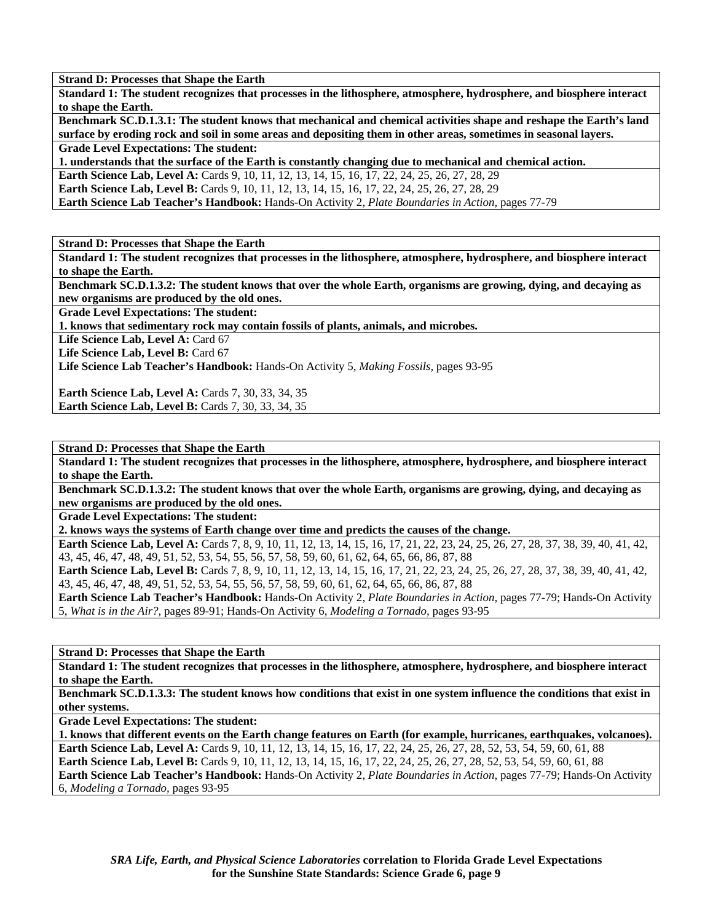**Standard 1: The student recognizes that processes in the lithosphere, atmosphere, hydrosphere, and biosphere interact to shape the Earth.** 

**Benchmark SC.D.1.3.1: The student knows that mechanical and chemical activities shape and reshape the Earth's land surface by eroding rock and soil in some areas and depositing them in other areas, sometimes in seasonal layers.** 

**Grade Level Expectations: The student:** 

**1. understands that the surface of the Earth is constantly changing due to mechanical and chemical action.** 

**Earth Science Lab, Level A: Cards 9, 10, 11, 12, 13, 14, 15, 16, 17, 22, 24, 25, 26, 27, 28, 29** 

**Earth Science Lab, Level B:** Cards 9, 10, 11, 12, 13, 14, 15, 16, 17, 22, 24, 25, 26, 27, 28, 29

**Earth Science Lab Teacher's Handbook:** Hands-On Activity 2, *Plate Boundaries in Action,* pages 77-79

**Strand D: Processes that Shape the Earth** 

**Standard 1: The student recognizes that processes in the lithosphere, atmosphere, hydrosphere, and biosphere interact to shape the Earth.** 

**Benchmark SC.D.1.3.2: The student knows that over the whole Earth, organisms are growing, dying, and decaying as new organisms are produced by the old ones.** 

**Grade Level Expectations: The student:** 

**1. knows that sedimentary rock may contain fossils of plants, animals, and microbes.** 

Life Science Lab, Level A: Card 67

Life Science Lab, Level B: Card 67

**Life Science Lab Teacher's Handbook:** Hands-On Activity 5, *Making Fossils,* pages 93-95

**Earth Science Lab, Level A: Cards 7, 30, 33, 34, 35 Earth Science Lab, Level B: Cards 7, 30, 33, 34, 35** 

**Strand D: Processes that Shape the Earth** 

**Standard 1: The student recognizes that processes in the lithosphere, atmosphere, hydrosphere, and biosphere interact to shape the Earth.** 

**Benchmark SC.D.1.3.2: The student knows that over the whole Earth, organisms are growing, dying, and decaying as new organisms are produced by the old ones.** 

**Grade Level Expectations: The student:** 

**2. knows ways the systems of Earth change over time and predicts the causes of the change.** 

**Earth Science Lab, Level A:** Cards 7, 8, 9, 10, 11, 12, 13, 14, 15, 16, 17, 21, 22, 23, 24, 25, 26, 27, 28, 37, 38, 39, 40, 41, 42, 43, 45, 46, 47, 48, 49, 51, 52, 53, 54, 55, 56, 57, 58, 59, 60, 61, 62, 64, 65, 66, 86, 87, 88

Earth Science Lab, Level B: Cards 7, 8, 9, 10, 11, 12, 13, 14, 15, 16, 17, 21, 22, 23, 24, 25, 26, 27, 28, 37, 38, 39, 40, 41, 42, 43, 45, 46, 47, 48, 49, 51, 52, 53, 54, 55, 56, 57, 58, 59, 60, 61, 62, 64, 65, 66, 86, 87, 88

**Earth Science Lab Teacher's Handbook:** Hands-On Activity 2, *Plate Boundaries in Action,* pages 77-79; Hands-On Activity 5, *What is in the Air?,* pages 89-91; Hands-On Activity 6, *Modeling a Tornado,* pages 93-95

**Strand D: Processes that Shape the Earth** 

**Standard 1: The student recognizes that processes in the lithosphere, atmosphere, hydrosphere, and biosphere interact to shape the Earth.** 

**Benchmark SC.D.1.3.3: The student knows how conditions that exist in one system influence the conditions that exist in other systems.** 

**Grade Level Expectations: The student:** 

**1. knows that different events on the Earth change features on Earth (for example, hurricanes, earthquakes, volcanoes). Earth Science Lab, Level A:** Cards 9, 10, 11, 12, 13, 14, 15, 16, 17, 22, 24, 25, 26, 27, 28, 52, 53, 54, 59, 60, 61, 88 **Earth Science Lab, Level B:** Cards 9, 10, 11, 12, 13, 14, 15, 16, 17, 22, 24, 25, 26, 27, 28, 52, 53, 54, 59, 60, 61, 88 **Earth Science Lab Teacher's Handbook:** Hands-On Activity 2, *Plate Boundaries in Action,* pages 77-79; Hands-On Activity 6, *Modeling a Tornado,* pages 93-95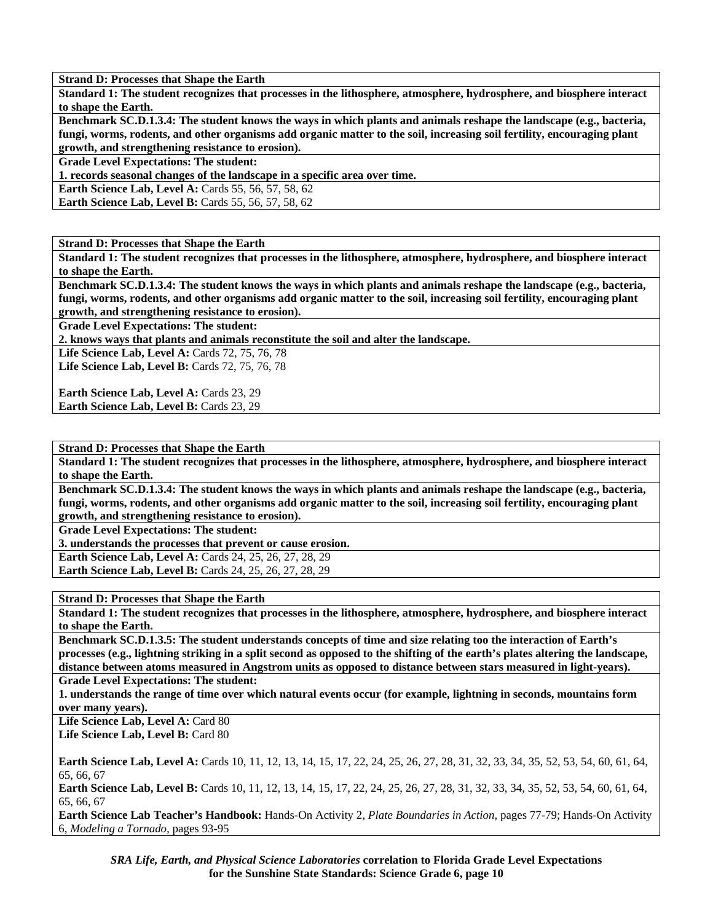**Standard 1: The student recognizes that processes in the lithosphere, atmosphere, hydrosphere, and biosphere interact to shape the Earth.** 

**Benchmark SC.D.1.3.4: The student knows the ways in which plants and animals reshape the landscape (e.g., bacteria, fungi, worms, rodents, and other organisms add organic matter to the soil, increasing soil fertility, encouraging plant growth, and strengthening resistance to erosion).** 

**Grade Level Expectations: The student:** 

**1. records seasonal changes of the landscape in a specific area over time.** 

**Earth Science Lab, Level A: Cards 55, 56, 57, 58, 62** 

**Earth Science Lab, Level B: Cards 55, 56, 57, 58, 62** 

**Strand D: Processes that Shape the Earth** 

**Standard 1: The student recognizes that processes in the lithosphere, atmosphere, hydrosphere, and biosphere interact to shape the Earth.** 

**Benchmark SC.D.1.3.4: The student knows the ways in which plants and animals reshape the landscape (e.g., bacteria, fungi, worms, rodents, and other organisms add organic matter to the soil, increasing soil fertility, encouraging plant growth, and strengthening resistance to erosion).** 

**Grade Level Expectations: The student:** 

**2. knows ways that plants and animals reconstitute the soil and alter the landscape.** 

Life Science Lab, Level A: Cards 72, 75, 76, 78 Life Science Lab, Level B: Cards 72, 75, 76, 78

**Earth Science Lab, Level A: Cards 23, 29** Earth Science Lab, Level B: Cards 23, 29

**Strand D: Processes that Shape the Earth** 

**Standard 1: The student recognizes that processes in the lithosphere, atmosphere, hydrosphere, and biosphere interact to shape the Earth.** 

**Benchmark SC.D.1.3.4: The student knows the ways in which plants and animals reshape the landscape (e.g., bacteria, fungi, worms, rodents, and other organisms add organic matter to the soil, increasing soil fertility, encouraging plant growth, and strengthening resistance to erosion).** 

**Grade Level Expectations: The student:** 

**3. understands the processes that prevent or cause erosion.** 

**Earth Science Lab, Level A:** Cards 24, 25, 26, 27, 28, 29

**Earth Science Lab, Level B:** Cards 24, 25, 26, 27, 28, 29

**Strand D: Processes that Shape the Earth** 

**Standard 1: The student recognizes that processes in the lithosphere, atmosphere, hydrosphere, and biosphere interact to shape the Earth.** 

**Benchmark SC.D.1.3.5: The student understands concepts of time and size relating too the interaction of Earth's processes (e.g., lightning striking in a split second as opposed to the shifting of the earth's plates altering the landscape, distance between atoms measured in Angstrom units as opposed to distance between stars measured in light-years).** 

**Grade Level Expectations: The student:** 

**1. understands the range of time over which natural events occur (for example, lightning in seconds, mountains form over many years).** 

Life Science Lab, Level A: Card 80 Life Science Lab, Level B: Card 80

**Earth Science Lab, Level A:** Cards 10, 11, 12, 13, 14, 15, 17, 22, 24, 25, 26, 27, 28, 31, 32, 33, 34, 35, 52, 53, 54, 60, 61, 64, 65, 66, 67

**Earth Science Lab, Level B:** Cards 10, 11, 12, 13, 14, 15, 17, 22, 24, 25, 26, 27, 28, 31, 32, 33, 34, 35, 52, 53, 54, 60, 61, 64, 65, 66, 67

**Earth Science Lab Teacher's Handbook:** Hands-On Activity 2, *Plate Boundaries in Action,* pages 77-79; Hands-On Activity 6, *Modeling a Tornado,* pages 93-95

*SRA Life, Earth, and Physical Science Laboratories* **correlation to Florida Grade Level Expectations for the Sunshine State Standards: Science Grade 6, page 10**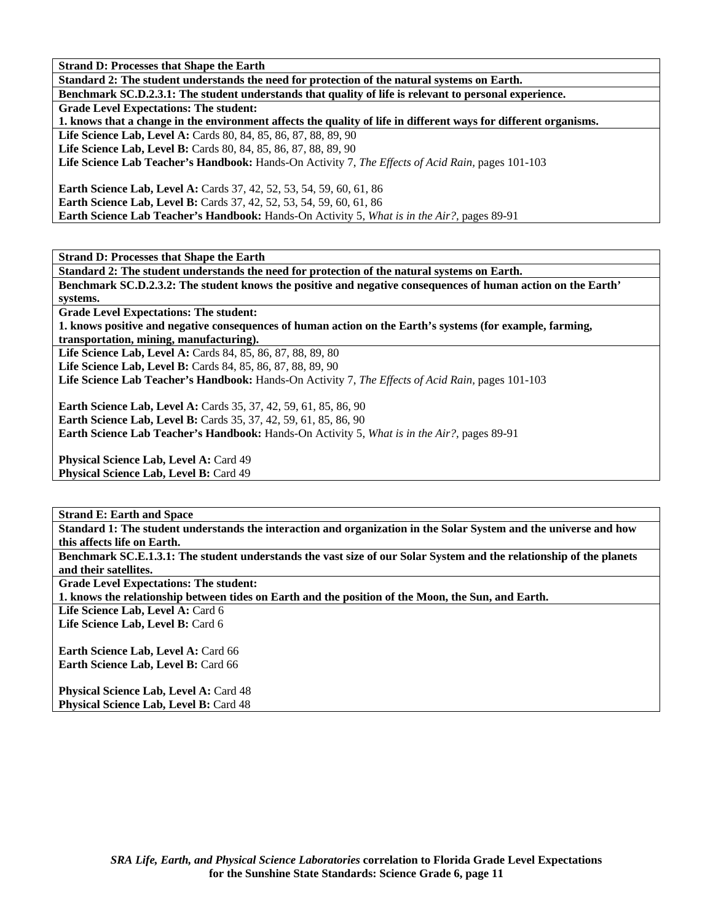**Standard 2: The student understands the need for protection of the natural systems on Earth.** 

**Benchmark SC.D.2.3.1: The student understands that quality of life is relevant to personal experience.** 

**Grade Level Expectations: The student:** 

**1. knows that a change in the environment affects the quality of life in different ways for different organisms.** 

**Life Science Lab, Level A:** Cards 80, 84, 85, 86, 87, 88, 89, 90

**Life Science Lab, Level B:** Cards 80, 84, 85, 86, 87, 88, 89, 90

**Life Science Lab Teacher's Handbook:** Hands-On Activity 7, *The Effects of Acid Rain,* pages 101-103

**Earth Science Lab, Level A:** Cards 37, 42, 52, 53, 54, 59, 60, 61, 86 **Earth Science Lab, Level B:** Cards 37, 42, 52, 53, 54, 59, 60, 61, 86 **Earth Science Lab Teacher's Handbook:** Hands-On Activity 5, *What is in the Air?,* pages 89-91

**Strand D: Processes that Shape the Earth** 

**Standard 2: The student understands the need for protection of the natural systems on Earth.** 

**Benchmark SC.D.2.3.2: The student knows the positive and negative consequences of human action on the Earth' systems.** 

**Grade Level Expectations: The student:** 

**1. knows positive and negative consequences of human action on the Earth's systems (for example, farming, transportation, mining, manufacturing).** 

**Life Science Lab, Level A:** Cards 84, 85, 86, 87, 88, 89, 80 **Life Science Lab, Level B:** Cards 84, 85, 86, 87, 88, 89, 90

**Life Science Lab Teacher's Handbook:** Hands-On Activity 7, *The Effects of Acid Rain,* pages 101-103

**Earth Science Lab, Level A:** Cards 35, 37, 42, 59, 61, 85, 86, 90 **Earth Science Lab, Level B:** Cards 35, 37, 42, 59, 61, 85, 86, 90

**Earth Science Lab Teacher's Handbook:** Hands-On Activity 5, *What is in the Air?,* pages 89-91

**Physical Science Lab, Level A: Card 49** Physical Science Lab, Level B: Card 49

**Strand E: Earth and Space** 

**Standard 1: The student understands the interaction and organization in the Solar System and the universe and how this affects life on Earth.** 

**Benchmark SC.E.1.3.1: The student understands the vast size of our Solar System and the relationship of the planets and their satellites.** 

**Grade Level Expectations: The student:** 

**1. knows the relationship between tides on Earth and the position of the Moon, the Sun, and Earth.** 

Life Science Lab, Level A: Card 6 Life Science Lab, Level B: Card 6

**Earth Science Lab, Level A: Card 66 Earth Science Lab, Level B: Card 66** 

**Physical Science Lab, Level A: Card 48** Physical Science Lab, Level B: Card 48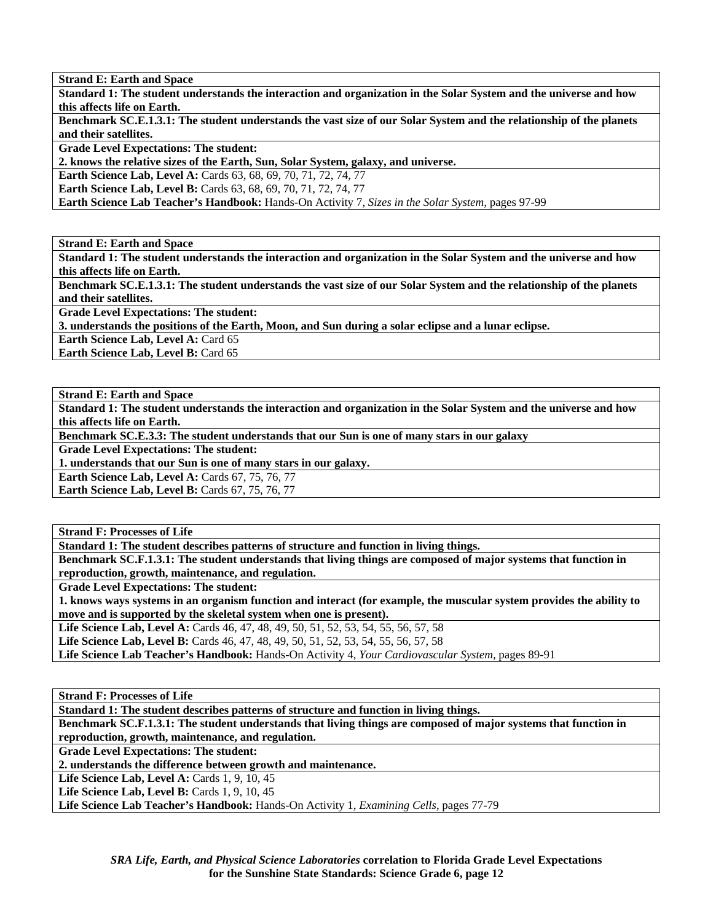**Strand E: Earth and Space** 

**Standard 1: The student understands the interaction and organization in the Solar System and the universe and how this affects life on Earth.** 

**Benchmark SC.E.1.3.1: The student understands the vast size of our Solar System and the relationship of the planets and their satellites.** 

**Grade Level Expectations: The student:** 

**2. knows the relative sizes of the Earth, Sun, Solar System, galaxy, and universe.** 

**Earth Science Lab, Level A:** Cards 63, 68, 69, 70, 71, 72, 74, 77

**Earth Science Lab, Level B:** Cards 63, 68, 69, 70, 71, 72, 74, 77

**Earth Science Lab Teacher's Handbook:** Hands-On Activity 7, *Sizes in the Solar System,* pages 97-99

**Strand E: Earth and Space** 

**Standard 1: The student understands the interaction and organization in the Solar System and the universe and how this affects life on Earth.** 

**Benchmark SC.E.1.3.1: The student understands the vast size of our Solar System and the relationship of the planets and their satellites.** 

**Grade Level Expectations: The student:** 

**3. understands the positions of the Earth, Moon, and Sun during a solar eclipse and a lunar eclipse.** 

**Earth Science Lab, Level A: Card 65** 

**Earth Science Lab, Level B: Card 65** 

**Strand E: Earth and Space** 

**Standard 1: The student understands the interaction and organization in the Solar System and the universe and how this affects life on Earth.** 

**Benchmark SC.E.3.3: The student understands that our Sun is one of many stars in our galaxy** 

**Grade Level Expectations: The student:** 

**1. understands that our Sun is one of many stars in our galaxy.** 

**Earth Science Lab, Level A: Cards 67, 75, 76, 77** 

**Earth Science Lab, Level B: Cards 67, 75, 76, 77** 

**Strand F: Processes of Life** 

**Standard 1: The student describes patterns of structure and function in living things.** 

**Benchmark SC.F.1.3.1: The student understands that living things are composed of major systems that function in reproduction, growth, maintenance, and regulation.** 

**Grade Level Expectations: The student:** 

**1. knows ways systems in an organism function and interact (for example, the muscular system provides the ability to move and is supported by the skeletal system when one is present).** 

**Life Science Lab, Level A:** Cards 46, 47, 48, 49, 50, 51, 52, 53, 54, 55, 56, 57, 58

**Life Science Lab, Level B:** Cards 46, 47, 48, 49, 50, 51, 52, 53, 54, 55, 56, 57, 58

**Life Science Lab Teacher's Handbook:** Hands-On Activity 4, *Your Cardiovascular System,* pages 89-91

**Strand F: Processes of Life** 

**Standard 1: The student describes patterns of structure and function in living things.** 

**Benchmark SC.F.1.3.1: The student understands that living things are composed of major systems that function in reproduction, growth, maintenance, and regulation.** 

**Grade Level Expectations: The student:** 

**2. understands the difference between growth and maintenance.** 

**Life Science Lab, Level A: Cards 1, 9, 10, 45** 

**Life Science Lab, Level B: Cards 1, 9, 10, 45** 

**Life Science Lab Teacher's Handbook:** Hands-On Activity 1, *Examining Cells,* pages 77-79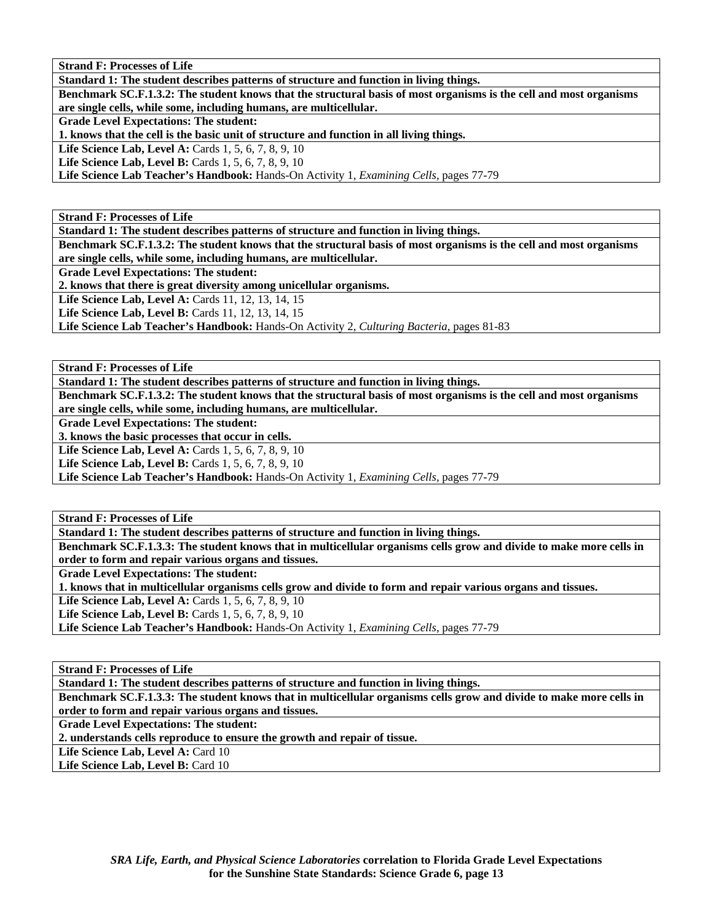**Strand F: Processes of Life** 

**Standard 1: The student describes patterns of structure and function in living things.** 

**Benchmark SC.F.1.3.2: The student knows that the structural basis of most organisms is the cell and most organisms are single cells, while some, including humans, are multicellular.** 

**Grade Level Expectations: The student:** 

**1. knows that the cell is the basic unit of structure and function in all living things.** 

**Life Science Lab, Level A: Cards 1, 5, 6, 7, 8, 9, 10** 

**Life Science Lab, Level B:** Cards 1, 5, 6, 7, 8, 9, 10

**Life Science Lab Teacher's Handbook:** Hands-On Activity 1, *Examining Cells,* pages 77-79

**Strand F: Processes of Life** 

**Standard 1: The student describes patterns of structure and function in living things.** 

**Benchmark SC.F.1.3.2: The student knows that the structural basis of most organisms is the cell and most organisms are single cells, while some, including humans, are multicellular.** 

**Grade Level Expectations: The student:** 

**2. knows that there is great diversity among unicellular organisms.** 

Life Science Lab, Level A: Cards 11, 12, 13, 14, 15

**Life Science Lab, Level B: Cards 11, 12, 13, 14, 15** 

**Life Science Lab Teacher's Handbook:** Hands-On Activity 2, *Culturing Bacteria,* pages 81-83

**Strand F: Processes of Life** 

**Standard 1: The student describes patterns of structure and function in living things.** 

**Benchmark SC.F.1.3.2: The student knows that the structural basis of most organisms is the cell and most organisms are single cells, while some, including humans, are multicellular.** 

**Grade Level Expectations: The student:** 

**3. knows the basic processes that occur in cells.** 

**Life Science Lab, Level A: Cards 1, 5, 6, 7, 8, 9, 10** 

**Life Science Lab, Level B:** Cards 1, 5, 6, 7, 8, 9, 10

**Life Science Lab Teacher's Handbook:** Hands-On Activity 1, *Examining Cells,* pages 77-79

**Strand F: Processes of Life** 

**Standard 1: The student describes patterns of structure and function in living things.** 

**Benchmark SC.F.1.3.3: The student knows that in multicellular organisms cells grow and divide to make more cells in order to form and repair various organs and tissues.** 

**Grade Level Expectations: The student:** 

**1. knows that in multicellular organisms cells grow and divide to form and repair various organs and tissues.** 

**Life Science Lab, Level A: Cards 1, 5, 6, 7, 8, 9, 10** 

**Life Science Lab, Level B:** Cards 1, 5, 6, 7, 8, 9, 10

**Life Science Lab Teacher's Handbook:** Hands-On Activity 1, *Examining Cells,* pages 77-79

**Strand F: Processes of Life** 

**Standard 1: The student describes patterns of structure and function in living things.** 

**Benchmark SC.F.1.3.3: The student knows that in multicellular organisms cells grow and divide to make more cells in order to form and repair various organs and tissues.** 

**Grade Level Expectations: The student:** 

**2. understands cells reproduce to ensure the growth and repair of tissue.** 

Life Science Lab, Level A: Card 10

Life Science Lab, Level B: Card 10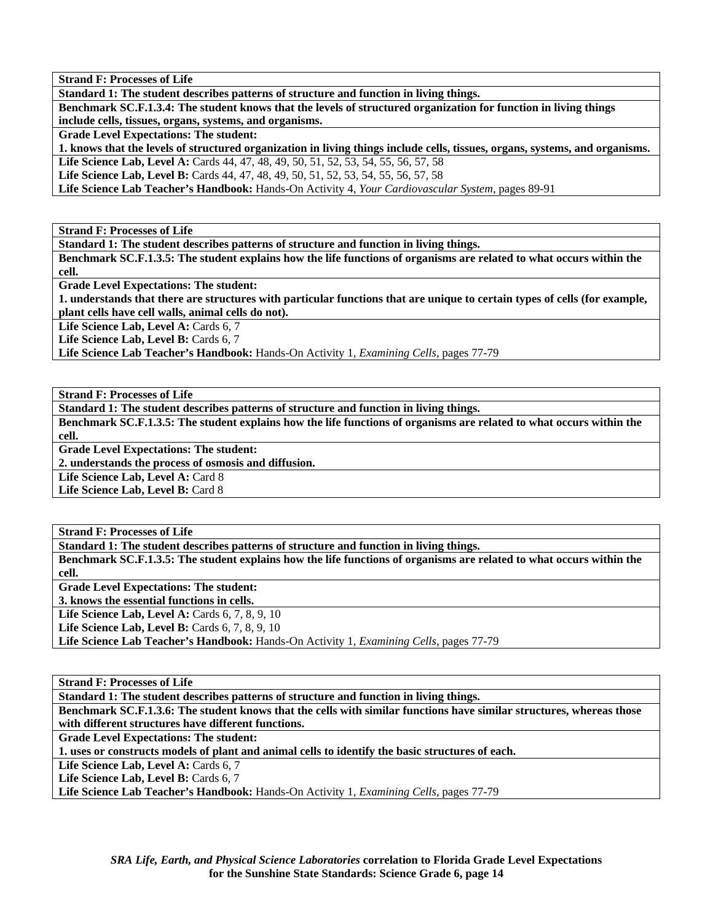**Strand F: Processes of Life** 

**Standard 1: The student describes patterns of structure and function in living things.** 

**Benchmark SC.F.1.3.4: The student knows that the levels of structured organization for function in living things include cells, tissues, organs, systems, and organisms.** 

**Grade Level Expectations: The student:** 

**1. knows that the levels of structured organization in living things include cells, tissues, organs, systems, and organisms. Life Science Lab, Level A:** Cards 44, 47, 48, 49, 50, 51, 52, 53, 54, 55, 56, 57, 58

**Life Science Lab, Level B:** Cards 44, 47, 48, 49, 50, 51, 52, 53, 54, 55, 56, 57, 58

**Life Science Lab Teacher's Handbook:** Hands-On Activity 4, *Your Cardiovascular System,* pages 89-91

**Strand F: Processes of Life** 

**Standard 1: The student describes patterns of structure and function in living things.** 

**Benchmark SC.F.1.3.5: The student explains how the life functions of organisms are related to what occurs within the cell.** 

**Grade Level Expectations: The student:** 

**1. understands that there are structures with particular functions that are unique to certain types of cells (for example, plant cells have cell walls, animal cells do not).** 

Life Science Lab, Level A: Cards 6, 7

Life Science Lab, Level B: Cards 6, 7

**Life Science Lab Teacher's Handbook:** Hands-On Activity 1, *Examining Cells,* pages 77-79

**Strand F: Processes of Life** 

**Standard 1: The student describes patterns of structure and function in living things.** 

**Benchmark SC.F.1.3.5: The student explains how the life functions of organisms are related to what occurs within the cell.** 

**Grade Level Expectations: The student:** 

**2. understands the process of osmosis and diffusion.** 

Life Science Lab, Level A: Card 8

Life Science Lab, Level B: Card 8

**Strand F: Processes of Life** 

**Standard 1: The student describes patterns of structure and function in living things. Benchmark SC.F.1.3.5: The student explains how the life functions of organisms are related to what occurs within the cell. Grade Level Expectations: The student: 3. knows the essential functions in cells. Life Science Lab, Level A: Cards 6, 7, 8, 9, 10 Life Science Lab, Level B:** Cards 6, 7, 8, 9, 10 **Life Science Lab Teacher's Handbook:** Hands-On Activity 1, *Examining Cells,* pages 77-79

**Strand F: Processes of Life** 

**Standard 1: The student describes patterns of structure and function in living things.** 

**Benchmark SC.F.1.3.6: The student knows that the cells with similar functions have similar structures, whereas those with different structures have different functions.** 

**Grade Level Expectations: The student:** 

**1. uses or constructs models of plant and animal cells to identify the basic structures of each.** 

Life Science Lab, Level A: Cards 6, 7

Life Science Lab, Level B: Cards 6, 7

**Life Science Lab Teacher's Handbook:** Hands-On Activity 1, *Examining Cells,* pages 77-79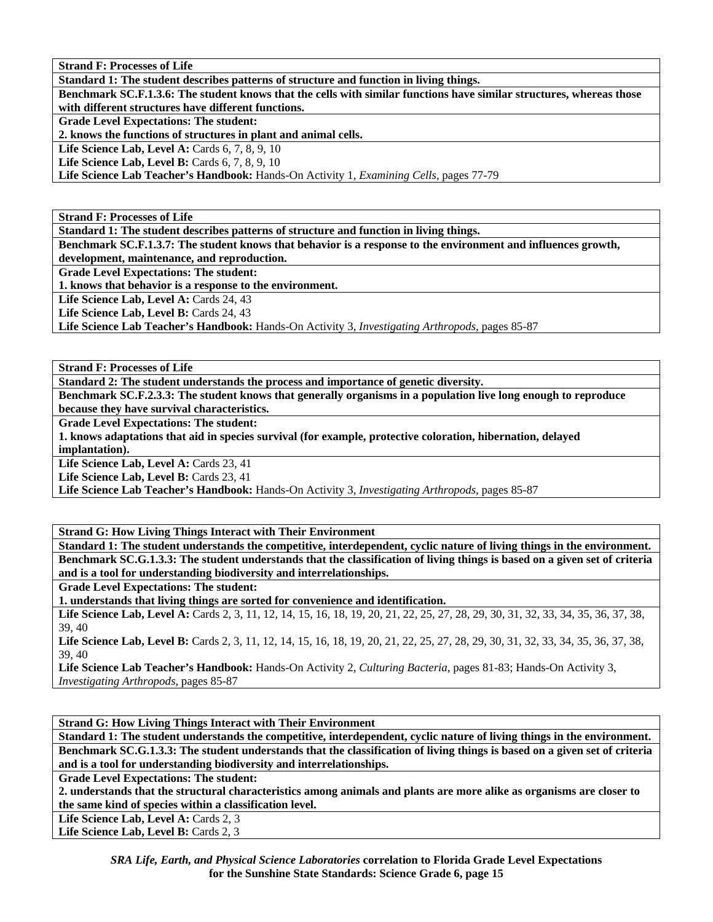**Strand F: Processes of Life** 

**Standard 1: The student describes patterns of structure and function in living things.** 

**Benchmark SC.F.1.3.6: The student knows that the cells with similar functions have similar structures, whereas those with different structures have different functions.** 

**Grade Level Expectations: The student:** 

**2. knows the functions of structures in plant and animal cells.** 

**Life Science Lab, Level A: Cards 6, 7, 8, 9, 10** 

**Life Science Lab, Level B:** Cards 6, 7, 8, 9, 10

**Life Science Lab Teacher's Handbook:** Hands-On Activity 1, *Examining Cells,* pages 77-79

**Strand F: Processes of Life** 

**Standard 1: The student describes patterns of structure and function in living things.** 

**Benchmark SC.F.1.3.7: The student knows that behavior is a response to the environment and influences growth, development, maintenance, and reproduction.** 

**Grade Level Expectations: The student:** 

**1. knows that behavior is a response to the environment.** 

Life Science Lab, Level A: Cards 24, 43

Life Science Lab, Level B: Cards 24, 43

**Life Science Lab Teacher's Handbook:** Hands-On Activity 3, *Investigating Arthropods,* pages 85-87

**Strand F: Processes of Life** 

**Standard 2: The student understands the process and importance of genetic diversity.** 

**Benchmark SC.F.2.3.3: The student knows that generally organisms in a population live long enough to reproduce because they have survival characteristics.** 

**Grade Level Expectations: The student:** 

**1. knows adaptations that aid in species survival (for example, protective coloration, hibernation, delayed implantation).** 

Life Science Lab, Level A: Cards 23, 41

Life Science Lab, Level B: Cards 23, 41

**Life Science Lab Teacher's Handbook:** Hands-On Activity 3, *Investigating Arthropods,* pages 85-87

**Strand G: How Living Things Interact with Their Environment** 

**Standard 1: The student understands the competitive, interdependent, cyclic nature of living things in the environment. Benchmark SC.G.1.3.3: The student understands that the classification of living things is based on a given set of criteria and is a tool for understanding biodiversity and interrelationships.** 

**Grade Level Expectations: The student:** 

**1. understands that living things are sorted for convenience and identification.** 

Life Science Lab, Level A: Cards 2, 3, 11, 12, 14, 15, 16, 18, 19, 20, 21, 22, 25, 27, 28, 29, 30, 31, 32, 33, 34, 35, 36, 37, 38, 39, 40

Life Science Lab, Level B: Cards 2, 3, 11, 12, 14, 15, 16, 18, 19, 20, 21, 22, 25, 27, 28, 29, 30, 31, 32, 33, 34, 35, 36, 37, 38, 39, 40

**Life Science Lab Teacher's Handbook:** Hands-On Activity 2, *Culturing Bacteria,* pages 81-83; Hands-On Activity 3, *Investigating Arthropods,* pages 85-87

**Strand G: How Living Things Interact with Their Environment** 

**Standard 1: The student understands the competitive, interdependent, cyclic nature of living things in the environment. Benchmark SC.G.1.3.3: The student understands that the classification of living things is based on a given set of criteria and is a tool for understanding biodiversity and interrelationships.** 

**Grade Level Expectations: The student:** 

**2. understands that the structural characteristics among animals and plants are more alike as organisms are closer to the same kind of species within a classification level.** 

Life Science Lab, Level A: Cards 2, 3

Life Science Lab, Level B: Cards 2, 3

*SRA Life, Earth, and Physical Science Laboratories* **correlation to Florida Grade Level Expectations for the Sunshine State Standards: Science Grade 6, page 15**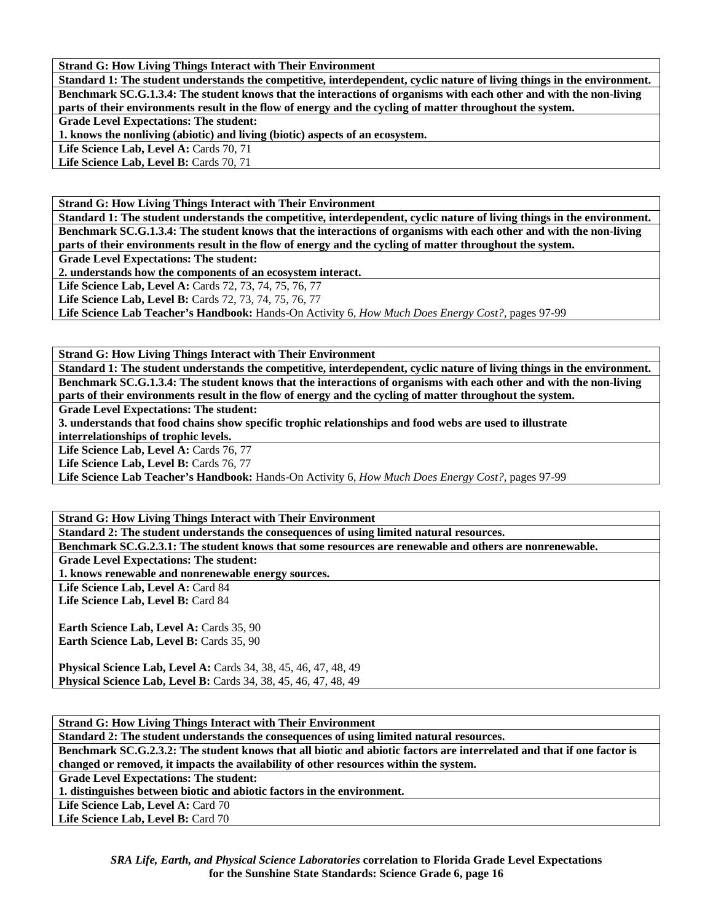**Strand G: How Living Things Interact with Their Environment** 

**Standard 1: The student understands the competitive, interdependent, cyclic nature of living things in the environment. Benchmark SC.G.1.3.4: The student knows that the interactions of organisms with each other and with the non-living parts of their environments result in the flow of energy and the cycling of matter throughout the system. Grade Level Expectations: The student: 1. knows the nonliving (abiotic) and living (biotic) aspects of an ecosystem.** 

Life Science Lab, Level A: Cards 70, 71

Life Science Lab, Level B: Cards 70, 71

**Strand G: How Living Things Interact with Their Environment** 

**Standard 1: The student understands the competitive, interdependent, cyclic nature of living things in the environment. Benchmark SC.G.1.3.4: The student knows that the interactions of organisms with each other and with the non-living parts of their environments result in the flow of energy and the cycling of matter throughout the system.** 

**Grade Level Expectations: The student:** 

**2. understands how the components of an ecosystem interact.** 

**Life Science Lab, Level A:** Cards 72, 73, 74, 75, 76, 77

**Life Science Lab, Level B:** Cards 72, 73, 74, 75, 76, 77

**Life Science Lab Teacher's Handbook:** Hands-On Activity 6, *How Much Does Energy Cost?,* pages 97-99

**Strand G: How Living Things Interact with Their Environment** 

**Standard 1: The student understands the competitive, interdependent, cyclic nature of living things in the environment. Benchmark SC.G.1.3.4: The student knows that the interactions of organisms with each other and with the non-living parts of their environments result in the flow of energy and the cycling of matter throughout the system.** 

**Grade Level Expectations: The student:** 

**3. understands that food chains show specific trophic relationships and food webs are used to illustrate** 

**interrelationships of trophic levels.** 

Life Science Lab, Level A: Cards 76, 77

Life Science Lab, Level B: Cards 76, 77

**Life Science Lab Teacher's Handbook:** Hands-On Activity 6, *How Much Does Energy Cost?,* pages 97-99

**Strand G: How Living Things Interact with Their Environment Standard 2: The student understands the consequences of using limited natural resources.** 

**Benchmark SC.G.2.3.1: The student knows that some resources are renewable and others are nonrenewable.** 

**Grade Level Expectations: The student:** 

**1. knows renewable and nonrenewable energy sources.** 

Life Science Lab, Level A: Card 84

Life Science Lab, Level B: Card 84

Earth Science Lab, Level A: Cards 35, 90 **Earth Science Lab, Level B: Cards 35, 90** 

**Physical Science Lab, Level A:** Cards 34, 38, 45, 46, 47, 48, 49 **Physical Science Lab, Level B:** Cards 34, 38, 45, 46, 47, 48, 49

**Strand G: How Living Things Interact with Their Environment Standard 2: The student understands the consequences of using limited natural resources. Benchmark SC.G.2.3.2: The student knows that all biotic and abiotic factors are interrelated and that if one factor is changed or removed, it impacts the availability of other resources within the system. Grade Level Expectations: The student: 1. distinguishes between biotic and abiotic factors in the environment.**  Life Science Lab, Level A: Card 70 Life Science Lab, Level B: Card 70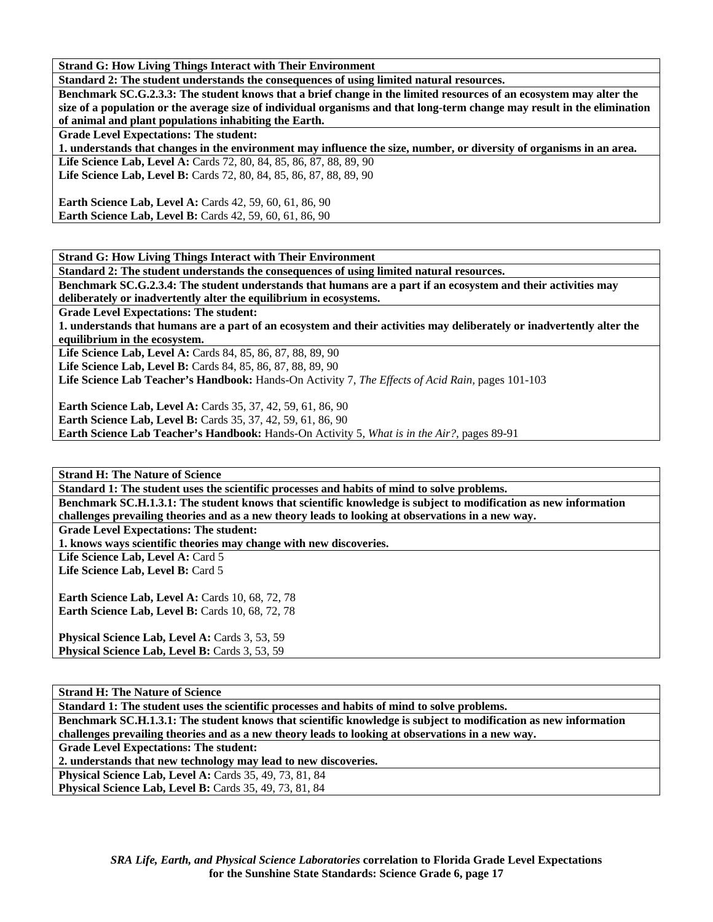**Strand G: How Living Things Interact with Their Environment** 

**Standard 2: The student understands the consequences of using limited natural resources.** 

**Benchmark SC.G.2.3.3: The student knows that a brief change in the limited resources of an ecosystem may alter the size of a population or the average size of individual organisms and that long-term change may result in the elimination of animal and plant populations inhabiting the Earth.** 

**Grade Level Expectations: The student:** 

**1. understands that changes in the environment may influence the size, number, or diversity of organisms in an area.** 

Life Science Lab, Level A: Cards 72, 80, 84, 85, 86, 87, 88, 89, 90 **Life Science Lab, Level B:** Cards 72, 80, 84, 85, 86, 87, 88, 89, 90

**Earth Science Lab, Level A: Cards 42, 59, 60, 61, 86, 90 Earth Science Lab, Level B:** Cards 42, 59, 60, 61, 86, 90

**Strand G: How Living Things Interact with Their Environment** 

**Standard 2: The student understands the consequences of using limited natural resources.** 

**Benchmark SC.G.2.3.4: The student understands that humans are a part if an ecosystem and their activities may deliberately or inadvertently alter the equilibrium in ecosystems.** 

**Grade Level Expectations: The student:** 

**1. understands that humans are a part of an ecosystem and their activities may deliberately or inadvertently alter the equilibrium in the ecosystem.** 

**Life Science Lab, Level A:** Cards 84, 85, 86, 87, 88, 89, 90

**Life Science Lab, Level B:** Cards 84, 85, 86, 87, 88, 89, 90

**Life Science Lab Teacher's Handbook:** Hands-On Activity 7, *The Effects of Acid Rain,* pages 101-103

**Earth Science Lab, Level A:** Cards 35, 37, 42, 59, 61, 86, 90

**Earth Science Lab, Level B:** Cards 35, 37, 42, 59, 61, 86, 90

**Earth Science Lab Teacher's Handbook:** Hands-On Activity 5, *What is in the Air?,* pages 89-91

**Strand H: The Nature of Science** 

**Standard 1: The student uses the scientific processes and habits of mind to solve problems. Benchmark SC.H.1.3.1: The student knows that scientific knowledge is subject to modification as new information** 

**challenges prevailing theories and as a new theory leads to looking at observations in a new way.** 

**Grade Level Expectations: The student:** 

**1. knows ways scientific theories may change with new discoveries.** 

Life Science Lab, Level A: Card 5

Life Science Lab, Level B: Card 5

Earth Science Lab, Level A: Cards 10, 68, 72, 78 **Earth Science Lab, Level B: Cards 10, 68, 72, 78** 

**Physical Science Lab, Level A: Cards 3, 53, 59 Physical Science Lab, Level B: Cards 3, 53, 59** 

**Strand H: The Nature of Science** 

**Standard 1: The student uses the scientific processes and habits of mind to solve problems.** 

**Benchmark SC.H.1.3.1: The student knows that scientific knowledge is subject to modification as new information challenges prevailing theories and as a new theory leads to looking at observations in a new way.** 

**Grade Level Expectations: The student:** 

**2. understands that new technology may lead to new discoveries.** 

**Physical Science Lab, Level A: Cards 35, 49, 73, 81, 84** 

**Physical Science Lab, Level B:** Cards 35, 49, 73, 81, 84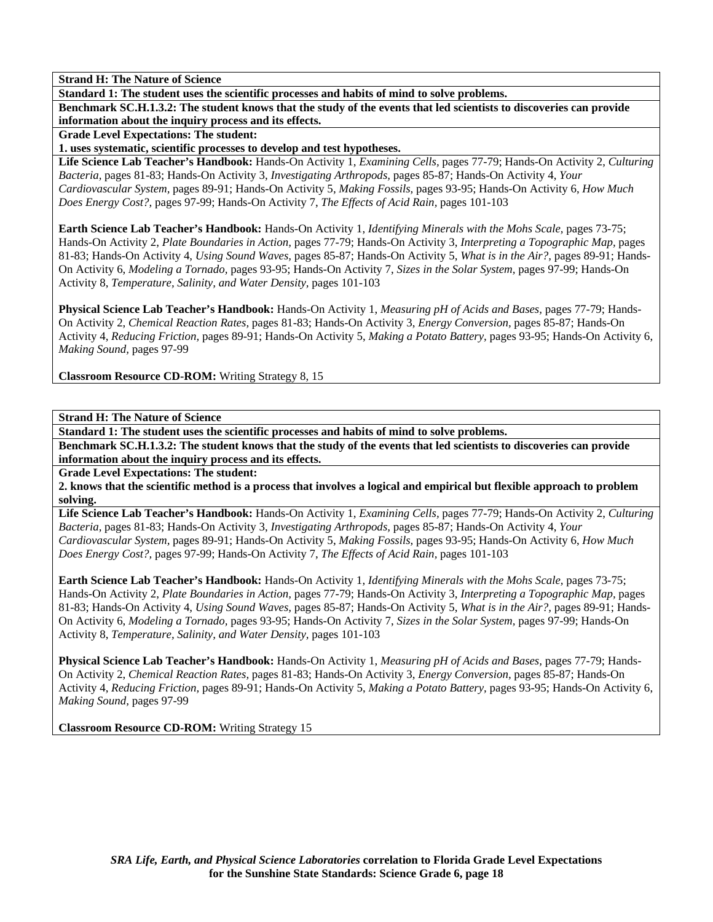**Standard 1: The student uses the scientific processes and habits of mind to solve problems.** 

**Benchmark SC.H.1.3.2: The student knows that the study of the events that led scientists to discoveries can provide information about the inquiry process and its effects.** 

**Grade Level Expectations: The student:** 

**1. uses systematic, scientific processes to develop and test hypotheses.** 

**Life Science Lab Teacher's Handbook:** Hands-On Activity 1, *Examining Cells,* pages 77-79; Hands-On Activity 2, *Culturing Bacteria,* pages 81-83; Hands-On Activity 3, *Investigating Arthropods,* pages 85-87; Hands-On Activity 4, *Your Cardiovascular System,* pages 89-91; Hands-On Activity 5, *Making Fossils,* pages 93-95; Hands-On Activity 6, *How Much Does Energy Cost?,* pages 97-99; Hands-On Activity 7, *The Effects of Acid Rain,* pages 101-103

**Earth Science Lab Teacher's Handbook:** Hands-On Activity 1, *Identifying Minerals with the Mohs Scale,* pages 73-75; Hands-On Activity 2, *Plate Boundaries in Action,* pages 77-79; Hands-On Activity 3, *Interpreting a Topographic Map,* pages 81-83; Hands-On Activity 4, *Using Sound Waves,* pages 85-87; Hands-On Activity 5, *What is in the Air?,* pages 89-91; Hands-On Activity 6, *Modeling a Tornado,* pages 93-95; Hands-On Activity 7, *Sizes in the Solar System,* pages 97-99; Hands-On Activity 8, *Temperature, Salinity, and Water Density,* pages 101-103

**Physical Science Lab Teacher's Handbook:** Hands-On Activity 1, *Measuring pH of Acids and Bases,* pages 77-79; Hands-On Activity 2, *Chemical Reaction Rates,* pages 81-83; Hands-On Activity 3, *Energy Conversion,* pages 85-87; Hands-On Activity 4, *Reducing Friction,* pages 89-91; Hands-On Activity 5, *Making a Potato Battery,* pages 93-95; Hands-On Activity 6, *Making Sound,* pages 97-99

**Classroom Resource CD-ROM:** Writing Strategy 8, 15

**Strand H: The Nature of Science** 

**Standard 1: The student uses the scientific processes and habits of mind to solve problems.** 

**Benchmark SC.H.1.3.2: The student knows that the study of the events that led scientists to discoveries can provide information about the inquiry process and its effects.** 

**Grade Level Expectations: The student:** 

**2. knows that the scientific method is a process that involves a logical and empirical but flexible approach to problem solving.** 

**Life Science Lab Teacher's Handbook:** Hands-On Activity 1, *Examining Cells,* pages 77-79; Hands-On Activity 2, *Culturing Bacteria,* pages 81-83; Hands-On Activity 3, *Investigating Arthropods,* pages 85-87; Hands-On Activity 4, *Your Cardiovascular System,* pages 89-91; Hands-On Activity 5, *Making Fossils,* pages 93-95; Hands-On Activity 6, *How Much Does Energy Cost?,* pages 97-99; Hands-On Activity 7, *The Effects of Acid Rain,* pages 101-103

**Earth Science Lab Teacher's Handbook:** Hands-On Activity 1, *Identifying Minerals with the Mohs Scale,* pages 73-75; Hands-On Activity 2, *Plate Boundaries in Action,* pages 77-79; Hands-On Activity 3, *Interpreting a Topographic Map,* pages 81-83; Hands-On Activity 4, *Using Sound Waves,* pages 85-87; Hands-On Activity 5, *What is in the Air?,* pages 89-91; Hands-On Activity 6, *Modeling a Tornado,* pages 93-95; Hands-On Activity 7, *Sizes in the Solar System,* pages 97-99; Hands-On Activity 8, *Temperature, Salinity, and Water Density,* pages 101-103

**Physical Science Lab Teacher's Handbook:** Hands-On Activity 1, *Measuring pH of Acids and Bases,* pages 77-79; Hands-On Activity 2, *Chemical Reaction Rates,* pages 81-83; Hands-On Activity 3, *Energy Conversion,* pages 85-87; Hands-On Activity 4, *Reducing Friction,* pages 89-91; Hands-On Activity 5, *Making a Potato Battery,* pages 93-95; Hands-On Activity 6, *Making Sound,* pages 97-99

**Classroom Resource CD-ROM:** Writing Strategy 15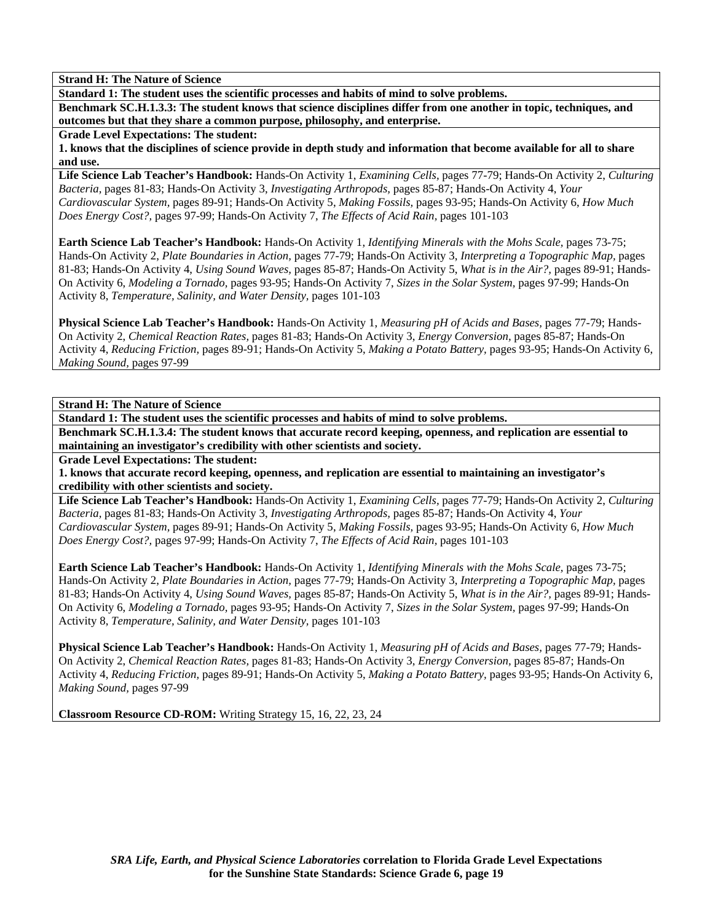**Standard 1: The student uses the scientific processes and habits of mind to solve problems.** 

**Benchmark SC.H.1.3.3: The student knows that science disciplines differ from one another in topic, techniques, and outcomes but that they share a common purpose, philosophy, and enterprise.** 

**Grade Level Expectations: The student:** 

**1. knows that the disciplines of science provide in depth study and information that become available for all to share and use.** 

**Life Science Lab Teacher's Handbook:** Hands-On Activity 1, *Examining Cells,* pages 77-79; Hands-On Activity 2, *Culturing Bacteria,* pages 81-83; Hands-On Activity 3, *Investigating Arthropods,* pages 85-87; Hands-On Activity 4, *Your Cardiovascular System,* pages 89-91; Hands-On Activity 5, *Making Fossils,* pages 93-95; Hands-On Activity 6, *How Much Does Energy Cost?,* pages 97-99; Hands-On Activity 7, *The Effects of Acid Rain,* pages 101-103

**Earth Science Lab Teacher's Handbook:** Hands-On Activity 1, *Identifying Minerals with the Mohs Scale,* pages 73-75; Hands-On Activity 2, *Plate Boundaries in Action,* pages 77-79; Hands-On Activity 3, *Interpreting a Topographic Map,* pages 81-83; Hands-On Activity 4, *Using Sound Waves,* pages 85-87; Hands-On Activity 5, *What is in the Air?,* pages 89-91; Hands-On Activity 6, *Modeling a Tornado,* pages 93-95; Hands-On Activity 7, *Sizes in the Solar System,* pages 97-99; Hands-On Activity 8, *Temperature, Salinity, and Water Density,* pages 101-103

**Physical Science Lab Teacher's Handbook:** Hands-On Activity 1, *Measuring pH of Acids and Bases,* pages 77-79; Hands-On Activity 2, *Chemical Reaction Rates,* pages 81-83; Hands-On Activity 3, *Energy Conversion,* pages 85-87; Hands-On Activity 4, *Reducing Friction,* pages 89-91; Hands-On Activity 5, *Making a Potato Battery,* pages 93-95; Hands-On Activity 6, *Making Sound,* pages 97-99

**Strand H: The Nature of Science** 

**Standard 1: The student uses the scientific processes and habits of mind to solve problems.** 

**Benchmark SC.H.1.3.4: The student knows that accurate record keeping, openness, and replication are essential to maintaining an investigator's credibility with other scientists and society.** 

**Grade Level Expectations: The student:** 

**1. knows that accurate record keeping, openness, and replication are essential to maintaining an investigator's credibility with other scientists and society.** 

**Life Science Lab Teacher's Handbook:** Hands-On Activity 1, *Examining Cells,* pages 77-79; Hands-On Activity 2, *Culturing Bacteria,* pages 81-83; Hands-On Activity 3, *Investigating Arthropods,* pages 85-87; Hands-On Activity 4, *Your Cardiovascular System,* pages 89-91; Hands-On Activity 5, *Making Fossils,* pages 93-95; Hands-On Activity 6, *How Much Does Energy Cost?,* pages 97-99; Hands-On Activity 7, *The Effects of Acid Rain,* pages 101-103

**Earth Science Lab Teacher's Handbook:** Hands-On Activity 1, *Identifying Minerals with the Mohs Scale,* pages 73-75; Hands-On Activity 2, *Plate Boundaries in Action,* pages 77-79; Hands-On Activity 3, *Interpreting a Topographic Map,* pages 81-83; Hands-On Activity 4, *Using Sound Waves,* pages 85-87; Hands-On Activity 5, *What is in the Air?,* pages 89-91; Hands-On Activity 6, *Modeling a Tornado,* pages 93-95; Hands-On Activity 7, *Sizes in the Solar System,* pages 97-99; Hands-On Activity 8, *Temperature, Salinity, and Water Density,* pages 101-103

**Physical Science Lab Teacher's Handbook:** Hands-On Activity 1, *Measuring pH of Acids and Bases,* pages 77-79; Hands-On Activity 2, *Chemical Reaction Rates,* pages 81-83; Hands-On Activity 3, *Energy Conversion,* pages 85-87; Hands-On Activity 4, *Reducing Friction,* pages 89-91; Hands-On Activity 5, *Making a Potato Battery,* pages 93-95; Hands-On Activity 6, *Making Sound,* pages 97-99

**Classroom Resource CD-ROM:** Writing Strategy 15, 16, 22, 23, 24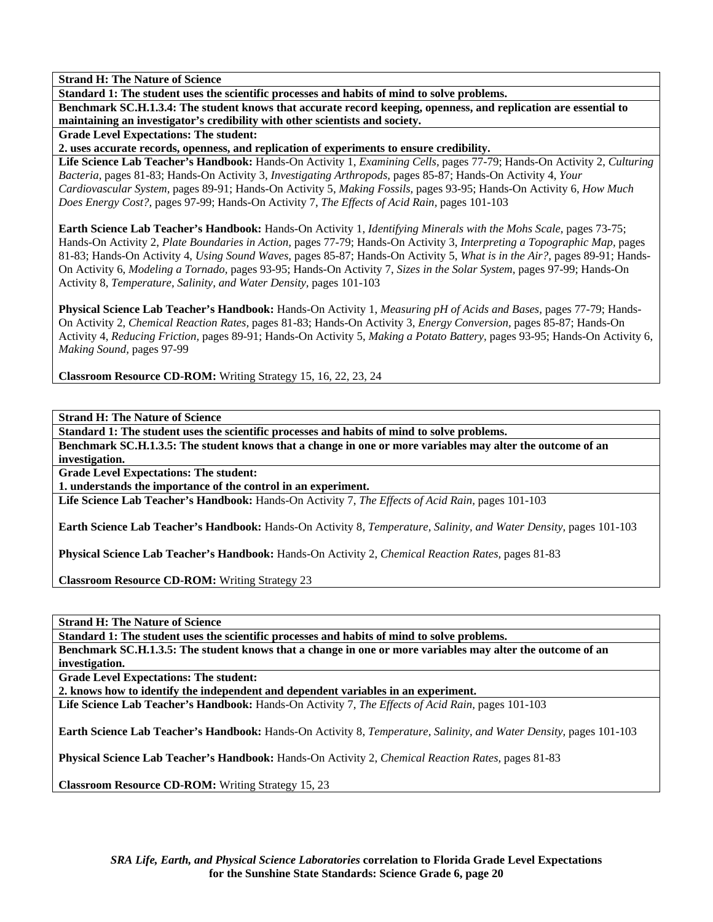**Standard 1: The student uses the scientific processes and habits of mind to solve problems.** 

**Benchmark SC.H.1.3.4: The student knows that accurate record keeping, openness, and replication are essential to maintaining an investigator's credibility with other scientists and society.** 

**Grade Level Expectations: The student:** 

**2. uses accurate records, openness, and replication of experiments to ensure credibility.** 

**Life Science Lab Teacher's Handbook:** Hands-On Activity 1, *Examining Cells,* pages 77-79; Hands-On Activity 2, *Culturing Bacteria,* pages 81-83; Hands-On Activity 3, *Investigating Arthropods,* pages 85-87; Hands-On Activity 4, *Your Cardiovascular System,* pages 89-91; Hands-On Activity 5, *Making Fossils,* pages 93-95; Hands-On Activity 6, *How Much Does Energy Cost?,* pages 97-99; Hands-On Activity 7, *The Effects of Acid Rain,* pages 101-103

**Earth Science Lab Teacher's Handbook:** Hands-On Activity 1, *Identifying Minerals with the Mohs Scale,* pages 73-75; Hands-On Activity 2, *Plate Boundaries in Action,* pages 77-79; Hands-On Activity 3, *Interpreting a Topographic Map,* pages 81-83; Hands-On Activity 4, *Using Sound Waves,* pages 85-87; Hands-On Activity 5, *What is in the Air?,* pages 89-91; Hands-On Activity 6, *Modeling a Tornado,* pages 93-95; Hands-On Activity 7, *Sizes in the Solar System,* pages 97-99; Hands-On Activity 8, *Temperature, Salinity, and Water Density,* pages 101-103

**Physical Science Lab Teacher's Handbook:** Hands-On Activity 1, *Measuring pH of Acids and Bases,* pages 77-79; Hands-On Activity 2, *Chemical Reaction Rates,* pages 81-83; Hands-On Activity 3, *Energy Conversion,* pages 85-87; Hands-On Activity 4, *Reducing Friction,* pages 89-91; Hands-On Activity 5, *Making a Potato Battery,* pages 93-95; Hands-On Activity 6, *Making Sound,* pages 97-99

**Classroom Resource CD-ROM:** Writing Strategy 15, 16, 22, 23, 24

**Strand H: The Nature of Science** 

**Standard 1: The student uses the scientific processes and habits of mind to solve problems.** 

**Benchmark SC.H.1.3.5: The student knows that a change in one or more variables may alter the outcome of an investigation.** 

**Grade Level Expectations: The student:** 

**1. understands the importance of the control in an experiment.** 

**Life Science Lab Teacher's Handbook:** Hands-On Activity 7, *The Effects of Acid Rain,* pages 101-103

**Earth Science Lab Teacher's Handbook:** Hands-On Activity 8, *Temperature, Salinity, and Water Density,* pages 101-103

**Physical Science Lab Teacher's Handbook:** Hands-On Activity 2, *Chemical Reaction Rates,* pages 81-83

**Classroom Resource CD-ROM:** Writing Strategy 23

**Strand H: The Nature of Science** 

**Standard 1: The student uses the scientific processes and habits of mind to solve problems. Benchmark SC.H.1.3.5: The student knows that a change in one or more variables may alter the outcome of an** 

**investigation.** 

**Grade Level Expectations: The student:** 

**2. knows how to identify the independent and dependent variables in an experiment.** 

**Life Science Lab Teacher's Handbook:** Hands-On Activity 7, *The Effects of Acid Rain,* pages 101-103

**Earth Science Lab Teacher's Handbook:** Hands-On Activity 8, *Temperature, Salinity, and Water Density,* pages 101-103

**Physical Science Lab Teacher's Handbook:** Hands-On Activity 2, *Chemical Reaction Rates,* pages 81-83

**Classroom Resource CD-ROM:** Writing Strategy 15, 23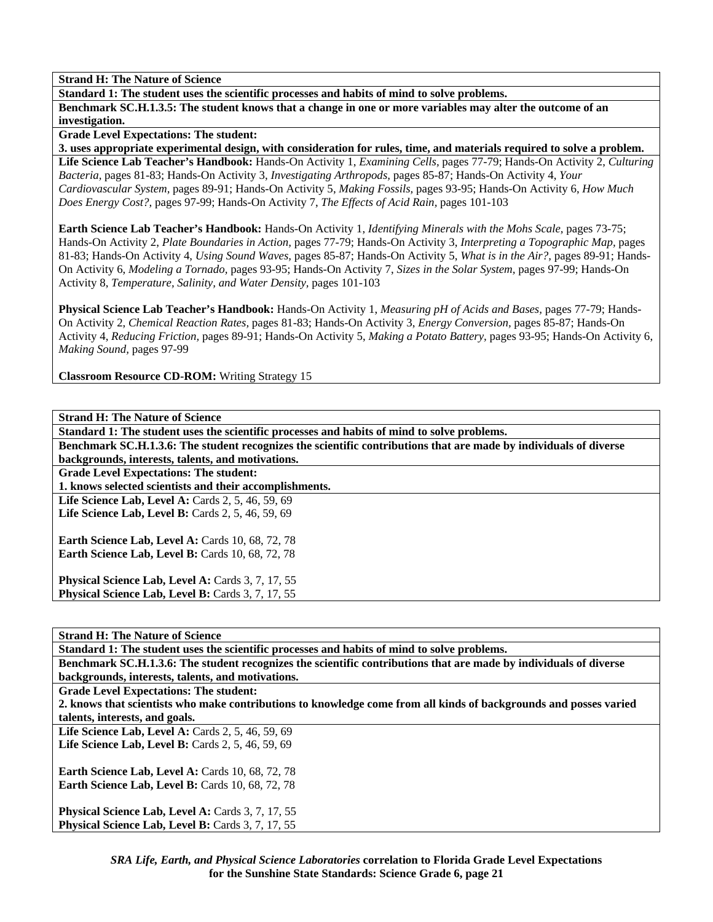**Standard 1: The student uses the scientific processes and habits of mind to solve problems.** 

**Benchmark SC.H.1.3.5: The student knows that a change in one or more variables may alter the outcome of an investigation.** 

**Grade Level Expectations: The student:** 

**3. uses appropriate experimental design, with consideration for rules, time, and materials required to solve a problem.** 

**Life Science Lab Teacher's Handbook:** Hands-On Activity 1, *Examining Cells,* pages 77-79; Hands-On Activity 2, *Culturing Bacteria,* pages 81-83; Hands-On Activity 3, *Investigating Arthropods,* pages 85-87; Hands-On Activity 4, *Your Cardiovascular System,* pages 89-91; Hands-On Activity 5, *Making Fossils,* pages 93-95; Hands-On Activity 6, *How Much Does Energy Cost?,* pages 97-99; Hands-On Activity 7, *The Effects of Acid Rain,* pages 101-103

**Earth Science Lab Teacher's Handbook:** Hands-On Activity 1, *Identifying Minerals with the Mohs Scale,* pages 73-75; Hands-On Activity 2, *Plate Boundaries in Action,* pages 77-79; Hands-On Activity 3, *Interpreting a Topographic Map,* pages 81-83; Hands-On Activity 4, *Using Sound Waves,* pages 85-87; Hands-On Activity 5, *What is in the Air?,* pages 89-91; Hands-On Activity 6, *Modeling a Tornado,* pages 93-95; Hands-On Activity 7, *Sizes in the Solar System,* pages 97-99; Hands-On Activity 8, *Temperature, Salinity, and Water Density,* pages 101-103

**Physical Science Lab Teacher's Handbook:** Hands-On Activity 1, *Measuring pH of Acids and Bases,* pages 77-79; Hands-On Activity 2, *Chemical Reaction Rates,* pages 81-83; Hands-On Activity 3, *Energy Conversion,* pages 85-87; Hands-On Activity 4, *Reducing Friction,* pages 89-91; Hands-On Activity 5, *Making a Potato Battery,* pages 93-95; Hands-On Activity 6, *Making Sound,* pages 97-99

**Classroom Resource CD-ROM:** Writing Strategy 15

| <b>Strand H: The Nature of Science</b>                                                                            |
|-------------------------------------------------------------------------------------------------------------------|
| Standard 1: The student uses the scientific processes and habits of mind to solve problems.                       |
| Benchmark SC.H.1.3.6: The student recognizes the scientific contributions that are made by individuals of diverse |
| backgrounds, interests, talents, and motivations.                                                                 |
| <b>Grade Level Expectations: The student:</b>                                                                     |
| 1. knows selected scientists and their accomplishments.                                                           |
| Life Science Lab, Level A: Cards 2, 5, 46, 59, 69                                                                 |
| <b>Life Science Lab, Level B:</b> Cards 2, 5, 46, 59, 69                                                          |
| <b>Earth Science Lab, Level A: Cards 10, 68, 72, 78</b>                                                           |
| <b>Earth Science Lab, Level B:</b> Cards 10, 68, 72, 78                                                           |
|                                                                                                                   |
| Physical Science Lab, Level A: Cards 3, 7, 17, 55                                                                 |
| Physical Science Lab, Level B: Cards 3, 7, 17, 55                                                                 |

**Strand H: The Nature of Science** 

**Standard 1: The student uses the scientific processes and habits of mind to solve problems.** 

**Benchmark SC.H.1.3.6: The student recognizes the scientific contributions that are made by individuals of diverse backgrounds, interests, talents, and motivations.** 

**Grade Level Expectations: The student:** 

**2. knows that scientists who make contributions to knowledge come from all kinds of backgrounds and posses varied talents, interests, and goals.** 

**Life Science Lab, Level A: Cards 2, 5, 46, 59, 69** Life Science Lab, Level B: Cards 2, 5, 46, 59, 69

**Earth Science Lab, Level A: Cards 10, 68, 72, 78 Earth Science Lab, Level B: Cards 10, 68, 72, 78** 

**Physical Science Lab, Level A: Cards 3, 7, 17, 55** Physical Science Lab, Level B: Cards 3, 7, 17, 55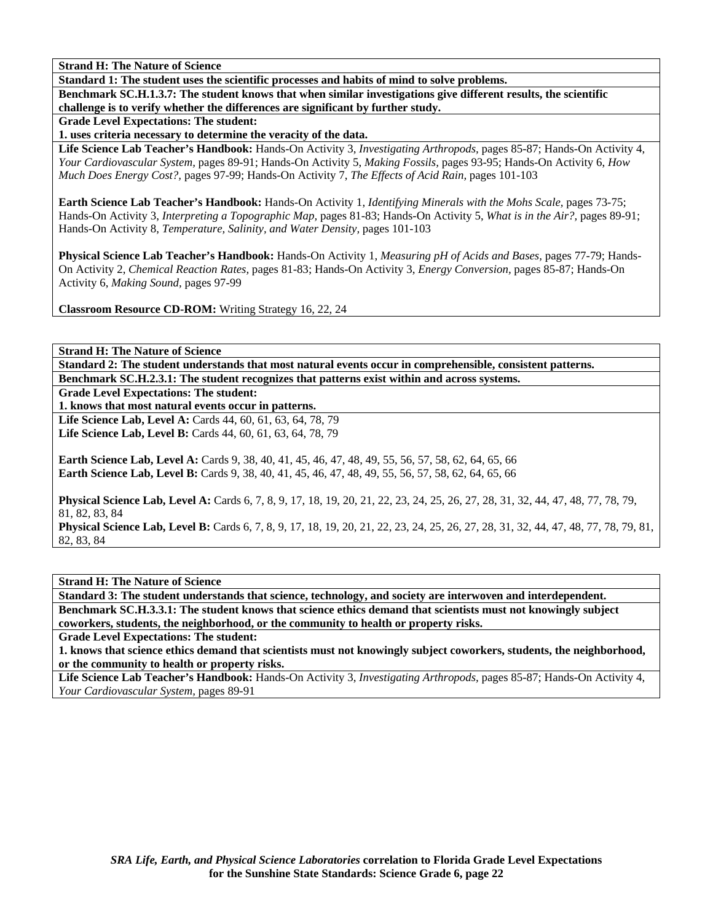**Standard 1: The student uses the scientific processes and habits of mind to solve problems.** 

**Benchmark SC.H.1.3.7: The student knows that when similar investigations give different results, the scientific challenge is to verify whether the differences are significant by further study.** 

**Grade Level Expectations: The student:** 

**1. uses criteria necessary to determine the veracity of the data.** 

**Life Science Lab Teacher's Handbook:** Hands-On Activity 3, *Investigating Arthropods,* pages 85-87; Hands-On Activity 4, *Your Cardiovascular System,* pages 89-91; Hands-On Activity 5, *Making Fossils,* pages 93-95; Hands-On Activity 6, *How Much Does Energy Cost?,* pages 97-99; Hands-On Activity 7, *The Effects of Acid Rain,* pages 101-103

**Earth Science Lab Teacher's Handbook:** Hands-On Activity 1, *Identifying Minerals with the Mohs Scale,* pages 73-75; Hands-On Activity 3, *Interpreting a Topographic Map,* pages 81-83; Hands-On Activity 5, *What is in the Air?,* pages 89-91; Hands-On Activity 8, *Temperature, Salinity, and Water Density,* pages 101-103

**Physical Science Lab Teacher's Handbook:** Hands-On Activity 1, *Measuring pH of Acids and Bases,* pages 77-79; Hands-On Activity 2, *Chemical Reaction Rates,* pages 81-83; Hands-On Activity 3, *Energy Conversion,* pages 85-87; Hands-On Activity 6, *Making Sound,* pages 97-99

**Classroom Resource CD-ROM:** Writing Strategy 16, 22, 24

**Strand H: The Nature of Science** 

**Standard 2: The student understands that most natural events occur in comprehensible, consistent patterns. Benchmark SC.H.2.3.1: The student recognizes that patterns exist within and across systems.** 

**Grade Level Expectations: The student:** 

**1. knows that most natural events occur in patterns.** 

**Life Science Lab, Level A:** Cards 44, 60, 61, 63, 64, 78, 79 **Life Science Lab, Level B:** Cards 44, 60, 61, 63, 64, 78, 79

**Earth Science Lab, Level A:** Cards 9, 38, 40, 41, 45, 46, 47, 48, 49, 55, 56, 57, 58, 62, 64, 65, 66 **Earth Science Lab, Level B:** Cards 9, 38, 40, 41, 45, 46, 47, 48, 49, 55, 56, 57, 58, 62, 64, 65, 66

**Physical Science Lab, Level A:** Cards 6, 7, 8, 9, 17, 18, 19, 20, 21, 22, 23, 24, 25, 26, 27, 28, 31, 32, 44, 47, 48, 77, 78, 79, 81, 82, 83, 84

**Physical Science Lab, Level B:** Cards 6, 7, 8, 9, 17, 18, 19, 20, 21, 22, 23, 24, 25, 26, 27, 28, 31, 32, 44, 47, 48, 77, 78, 79, 81, 82, 83, 84

**Strand H: The Nature of Science** 

**Standard 3: The student understands that science, technology, and society are interwoven and interdependent. Benchmark SC.H.3.3.1: The student knows that science ethics demand that scientists must not knowingly subject coworkers, students, the neighborhood, or the community to health or property risks.** 

**Grade Level Expectations: The student:** 

**1. knows that science ethics demand that scientists must not knowingly subject coworkers, students, the neighborhood, or the community to health or property risks.** 

**Life Science Lab Teacher's Handbook:** Hands-On Activity 3, *Investigating Arthropods,* pages 85-87; Hands-On Activity 4, *Your Cardiovascular System,* pages 89-91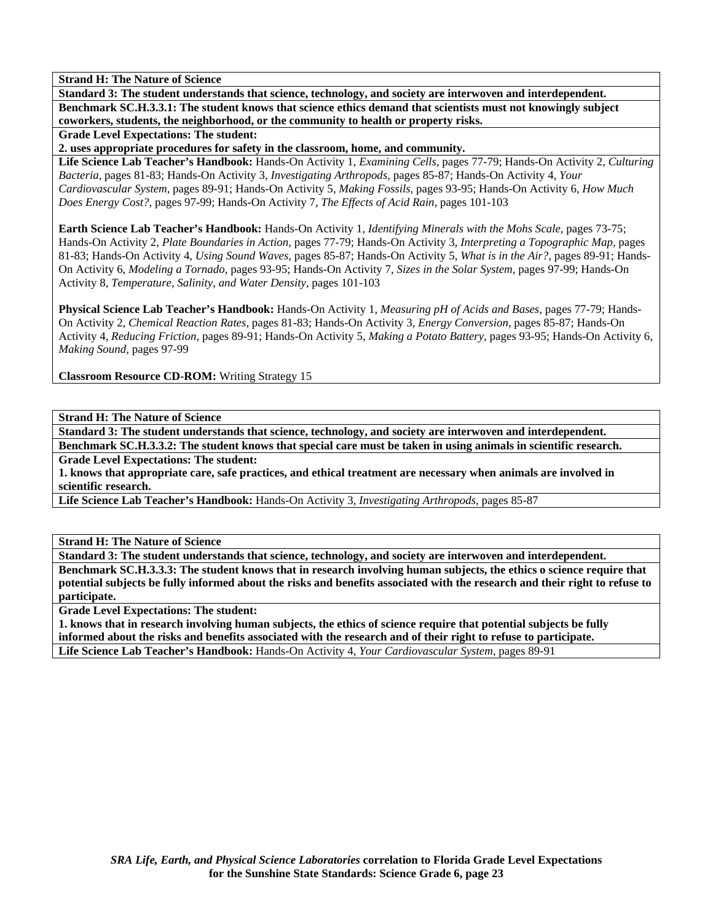**Standard 3: The student understands that science, technology, and society are interwoven and interdependent. Benchmark SC.H.3.3.1: The student knows that science ethics demand that scientists must not knowingly subject coworkers, students, the neighborhood, or the community to health or property risks.** 

**Grade Level Expectations: The student:** 

**2. uses appropriate procedures for safety in the classroom, home, and community.** 

**Life Science Lab Teacher's Handbook:** Hands-On Activity 1, *Examining Cells,* pages 77-79; Hands-On Activity 2, *Culturing Bacteria,* pages 81-83; Hands-On Activity 3, *Investigating Arthropods,* pages 85-87; Hands-On Activity 4, *Your Cardiovascular System,* pages 89-91; Hands-On Activity 5, *Making Fossils,* pages 93-95; Hands-On Activity 6, *How Much Does Energy Cost?,* pages 97-99; Hands-On Activity 7, *The Effects of Acid Rain,* pages 101-103

**Earth Science Lab Teacher's Handbook:** Hands-On Activity 1, *Identifying Minerals with the Mohs Scale,* pages 73-75; Hands-On Activity 2, *Plate Boundaries in Action,* pages 77-79; Hands-On Activity 3, *Interpreting a Topographic Map,* pages 81-83; Hands-On Activity 4, *Using Sound Waves,* pages 85-87; Hands-On Activity 5, *What is in the Air?,* pages 89-91; Hands-On Activity 6, *Modeling a Tornado,* pages 93-95; Hands-On Activity 7, *Sizes in the Solar System,* pages 97-99; Hands-On Activity 8, *Temperature, Salinity, and Water Density,* pages 101-103

**Physical Science Lab Teacher's Handbook:** Hands-On Activity 1, *Measuring pH of Acids and Bases,* pages 77-79; Hands-On Activity 2, *Chemical Reaction Rates,* pages 81-83; Hands-On Activity 3, *Energy Conversion,* pages 85-87; Hands-On Activity 4, *Reducing Friction,* pages 89-91; Hands-On Activity 5, *Making a Potato Battery,* pages 93-95; Hands-On Activity 6, *Making Sound,* pages 97-99

**Classroom Resource CD-ROM:** Writing Strategy 15

**Strand H: The Nature of Science** 

**Standard 3: The student understands that science, technology, and society are interwoven and interdependent.** 

**Benchmark SC.H.3.3.2: The student knows that special care must be taken in using animals in scientific research.** 

**Grade Level Expectations: The student:** 

**1. knows that appropriate care, safe practices, and ethical treatment are necessary when animals are involved in scientific research.** 

**Life Science Lab Teacher's Handbook:** Hands-On Activity 3, *Investigating Arthropods,* pages 85-87

**Strand H: The Nature of Science** 

**Standard 3: The student understands that science, technology, and society are interwoven and interdependent. Benchmark SC.H.3.3.3: The student knows that in research involving human subjects, the ethics o science require that potential subjects be fully informed about the risks and benefits associated with the research and their right to refuse to participate.** 

**Grade Level Expectations: The student:** 

**1. knows that in research involving human subjects, the ethics of science require that potential subjects be fully informed about the risks and benefits associated with the research and of their right to refuse to participate. Life Science Lab Teacher's Handbook:** Hands-On Activity 4, *Your Cardiovascular System,* pages 89-91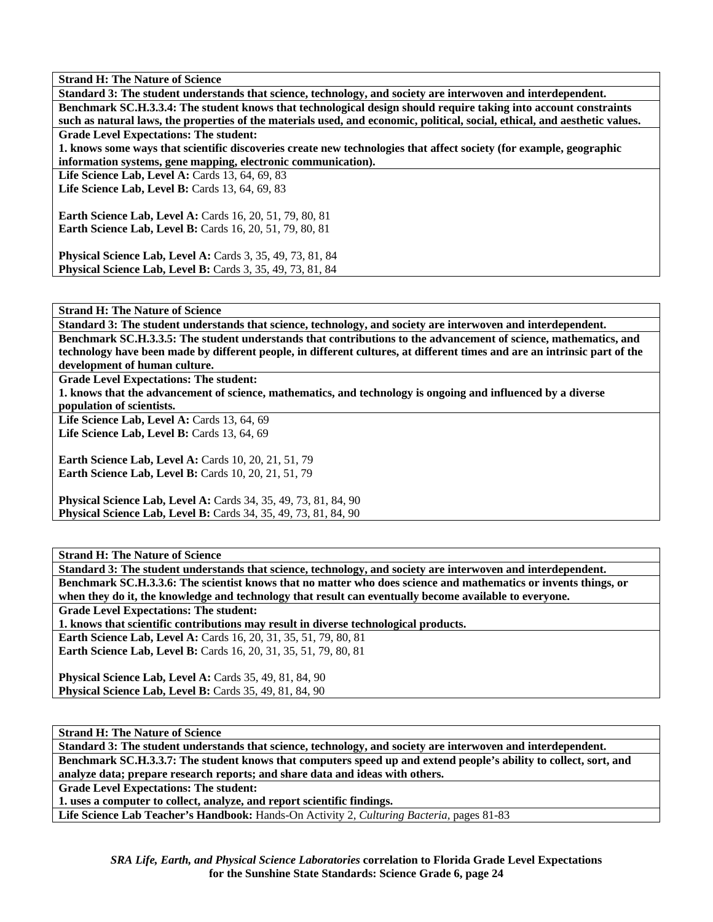**Standard 3: The student understands that science, technology, and society are interwoven and interdependent. Benchmark SC.H.3.3.4: The student knows that technological design should require taking into account constraints such as natural laws, the properties of the materials used, and economic, political, social, ethical, and aesthetic values.** 

**Grade Level Expectations: The student:** 

**1. knows some ways that scientific discoveries create new technologies that affect society (for example, geographic information systems, gene mapping, electronic communication).** 

**Life Science Lab, Level A: Cards 13, 64, 69, 83** 

Life Science Lab, Level B: Cards 13, 64, 69, 83

**Earth Science Lab, Level A: Cards 16, 20, 51, 79, 80, 81 Earth Science Lab, Level B:** Cards 16, 20, 51, 79, 80, 81

**Physical Science Lab, Level A:** Cards 3, 35, 49, 73, 81, 84 **Physical Science Lab, Level B:** Cards 3, 35, 49, 73, 81, 84

**Strand H: The Nature of Science** 

**Standard 3: The student understands that science, technology, and society are interwoven and interdependent. Benchmark SC.H.3.3.5: The student understands that contributions to the advancement of science, mathematics, and technology have been made by different people, in different cultures, at different times and are an intrinsic part of the development of human culture.** 

**Grade Level Expectations: The student:** 

**1. knows that the advancement of science, mathematics, and technology is ongoing and influenced by a diverse** 

**population of scientists.** 

**Life Science Lab, Level A: Cards 13, 64, 69 Life Science Lab, Level B:** Cards 13, 64, 69

**Earth Science Lab, Level A: Cards 10, 20, 21, 51, 79 Earth Science Lab, Level B: Cards 10, 20, 21, 51, 79** 

**Physical Science Lab, Level A:** Cards 34, 35, 49, 73, 81, 84, 90 **Physical Science Lab, Level B:** Cards 34, 35, 49, 73, 81, 84, 90

**Strand H: The Nature of Science** 

**Standard 3: The student understands that science, technology, and society are interwoven and interdependent. Benchmark SC.H.3.3.6: The scientist knows that no matter who does science and mathematics or invents things, or when they do it, the knowledge and technology that result can eventually become available to everyone. Grade Level Expectations: The student: 1. knows that scientific contributions may result in diverse technological products. Earth Science Lab, Level A:** Cards 16, 20, 31, 35, 51, 79, 80, 81 **Earth Science Lab, Level B:** Cards 16, 20, 31, 35, 51, 79, 80, 81 **Physical Science Lab, Level A: Cards 35, 49, 81, 84, 90 Physical Science Lab, Level B: Cards 35, 49, 81, 84, 90** 

**Strand H: The Nature of Science** 

**Standard 3: The student understands that science, technology, and society are interwoven and interdependent. Benchmark SC.H.3.3.7: The student knows that computers speed up and extend people's ability to collect, sort, and analyze data; prepare research reports; and share data and ideas with others.** 

**Grade Level Expectations: The student:** 

**1. uses a computer to collect, analyze, and report scientific findings.** 

**Life Science Lab Teacher's Handbook:** Hands-On Activity 2, *Culturing Bacteria,* pages 81-83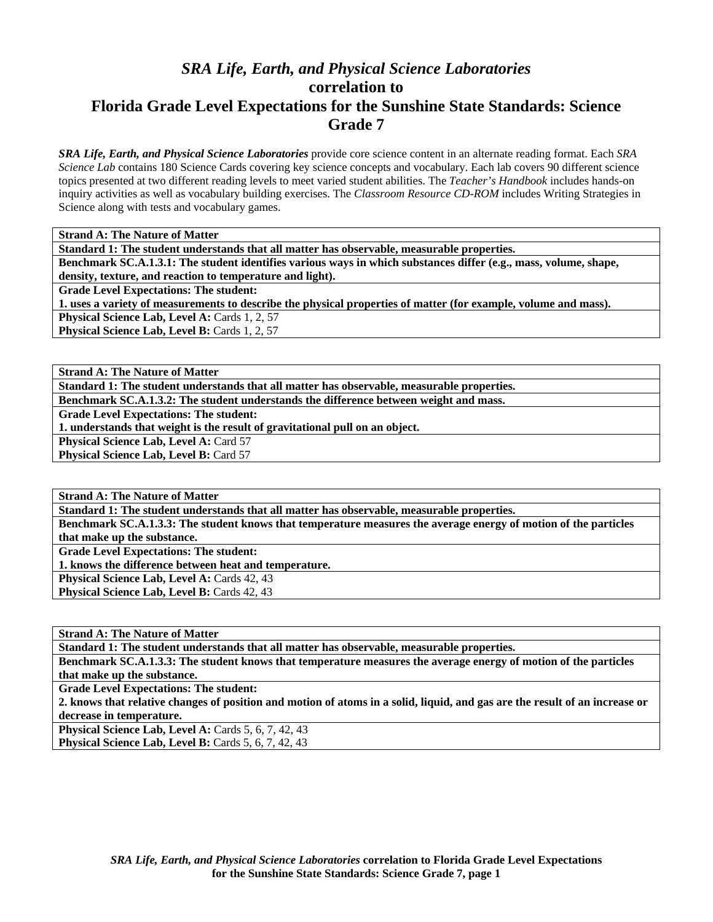## *SRA Life, Earth, and Physical Science Laboratories* **correlation to Florida Grade Level Expectations for the Sunshine State Standards: Science Grade 7**

*SRA Life, Earth, and Physical Science Laboratories* provide core science content in an alternate reading format. Each *SRA Science Lab* contains 180 Science Cards covering key science concepts and vocabulary. Each lab covers 90 different science topics presented at two different reading levels to meet varied student abilities. The *Teacher's Handbook* includes hands-on inquiry activities as well as vocabulary building exercises. The *Classroom Resource CD-ROM* includes Writing Strategies in Science along with tests and vocabulary games.

**Strand A: The Nature of Matter** 

**Standard 1: The student understands that all matter has observable, measurable properties.** 

**Benchmark SC.A.1.3.1: The student identifies various ways in which substances differ (e.g., mass, volume, shape,** 

**density, texture, and reaction to temperature and light).** 

**Grade Level Expectations: The student:** 

**1. uses a variety of measurements to describe the physical properties of matter (for example, volume and mass).** 

**Physical Science Lab, Level A: Cards 1, 2, 57 Physical Science Lab, Level B: Cards 1, 2, 57** 

**Strand A: The Nature of Matter** 

**Standard 1: The student understands that all matter has observable, measurable properties.** 

**Benchmark SC.A.1.3.2: The student understands the difference between weight and mass.** 

**Grade Level Expectations: The student:** 

**1. understands that weight is the result of gravitational pull on an object.** 

**Physical Science Lab, Level A: Card 57** 

**Physical Science Lab, Level B: Card 57** 

**Strand A: The Nature of Matter** 

**Standard 1: The student understands that all matter has observable, measurable properties.** 

**Benchmark SC.A.1.3.3: The student knows that temperature measures the average energy of motion of the particles that make up the substance.** 

**Grade Level Expectations: The student:** 

**1. knows the difference between heat and temperature.** 

Physical Science Lab, Level A: Cards 42, 43

**Physical Science Lab, Level B: Cards 42, 43** 

**Strand A: The Nature of Matter** 

**Standard 1: The student understands that all matter has observable, measurable properties.** 

**Benchmark SC.A.1.3.3: The student knows that temperature measures the average energy of motion of the particles that make up the substance.** 

**Grade Level Expectations: The student:** 

**2. knows that relative changes of position and motion of atoms in a solid, liquid, and gas are the result of an increase or decrease in temperature.** 

**Physical Science Lab, Level A: Cards 5, 6, 7, 42, 43** Physical Science Lab, Level B: Cards 5, 6, 7, 42, 43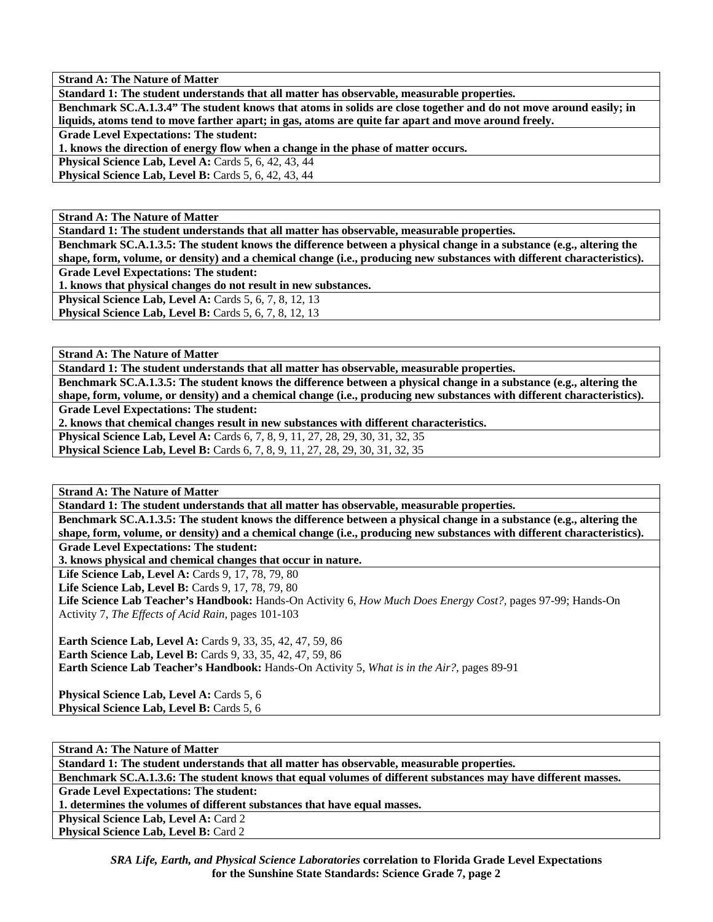**Strand A: The Nature of Matter Standard 1: The student understands that all matter has observable, measurable properties. Benchmark SC.A.1.3.4" The student knows that atoms in solids are close together and do not move around easily; in liquids, atoms tend to move farther apart; in gas, atoms are quite far apart and move around freely.** 

**Grade Level Expectations: The student:** 

**1. knows the direction of energy flow when a change in the phase of matter occurs.** 

**Physical Science Lab, Level A: Cards 5, 6, 42, 43, 44** 

**Physical Science Lab, Level B: Cards 5, 6, 42, 43, 44** 

**Strand A: The Nature of Matter** 

**Standard 1: The student understands that all matter has observable, measurable properties.** 

**Benchmark SC.A.1.3.5: The student knows the difference between a physical change in a substance (e.g., altering the shape, form, volume, or density) and a chemical change (i.e., producing new substances with different characteristics).** 

**Grade Level Expectations: The student:** 

**1. knows that physical changes do not result in new substances.** 

**Physical Science Lab, Level A: Cards 5, 6, 7, 8, 12, 13** 

**Physical Science Lab, Level B:** Cards 5, 6, 7, 8, 12, 13

**Strand A: The Nature of Matter** 

**Standard 1: The student understands that all matter has observable, measurable properties.** 

**Benchmark SC.A.1.3.5: The student knows the difference between a physical change in a substance (e.g., altering the shape, form, volume, or density) and a chemical change (i.e., producing new substances with different characteristics). Grade Level Expectations: The student:** 

**2. knows that chemical changes result in new substances with different characteristics.** 

**Physical Science Lab, Level A: Cards 6, 7, 8, 9, 11, 27, 28, 29, 30, 31, 32, 35 Physical Science Lab, Level B:** Cards 6, 7, 8, 9, 11, 27, 28, 29, 30, 31, 32, 35

**Strand A: The Nature of Matter** 

**Standard 1: The student understands that all matter has observable, measurable properties.** 

**Benchmark SC.A.1.3.5: The student knows the difference between a physical change in a substance (e.g., altering the shape, form, volume, or density) and a chemical change (i.e., producing new substances with different characteristics). Grade Level Expectations: The student:** 

**3. knows physical and chemical changes that occur in nature.** 

**Life Science Lab, Level A: Cards 9, 17, 78, 79, 80** 

**Life Science Lab, Level B: Cards 9, 17, 78, 79, 80** 

**Life Science Lab Teacher's Handbook:** Hands-On Activity 6, *How Much Does Energy Cost?,* pages 97-99; Hands-On Activity 7, *The Effects of Acid Rain,* pages 101-103

**Earth Science Lab, Level A:** Cards 9, 33, 35, 42, 47, 59, 86 **Earth Science Lab, Level B:** Cards 9, 33, 35, 42, 47, 59, 86 **Earth Science Lab Teacher's Handbook:** Hands-On Activity 5, *What is in the Air?,* pages 89-91

**Physical Science Lab, Level A: Cards 5, 6 Physical Science Lab, Level B: Cards 5, 6** 

**Strand A: The Nature of Matter Standard 1: The student understands that all matter has observable, measurable properties. Benchmark SC.A.1.3.6: The student knows that equal volumes of different substances may have different masses. Grade Level Expectations: The student: 1. determines the volumes of different substances that have equal masses. Physical Science Lab, Level A: Card 2 Physical Science Lab, Level B: Card 2** 

*SRA Life, Earth, and Physical Science Laboratories* **correlation to Florida Grade Level Expectations for the Sunshine State Standards: Science Grade 7, page 2**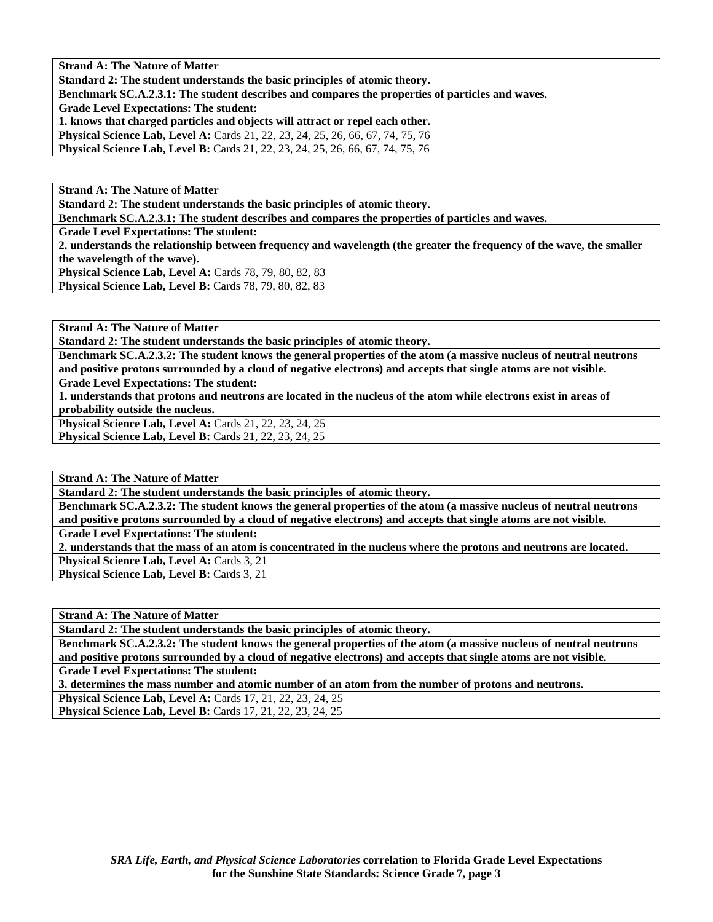**Strand A: The Nature of Matter** 

**Standard 2: The student understands the basic principles of atomic theory.** 

**Benchmark SC.A.2.3.1: The student describes and compares the properties of particles and waves.** 

**Grade Level Expectations: The student:** 

**1. knows that charged particles and objects will attract or repel each other.** 

**Physical Science Lab, Level A:** Cards 21, 22, 23, 24, 25, 26, 66, 67, 74, 75, 76

**Physical Science Lab, Level B:** Cards 21, 22, 23, 24, 25, 26, 66, 67, 74, 75, 76

**Strand A: The Nature of Matter** 

**Standard 2: The student understands the basic principles of atomic theory.** 

**Benchmark SC.A.2.3.1: The student describes and compares the properties of particles and waves.** 

**Grade Level Expectations: The student:** 

**2. understands the relationship between frequency and wavelength (the greater the frequency of the wave, the smaller the wavelength of the wave).** 

**Physical Science Lab, Level A: Cards 78, 79, 80, 82, 83 Physical Science Lab, Level B:** Cards 78, 79, 80, 82, 83

**Strand A: The Nature of Matter** 

**Standard 2: The student understands the basic principles of atomic theory.** 

**Benchmark SC.A.2.3.2: The student knows the general properties of the atom (a massive nucleus of neutral neutrons and positive protons surrounded by a cloud of negative electrons) and accepts that single atoms are not visible.** 

**Grade Level Expectations: The student:** 

**1. understands that protons and neutrons are located in the nucleus of the atom while electrons exist in areas of probability outside the nucleus.** 

**Physical Science Lab, Level A: Cards 21, 22, 23, 24, 25 Physical Science Lab, Level B:** Cards 21, 22, 23, 24, 25

**Strand A: The Nature of Matter** 

**Standard 2: The student understands the basic principles of atomic theory.** 

**Benchmark SC.A.2.3.2: The student knows the general properties of the atom (a massive nucleus of neutral neutrons and positive protons surrounded by a cloud of negative electrons) and accepts that single atoms are not visible. Grade Level Expectations: The student:** 

**2. understands that the mass of an atom is concentrated in the nucleus where the protons and neutrons are located.** 

**Physical Science Lab, Level A: Cards 3, 21** 

**Physical Science Lab, Level B: Cards 3, 21** 

**Strand A: The Nature of Matter** 

**Standard 2: The student understands the basic principles of atomic theory.** 

**Benchmark SC.A.2.3.2: The student knows the general properties of the atom (a massive nucleus of neutral neutrons and positive protons surrounded by a cloud of negative electrons) and accepts that single atoms are not visible. Grade Level Expectations: The student:** 

**3. determines the mass number and atomic number of an atom from the number of protons and neutrons.** 

**Physical Science Lab, Level A:** Cards 17, 21, 22, 23, 24, 25

**Physical Science Lab, Level B:** Cards 17, 21, 22, 23, 24, 25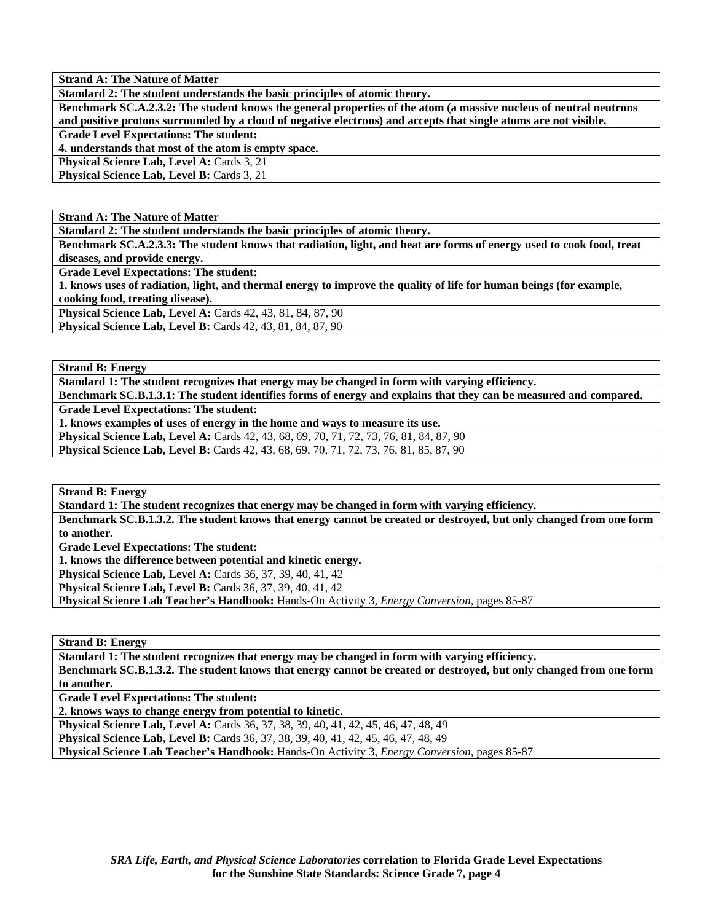**Strand A: The Nature of Matter** 

**Standard 2: The student understands the basic principles of atomic theory.** 

**Benchmark SC.A.2.3.2: The student knows the general properties of the atom (a massive nucleus of neutral neutrons and positive protons surrounded by a cloud of negative electrons) and accepts that single atoms are not visible.** 

**Grade Level Expectations: The student:** 

**4. understands that most of the atom is empty space.** 

**Physical Science Lab, Level A: Cards 3, 21** 

**Physical Science Lab, Level B: Cards 3, 21** 

**Strand A: The Nature of Matter** 

**Standard 2: The student understands the basic principles of atomic theory.** 

**Benchmark SC.A.2.3.3: The student knows that radiation, light, and heat are forms of energy used to cook food, treat diseases, and provide energy.** 

**Grade Level Expectations: The student:** 

**1. knows uses of radiation, light, and thermal energy to improve the quality of life for human beings (for example, cooking food, treating disease).** 

**Physical Science Lab, Level A:** Cards 42, 43, 81, 84, 87, 90

**Physical Science Lab, Level B:** Cards 42, 43, 81, 84, 87, 90

**Strand B: Energy** 

**Standard 1: The student recognizes that energy may be changed in form with varying efficiency.** 

**Benchmark SC.B.1.3.1: The student identifies forms of energy and explains that they can be measured and compared. Grade Level Expectations: The student:** 

**1. knows examples of uses of energy in the home and ways to measure its use.** 

**Physical Science Lab, Level A:** Cards 42, 43, 68, 69, 70, 71, 72, 73, 76, 81, 84, 87, 90

**Physical Science Lab, Level B:** Cards 42, 43, 68, 69, 70, 71, 72, 73, 76, 81, 85, 87, 90

**Strand B: Energy** 

**Standard 1: The student recognizes that energy may be changed in form with varying efficiency.** 

**Benchmark SC.B.1.3.2. The student knows that energy cannot be created or destroyed, but only changed from one form to another.** 

**Grade Level Expectations: The student:** 

**1. knows the difference between potential and kinetic energy.** 

**Physical Science Lab, Level A: Cards 36, 37, 39, 40, 41, 42** 

**Physical Science Lab, Level B:** Cards 36, 37, 39, 40, 41, 42

**Physical Science Lab Teacher's Handbook:** Hands-On Activity 3, *Energy Conversion,* pages 85-87

**Strand B: Energy** 

**Standard 1: The student recognizes that energy may be changed in form with varying efficiency.** 

**Benchmark SC.B.1.3.2. The student knows that energy cannot be created or destroyed, but only changed from one form to another.** 

**Grade Level Expectations: The student:** 

**2. knows ways to change energy from potential to kinetic.** 

**Physical Science Lab, Level A:** Cards 36, 37, 38, 39, 40, 41, 42, 45, 46, 47, 48, 49

**Physical Science Lab, Level B:** Cards 36, 37, 38, 39, 40, 41, 42, 45, 46, 47, 48, 49

**Physical Science Lab Teacher's Handbook:** Hands-On Activity 3, *Energy Conversion,* pages 85-87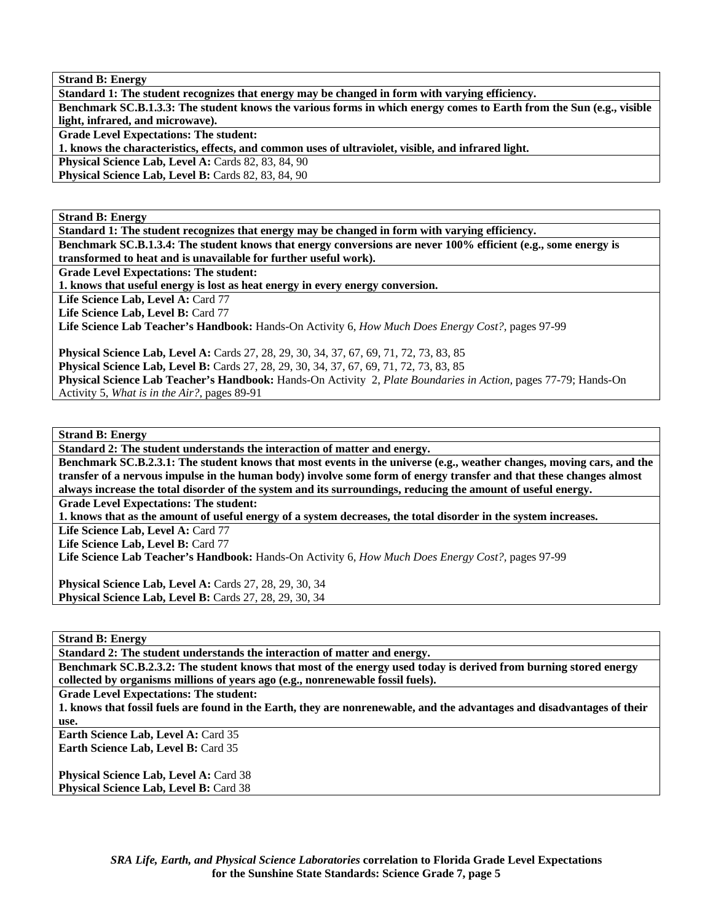**Strand B: Energy** 

**Standard 1: The student recognizes that energy may be changed in form with varying efficiency.** 

**Benchmark SC.B.1.3.3: The student knows the various forms in which energy comes to Earth from the Sun (e.g., visible light, infrared, and microwave).** 

**Grade Level Expectations: The student:** 

**1. knows the characteristics, effects, and common uses of ultraviolet, visible, and infrared light.** 

**Physical Science Lab, Level A: Cards 82, 83, 84, 90** 

**Physical Science Lab, Level B: Cards 82, 83, 84, 90** 

**Strand B: Energy** 

**Standard 1: The student recognizes that energy may be changed in form with varying efficiency. Benchmark SC.B.1.3.4: The student knows that energy conversions are never 100% efficient (e.g., some energy is** 

**transformed to heat and is unavailable for further useful work).** 

**Grade Level Expectations: The student:** 

**1. knows that useful energy is lost as heat energy in every energy conversion.** 

Life Science Lab, Level A: Card 77

Life Science Lab, Level B: Card 77

**Life Science Lab Teacher's Handbook:** Hands-On Activity 6, *How Much Does Energy Cost?,* pages 97-99

**Physical Science Lab, Level A:** Cards 27, 28, 29, 30, 34, 37, 67, 69, 71, 72, 73, 83, 85

**Physical Science Lab, Level B:** Cards 27, 28, 29, 30, 34, 37, 67, 69, 71, 72, 73, 83, 85

**Physical Science Lab Teacher's Handbook:** Hands-On Activity 2, *Plate Boundaries in Action,* pages 77-79; Hands-On Activity 5, *What is in the Air?,* pages 89-91

**Strand B: Energy** 

**Standard 2: The student understands the interaction of matter and energy.** 

**Benchmark SC.B.2.3.1: The student knows that most events in the universe (e.g., weather changes, moving cars, and the transfer of a nervous impulse in the human body) involve some form of energy transfer and that these changes almost always increase the total disorder of the system and its surroundings, reducing the amount of useful energy.** 

**Grade Level Expectations: The student:** 

**1. knows that as the amount of useful energy of a system decreases, the total disorder in the system increases.** 

Life Science Lab, Level A: Card 77

Life Science Lab, Level B: Card 77

**Life Science Lab Teacher's Handbook:** Hands-On Activity 6, *How Much Does Energy Cost?,* pages 97-99

**Physical Science Lab, Level A:** Cards 27, 28, 29, 30, 34 **Physical Science Lab, Level B:** Cards 27, 28, 29, 30, 34

**Strand B: Energy** 

**Standard 2: The student understands the interaction of matter and energy.** 

**Benchmark SC.B.2.3.2: The student knows that most of the energy used today is derived from burning stored energy collected by organisms millions of years ago (e.g., nonrenewable fossil fuels).** 

**Grade Level Expectations: The student:** 

**1. knows that fossil fuels are found in the Earth, they are nonrenewable, and the advantages and disadvantages of their use.** 

**Earth Science Lab, Level A: Card 35 Earth Science Lab, Level B: Card 35** 

Physical Science Lab, Level A: Card 38 Physical Science Lab, Level B: Card 38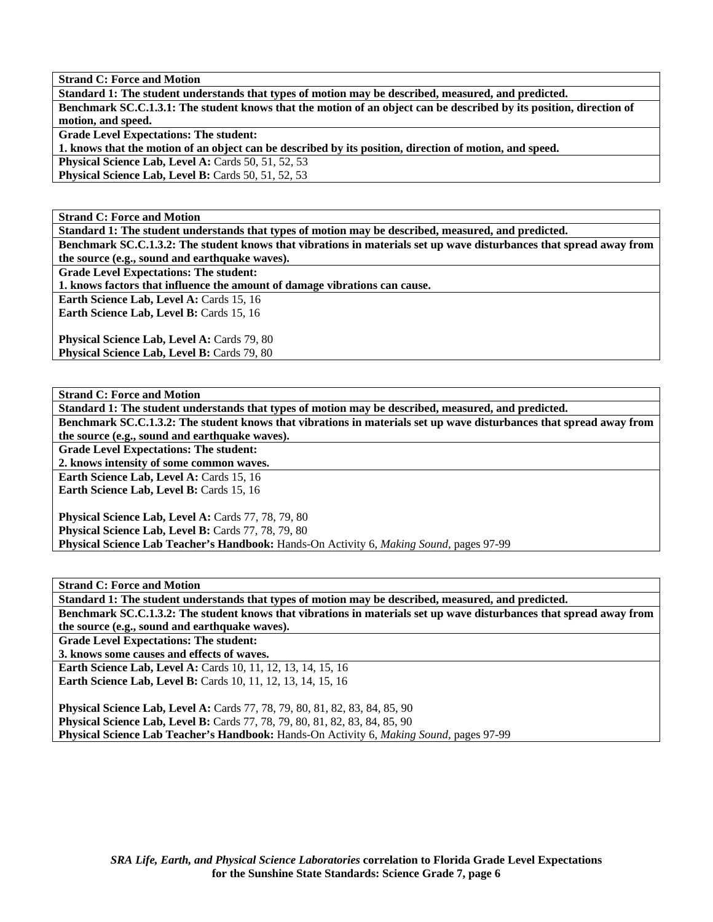**Standard 1: The student understands that types of motion may be described, measured, and predicted. Benchmark SC.C.1.3.1: The student knows that the motion of an object can be described by its position, direction of motion, and speed.** 

**Grade Level Expectations: The student:** 

**1. knows that the motion of an object can be described by its position, direction of motion, and speed.** 

**Physical Science Lab, Level A: Cards 50, 51, 52, 53** 

**Physical Science Lab, Level B: Cards 50, 51, 52, 53** 

**Strand C: Force and Motion** 

**Standard 1: The student understands that types of motion may be described, measured, and predicted.** 

**Benchmark SC.C.1.3.2: The student knows that vibrations in materials set up wave disturbances that spread away from the source (e.g., sound and earthquake waves).** 

**Grade Level Expectations: The student:** 

**1. knows factors that influence the amount of damage vibrations can cause.** 

**Earth Science Lab, Level A: Cards 15, 16** 

Earth Science Lab, Level B: Cards 15, 16

Physical Science Lab, Level A: Cards 79, 80 Physical Science Lab, Level B: Cards 79, 80

**Strand C: Force and Motion** 

**Standard 1: The student understands that types of motion may be described, measured, and predicted.** 

**Benchmark SC.C.1.3.2: The student knows that vibrations in materials set up wave disturbances that spread away from the source (e.g., sound and earthquake waves).** 

**Grade Level Expectations: The student:** 

**2. knows intensity of some common waves.** 

**Earth Science Lab, Level A: Cards 15, 16** Earth Science Lab, Level B: Cards 15, 16

**Physical Science Lab, Level A:** Cards 77, 78, 79, 80 **Physical Science Lab, Level B:** Cards 77, 78, 79, 80 **Physical Science Lab Teacher's Handbook:** Hands-On Activity 6, *Making Sound,* pages 97-99

**Strand C: Force and Motion** 

**Standard 1: The student understands that types of motion may be described, measured, and predicted. Benchmark SC.C.1.3.2: The student knows that vibrations in materials set up wave disturbances that spread away from the source (e.g., sound and earthquake waves).** 

**Grade Level Expectations: The student:** 

**3. knows some causes and effects of waves.** 

**Earth Science Lab, Level A: Cards 10, 11, 12, 13, 14, 15, 16 Earth Science Lab, Level B:** Cards 10, 11, 12, 13, 14, 15, 16

**Physical Science Lab, Level A:** Cards 77, 78, 79, 80, 81, 82, 83, 84, 85, 90 **Physical Science Lab, Level B:** Cards 77, 78, 79, 80, 81, 82, 83, 84, 85, 90 **Physical Science Lab Teacher's Handbook:** Hands-On Activity 6, *Making Sound,* pages 97-99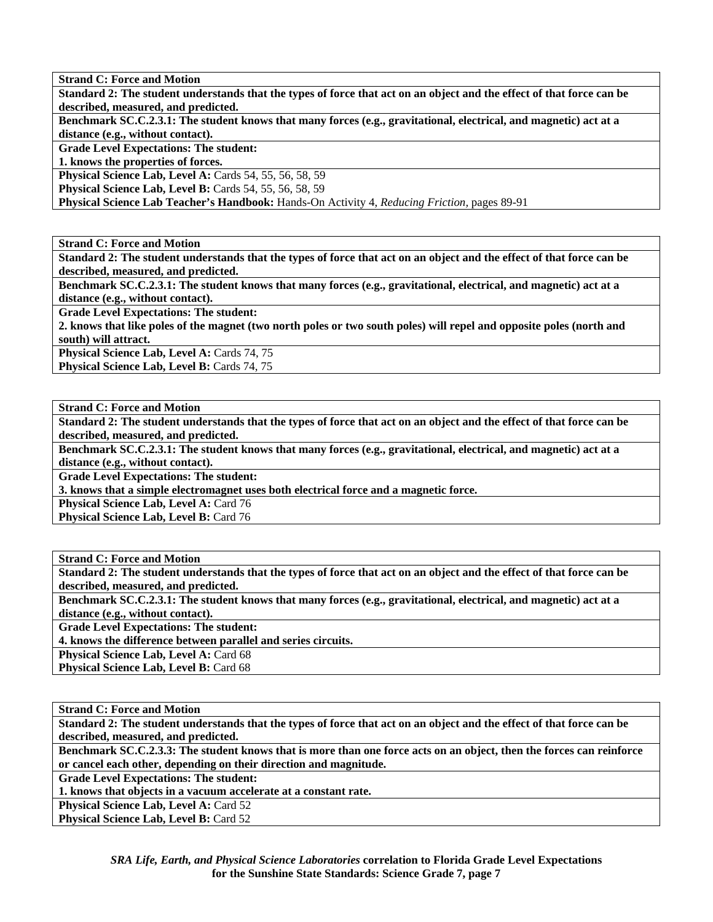**Standard 2: The student understands that the types of force that act on an object and the effect of that force can be described, measured, and predicted.** 

**Benchmark SC.C.2.3.1: The student knows that many forces (e.g., gravitational, electrical, and magnetic) act at a distance (e.g., without contact).** 

**Grade Level Expectations: The student:** 

**1. knows the properties of forces.** 

**Physical Science Lab, Level A: Cards 54, 55, 56, 58, 59** 

**Physical Science Lab, Level B:** Cards 54, 55, 56, 58, 59

**Physical Science Lab Teacher's Handbook:** Hands-On Activity 4, *Reducing Friction,* pages 89-91

**Strand C: Force and Motion** 

**Standard 2: The student understands that the types of force that act on an object and the effect of that force can be described, measured, and predicted.** 

**Benchmark SC.C.2.3.1: The student knows that many forces (e.g., gravitational, electrical, and magnetic) act at a distance (e.g., without contact).** 

**Grade Level Expectations: The student:** 

**2. knows that like poles of the magnet (two north poles or two south poles) will repel and opposite poles (north and south) will attract.** 

Physical Science Lab, Level A: Cards 74, 75

Physical Science Lab, Level B: Cards 74, 75

**Strand C: Force and Motion** 

**Standard 2: The student understands that the types of force that act on an object and the effect of that force can be described, measured, and predicted.** 

**Benchmark SC.C.2.3.1: The student knows that many forces (e.g., gravitational, electrical, and magnetic) act at a distance (e.g., without contact).** 

**Grade Level Expectations: The student:** 

**3. knows that a simple electromagnet uses both electrical force and a magnetic force.** 

**Physical Science Lab, Level A: Card 76** 

**Physical Science Lab, Level B: Card 76** 

**Strand C: Force and Motion** 

**Standard 2: The student understands that the types of force that act on an object and the effect of that force can be described, measured, and predicted.** 

**Benchmark SC.C.2.3.1: The student knows that many forces (e.g., gravitational, electrical, and magnetic) act at a distance (e.g., without contact).** 

**Grade Level Expectations: The student:** 

**4. knows the difference between parallel and series circuits.** 

Physical Science Lab, Level A: Card 68

**Physical Science Lab, Level B: Card 68** 

**Strand C: Force and Motion** 

**Standard 2: The student understands that the types of force that act on an object and the effect of that force can be described, measured, and predicted.** 

**Benchmark SC.C.2.3.3: The student knows that is more than one force acts on an object, then the forces can reinforce or cancel each other, depending on their direction and magnitude.** 

**Grade Level Expectations: The student:** 

**1. knows that objects in a vacuum accelerate at a constant rate.** 

**Physical Science Lab, Level A: Card 52** 

**Physical Science Lab, Level B: Card 52**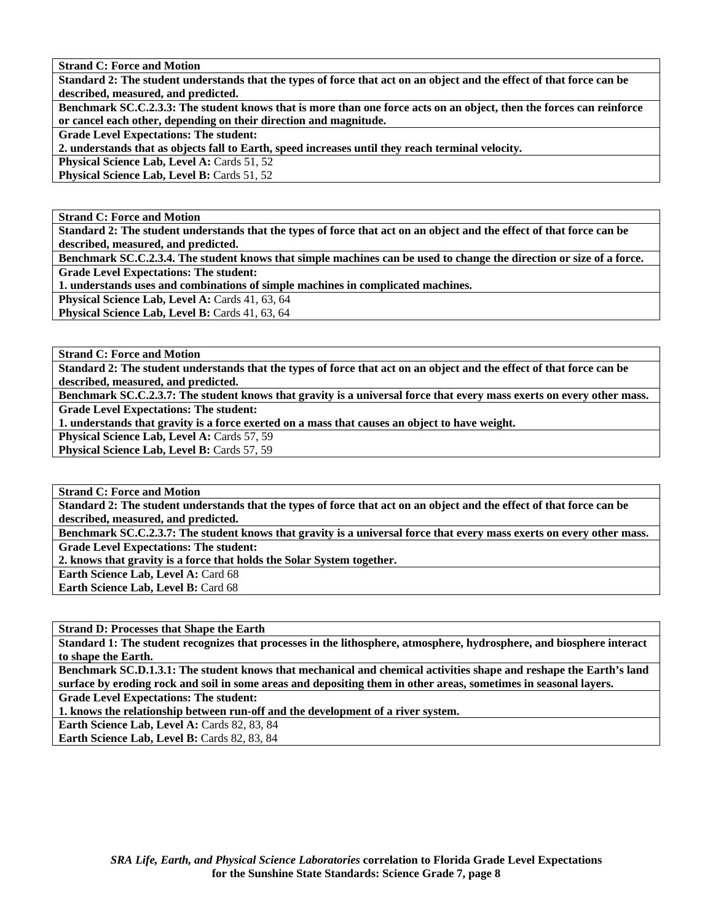**Standard 2: The student understands that the types of force that act on an object and the effect of that force can be described, measured, and predicted.** 

**Benchmark SC.C.2.3.3: The student knows that is more than one force acts on an object, then the forces can reinforce or cancel each other, depending on their direction and magnitude.** 

**Grade Level Expectations: The student:** 

**2. understands that as objects fall to Earth, speed increases until they reach terminal velocity.** 

**Physical Science Lab, Level A: Cards 51, 52** 

**Physical Science Lab, Level B: Cards 51, 52** 

**Strand C: Force and Motion** 

**Standard 2: The student understands that the types of force that act on an object and the effect of that force can be described, measured, and predicted.** 

**Benchmark SC.C.2.3.4. The student knows that simple machines can be used to change the direction or size of a force. Grade Level Expectations: The student:** 

**1. understands uses and combinations of simple machines in complicated machines.** 

Physical Science Lab, Level A: Cards 41, 63, 64

Physical Science Lab, Level B: Cards 41, 63, 64

**Strand C: Force and Motion** 

**Standard 2: The student understands that the types of force that act on an object and the effect of that force can be described, measured, and predicted.** 

**Benchmark SC.C.2.3.7: The student knows that gravity is a universal force that every mass exerts on every other mass. Grade Level Expectations: The student:** 

**1. understands that gravity is a force exerted on a mass that causes an object to have weight.** 

**Physical Science Lab, Level A: Cards 57, 59** 

Physical Science Lab, Level B: Cards 57, 59

**Strand C: Force and Motion** 

**Standard 2: The student understands that the types of force that act on an object and the effect of that force can be described, measured, and predicted.** 

**Benchmark SC.C.2.3.7: The student knows that gravity is a universal force that every mass exerts on every other mass. Grade Level Expectations: The student:** 

**2. knows that gravity is a force that holds the Solar System together.** 

Earth Science Lab, Level A: Card 68

**Earth Science Lab, Level B: Card 68** 

**Strand D: Processes that Shape the Earth** 

**Standard 1: The student recognizes that processes in the lithosphere, atmosphere, hydrosphere, and biosphere interact to shape the Earth.** 

**Benchmark SC.D.1.3.1: The student knows that mechanical and chemical activities shape and reshape the Earth's land surface by eroding rock and soil in some areas and depositing them in other areas, sometimes in seasonal layers.** 

**Grade Level Expectations: The student:** 

**1. knows the relationship between run-off and the development of a river system.** 

Earth Science Lab, Level A: Cards 82, 83, 84

**Earth Science Lab, Level B: Cards 82, 83, 84**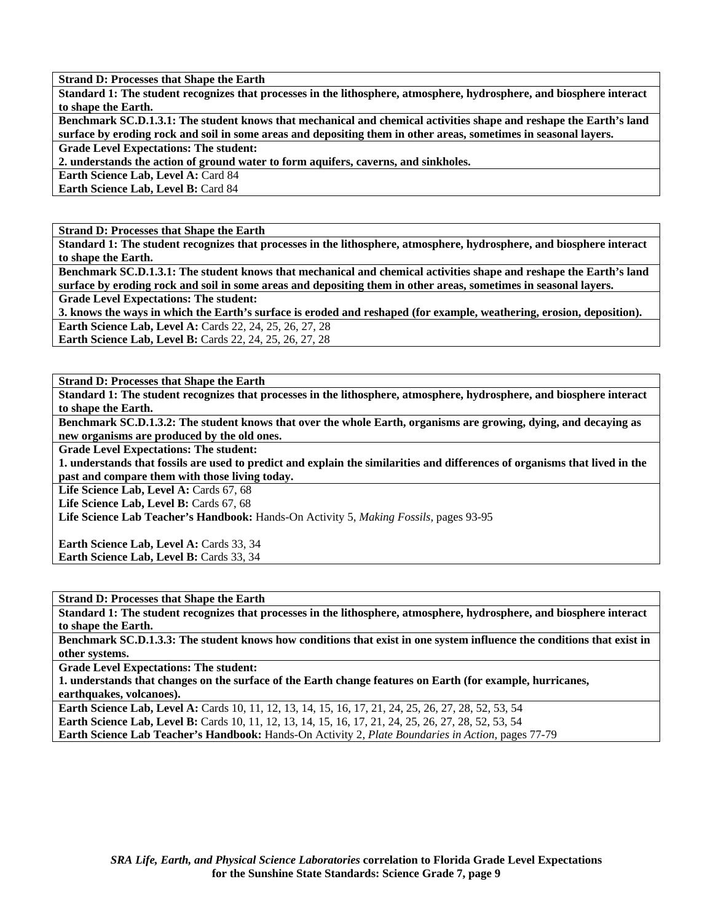**Standard 1: The student recognizes that processes in the lithosphere, atmosphere, hydrosphere, and biosphere interact to shape the Earth.** 

**Benchmark SC.D.1.3.1: The student knows that mechanical and chemical activities shape and reshape the Earth's land surface by eroding rock and soil in some areas and depositing them in other areas, sometimes in seasonal layers.** 

**Grade Level Expectations: The student:** 

**2. understands the action of ground water to form aquifers, caverns, and sinkholes.** 

**Earth Science Lab, Level A: Card 84** 

**Earth Science Lab, Level B:** Card 84

**Strand D: Processes that Shape the Earth** 

**Standard 1: The student recognizes that processes in the lithosphere, atmosphere, hydrosphere, and biosphere interact to shape the Earth.** 

**Benchmark SC.D.1.3.1: The student knows that mechanical and chemical activities shape and reshape the Earth's land surface by eroding rock and soil in some areas and depositing them in other areas, sometimes in seasonal layers.** 

**Grade Level Expectations: The student:** 

**3. knows the ways in which the Earth's surface is eroded and reshaped (for example, weathering, erosion, deposition).** 

**Earth Science Lab, Level A: Cards 22, 24, 25, 26, 27, 28 Earth Science Lab, Level B:** Cards 22, 24, 25, 26, 27, 28

**Strand D: Processes that Shape the Earth** 

**Standard 1: The student recognizes that processes in the lithosphere, atmosphere, hydrosphere, and biosphere interact to shape the Earth.** 

**Benchmark SC.D.1.3.2: The student knows that over the whole Earth, organisms are growing, dying, and decaying as new organisms are produced by the old ones.** 

**Grade Level Expectations: The student:** 

**1. understands that fossils are used to predict and explain the similarities and differences of organisms that lived in the past and compare them with those living today.** 

Life Science Lab, Level A: Cards 67, 68

Life Science Lab, Level B: Cards 67, 68

**Life Science Lab Teacher's Handbook:** Hands-On Activity 5, *Making Fossils,* pages 93-95

Earth Science Lab, Level A: Cards 33, 34 Earth Science Lab, Level B: Cards 33, 34

**Strand D: Processes that Shape the Earth** 

**Standard 1: The student recognizes that processes in the lithosphere, atmosphere, hydrosphere, and biosphere interact to shape the Earth.** 

**Benchmark SC.D.1.3.3: The student knows how conditions that exist in one system influence the conditions that exist in other systems.** 

**Grade Level Expectations: The student:** 

**1. understands that changes on the surface of the Earth change features on Earth (for example, hurricanes, earthquakes, volcanoes).** 

**Earth Science Lab, Level A:** Cards 10, 11, 12, 13, 14, 15, 16, 17, 21, 24, 25, 26, 27, 28, 52, 53, 54 **Earth Science Lab, Level B:** Cards 10, 11, 12, 13, 14, 15, 16, 17, 21, 24, 25, 26, 27, 28, 52, 53, 54 **Earth Science Lab Teacher's Handbook:** Hands-On Activity 2, *Plate Boundaries in Action,* pages 77-79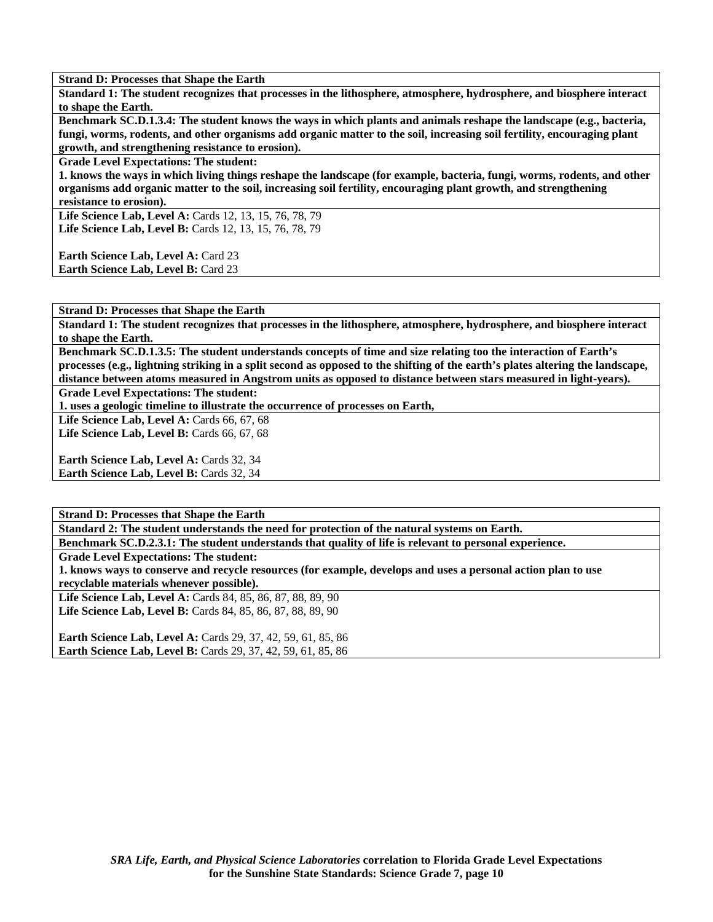**Standard 1: The student recognizes that processes in the lithosphere, atmosphere, hydrosphere, and biosphere interact to shape the Earth.** 

**Benchmark SC.D.1.3.4: The student knows the ways in which plants and animals reshape the landscape (e.g., bacteria, fungi, worms, rodents, and other organisms add organic matter to the soil, increasing soil fertility, encouraging plant growth, and strengthening resistance to erosion).** 

**Grade Level Expectations: The student:** 

**1. knows the ways in which living things reshape the landscape (for example, bacteria, fungi, worms, rodents, and other organisms add organic matter to the soil, increasing soil fertility, encouraging plant growth, and strengthening resistance to erosion).** 

**Life Science Lab, Level A:** Cards 12, 13, 15, 76, 78, 79 Life Science Lab, Level B: Cards 12, 13, 15, 76, 78, 79

**Earth Science Lab, Level A: Card 23 Earth Science Lab, Level B: Card 23** 

**Strand D: Processes that Shape the Earth** 

**Standard 1: The student recognizes that processes in the lithosphere, atmosphere, hydrosphere, and biosphere interact to shape the Earth.** 

**Benchmark SC.D.1.3.5: The student understands concepts of time and size relating too the interaction of Earth's processes (e.g., lightning striking in a split second as opposed to the shifting of the earth's plates altering the landscape, distance between atoms measured in Angstrom units as opposed to distance between stars measured in light-years).** 

**Grade Level Expectations: The student:** 

**1. uses a geologic timeline to illustrate the occurrence of processes on Earth,** 

**Life Science Lab, Level A: Cards 66, 67, 68** 

**Life Science Lab, Level B: Cards 66, 67, 68** 

Earth Science Lab, Level A: Cards 32, 34 Earth Science Lab, Level B: Cards 32, 34

**Strand D: Processes that Shape the Earth** 

**Standard 2: The student understands the need for protection of the natural systems on Earth.** 

**Benchmark SC.D.2.3.1: The student understands that quality of life is relevant to personal experience.** 

**Grade Level Expectations: The student:** 

**1. knows ways to conserve and recycle resources (for example, develops and uses a personal action plan to use recyclable materials whenever possible).** 

**Life Science Lab, Level A:** Cards 84, 85, 86, 87, 88, 89, 90 Life Science Lab, Level B: Cards 84, 85, 86, 87, 88, 89, 90

**Earth Science Lab, Level A:** Cards 29, 37, 42, 59, 61, 85, 86 **Earth Science Lab, Level B:** Cards 29, 37, 42, 59, 61, 85, 86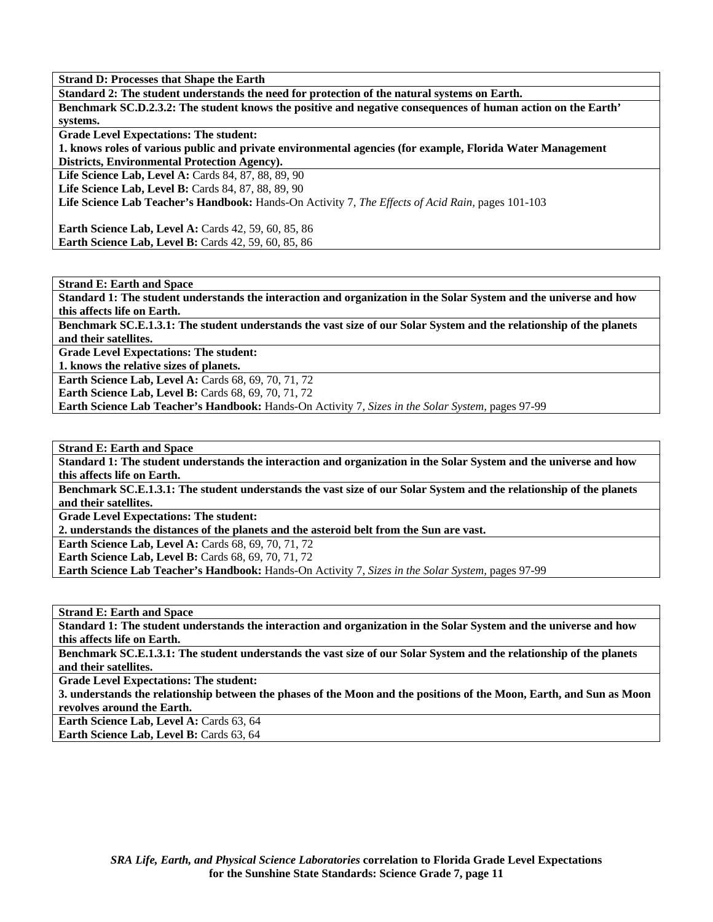**Standard 2: The student understands the need for protection of the natural systems on Earth. Benchmark SC.D.2.3.2: The student knows the positive and negative consequences of human action on the Earth' systems.** 

**Grade Level Expectations: The student:** 

**1. knows roles of various public and private environmental agencies (for example, Florida Water Management Districts, Environmental Protection Agency).** 

Life Science Lab, Level A: Cards 84, 87, 88, 89, 90

Life Science Lab, Level B: Cards 84, 87, 88, 89, 90

**Life Science Lab Teacher's Handbook:** Hands-On Activity 7, *The Effects of Acid Rain,* pages 101-103

**Earth Science Lab, Level A: Cards 42, 59, 60, 85, 86 Earth Science Lab, Level B: Cards 42, 59, 60, 85, 86** 

**Strand E: Earth and Space** 

**Standard 1: The student understands the interaction and organization in the Solar System and the universe and how this affects life on Earth.** 

**Benchmark SC.E.1.3.1: The student understands the vast size of our Solar System and the relationship of the planets and their satellites.** 

**Grade Level Expectations: The student:** 

**1. knows the relative sizes of planets.** 

**Earth Science Lab, Level A: Cards 68, 69, 70, 71, 72** 

**Earth Science Lab, Level B: Cards 68, 69, 70, 71, 72** 

**Earth Science Lab Teacher's Handbook:** Hands-On Activity 7, *Sizes in the Solar System,* pages 97-99

**Strand E: Earth and Space** 

**Standard 1: The student understands the interaction and organization in the Solar System and the universe and how this affects life on Earth.** 

**Benchmark SC.E.1.3.1: The student understands the vast size of our Solar System and the relationship of the planets and their satellites.** 

**Grade Level Expectations: The student:** 

**2. understands the distances of the planets and the asteroid belt from the Sun are vast.** 

**Earth Science Lab, Level A: Cards 68, 69, 70, 71, 72** 

**Earth Science Lab, Level B: Cards 68, 69, 70, 71, 72** 

**Earth Science Lab Teacher's Handbook:** Hands-On Activity 7, *Sizes in the Solar System,* pages 97-99

**Strand E: Earth and Space** 

**Standard 1: The student understands the interaction and organization in the Solar System and the universe and how this affects life on Earth.** 

**Benchmark SC.E.1.3.1: The student understands the vast size of our Solar System and the relationship of the planets and their satellites.** 

**Grade Level Expectations: The student:** 

**3. understands the relationship between the phases of the Moon and the positions of the Moon, Earth, and Sun as Moon revolves around the Earth.** 

Earth Science Lab, Level A: Cards 63, 64

**Earth Science Lab, Level B: Cards 63, 64**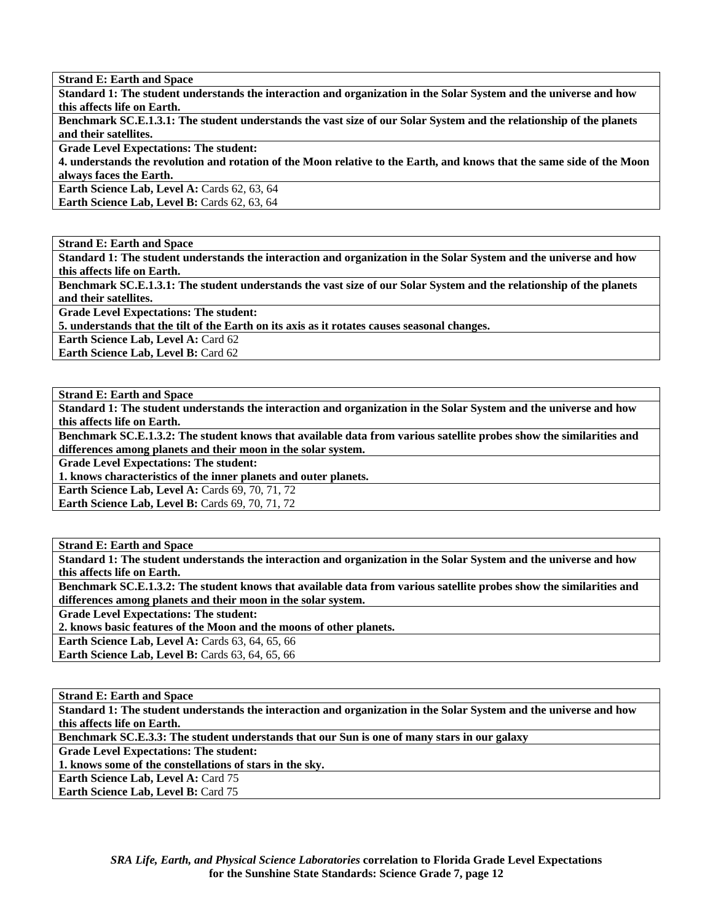**Strand E: Earth and Space** 

**Standard 1: The student understands the interaction and organization in the Solar System and the universe and how this affects life on Earth.** 

**Benchmark SC.E.1.3.1: The student understands the vast size of our Solar System and the relationship of the planets and their satellites.** 

**Grade Level Expectations: The student:** 

**4. understands the revolution and rotation of the Moon relative to the Earth, and knows that the same side of the Moon always faces the Earth.** 

Earth Science Lab, Level A: Cards 62, 63, 64 **Earth Science Lab, Level B: Cards 62, 63, 64** 

**Strand E: Earth and Space** 

**Standard 1: The student understands the interaction and organization in the Solar System and the universe and how this affects life on Earth.** 

**Benchmark SC.E.1.3.1: The student understands the vast size of our Solar System and the relationship of the planets and their satellites.** 

**Grade Level Expectations: The student:** 

**5. understands that the tilt of the Earth on its axis as it rotates causes seasonal changes.** 

**Earth Science Lab, Level A: Card 62** 

**Earth Science Lab, Level B: Card 62** 

**Strand E: Earth and Space** 

**Standard 1: The student understands the interaction and organization in the Solar System and the universe and how this affects life on Earth.** 

**Benchmark SC.E.1.3.2: The student knows that available data from various satellite probes show the similarities and differences among planets and their moon in the solar system.** 

**Grade Level Expectations: The student:** 

**1. knows characteristics of the inner planets and outer planets.** 

**Earth Science Lab, Level A: Cards 69, 70, 71, 72** 

**Earth Science Lab, Level B: Cards 69, 70, 71, 72** 

**Strand E: Earth and Space** 

**Standard 1: The student understands the interaction and organization in the Solar System and the universe and how this affects life on Earth.** 

**Benchmark SC.E.1.3.2: The student knows that available data from various satellite probes show the similarities and differences among planets and their moon in the solar system.** 

**Grade Level Expectations: The student:** 

**2. knows basic features of the Moon and the moons of other planets.** 

**Earth Science Lab, Level A: Cards 63, 64, 65, 66** 

**Earth Science Lab, Level B: Cards 63, 64, 65, 66** 

**Strand E: Earth and Space Standard 1: The student understands the interaction and organization in the Solar System and the universe and how this affects life on Earth. Benchmark SC.E.3.3: The student understands that our Sun is one of many stars in our galaxy** 

**Grade Level Expectations: The student:** 

**1. knows some of the constellations of stars in the sky.** 

**Earth Science Lab, Level A: Card 75** 

**Earth Science Lab, Level B: Card 75**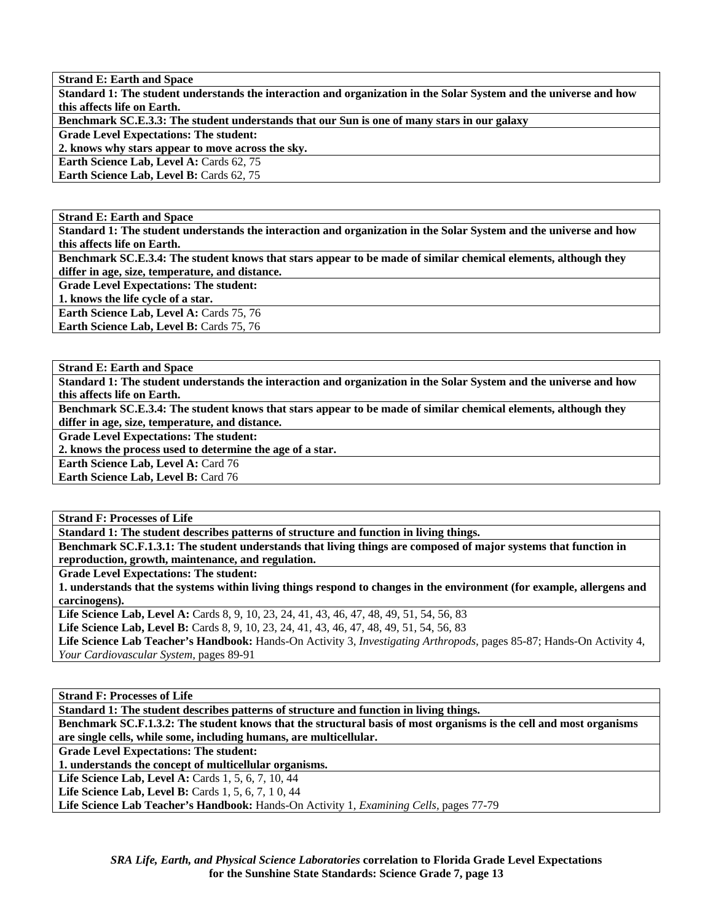**Strand E: Earth and Space Standard 1: The student understands the interaction and organization in the Solar System and the universe and how this affects life on Earth. Benchmark SC.E.3.3: The student understands that our Sun is one of many stars in our galaxy Grade Level Expectations: The student: 2. knows why stars appear to move across the sky. Earth Science Lab, Level A: Cards 62, 75 Earth Science Lab, Level B: Cards 62, 75** 

**Strand E: Earth and Space** 

**Standard 1: The student understands the interaction and organization in the Solar System and the universe and how this affects life on Earth.** 

**Benchmark SC.E.3.4: The student knows that stars appear to be made of similar chemical elements, although they differ in age, size, temperature, and distance.** 

**Grade Level Expectations: The student:** 

**1. knows the life cycle of a star.** 

Earth Science Lab, Level A: Cards 75, 76

Earth Science Lab, Level B: Cards 75, 76

**Strand E: Earth and Space** 

**Standard 1: The student understands the interaction and organization in the Solar System and the universe and how this affects life on Earth.** 

**Benchmark SC.E.3.4: The student knows that stars appear to be made of similar chemical elements, although they differ in age, size, temperature, and distance.** 

**Grade Level Expectations: The student:** 

**2. knows the process used to determine the age of a star.** 

**Earth Science Lab, Level A: Card 76** 

**Earth Science Lab, Level B: Card 76** 

**Strand F: Processes of Life** 

**Standard 1: The student describes patterns of structure and function in living things.** 

**Benchmark SC.F.1.3.1: The student understands that living things are composed of major systems that function in reproduction, growth, maintenance, and regulation.** 

**Grade Level Expectations: The student:** 

**1. understands that the systems within living things respond to changes in the environment (for example, allergens and carcinogens).** 

Life Science Lab, Level A: Cards 8, 9, 10, 23, 24, 41, 43, 46, 47, 48, 49, 51, 54, 56, 83

Life Science Lab, Level B: Cards 8, 9, 10, 23, 24, 41, 43, 46, 47, 48, 49, 51, 54, 56, 83

**Life Science Lab Teacher's Handbook:** Hands-On Activity 3, *Investigating Arthropods,* pages 85-87; Hands-On Activity 4, *Your Cardiovascular System,* pages 89-91

**Strand F: Processes of Life** 

**Standard 1: The student describes patterns of structure and function in living things.** 

**Benchmark SC.F.1.3.2: The student knows that the structural basis of most organisms is the cell and most organisms are single cells, while some, including humans, are multicellular.** 

**Grade Level Expectations: The student:** 

**1. understands the concept of multicellular organisms.** 

**Life Science Lab, Level A: Cards 1, 5, 6, 7, 10, 44** 

**Life Science Lab, Level B:** Cards 1, 5, 6, 7, 10, 44

**Life Science Lab Teacher's Handbook:** Hands-On Activity 1, *Examining Cells,* pages 77-79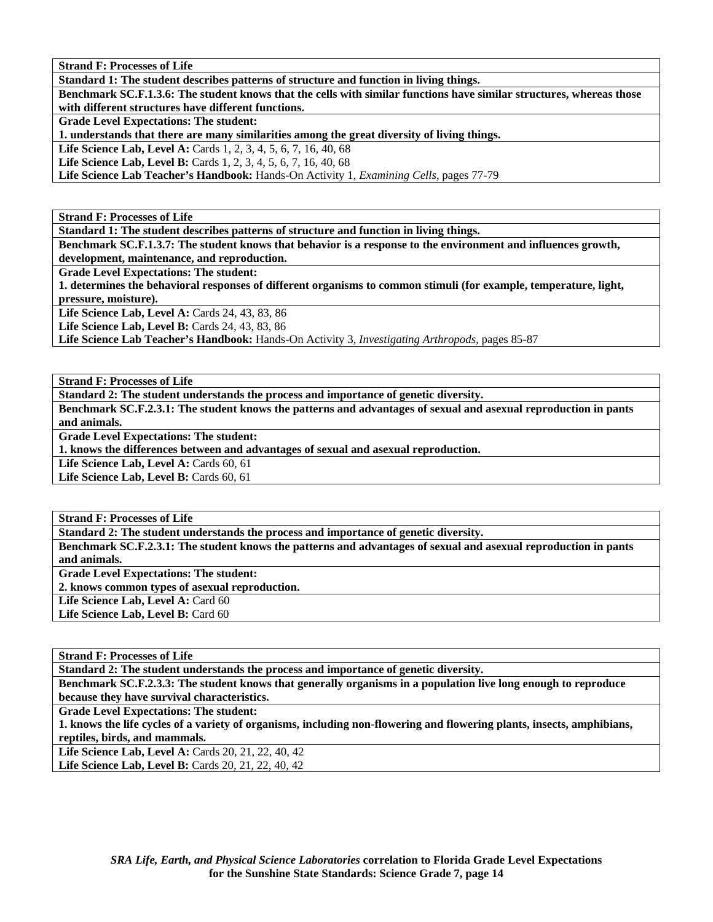**Standard 1: The student describes patterns of structure and function in living things.** 

**Benchmark SC.F.1.3.6: The student knows that the cells with similar functions have similar structures, whereas those with different structures have different functions.** 

**Grade Level Expectations: The student:** 

**1. understands that there are many similarities among the great diversity of living things.** 

Life Science Lab, Level A: Cards 1, 2, 3, 4, 5, 6, 7, 16, 40, 68

Life Science Lab, Level B: Cards 1, 2, 3, 4, 5, 6, 7, 16, 40, 68

**Life Science Lab Teacher's Handbook:** Hands-On Activity 1, *Examining Cells,* pages 77-79

**Strand F: Processes of Life** 

**Standard 1: The student describes patterns of structure and function in living things.** 

**Benchmark SC.F.1.3.7: The student knows that behavior is a response to the environment and influences growth, development, maintenance, and reproduction.** 

**Grade Level Expectations: The student:** 

**1. determines the behavioral responses of different organisms to common stimuli (for example, temperature, light, pressure, moisture).** 

Life Science Lab, Level A: Cards 24, 43, 83, 86

Life Science Lab, Level B: Cards 24, 43, 83, 86

**Life Science Lab Teacher's Handbook:** Hands-On Activity 3, *Investigating Arthropods,* pages 85-87

**Strand F: Processes of Life** 

**Standard 2: The student understands the process and importance of genetic diversity.** 

**Benchmark SC.F.2.3.1: The student knows the patterns and advantages of sexual and asexual reproduction in pants and animals.** 

**Grade Level Expectations: The student:** 

**1. knows the differences between and advantages of sexual and asexual reproduction.** 

Life Science Lab, Level A: Cards 60, 61

Life Science Lab, Level B: Cards 60, 61

**Strand F: Processes of Life** 

**Standard 2: The student understands the process and importance of genetic diversity.** 

**Benchmark SC.F.2.3.1: The student knows the patterns and advantages of sexual and asexual reproduction in pants and animals. Grade Level Expectations: The student:** 

**2. knows common types of asexual reproduction.** 

Life Science Lab, Level A: Card 60

Life Science Lab, Level B: Card 60

**Strand F: Processes of Life** 

**Standard 2: The student understands the process and importance of genetic diversity.** 

**Benchmark SC.F.2.3.3: The student knows that generally organisms in a population live long enough to reproduce because they have survival characteristics.** 

**Grade Level Expectations: The student:** 

**1. knows the life cycles of a variety of organisms, including non-flowering and flowering plants, insects, amphibians, reptiles, birds, and mammals.** 

**Life Science Lab, Level A: Cards 20, 21, 22, 40, 42 Life Science Lab, Level B:** Cards 20, 21, 22, 40, 42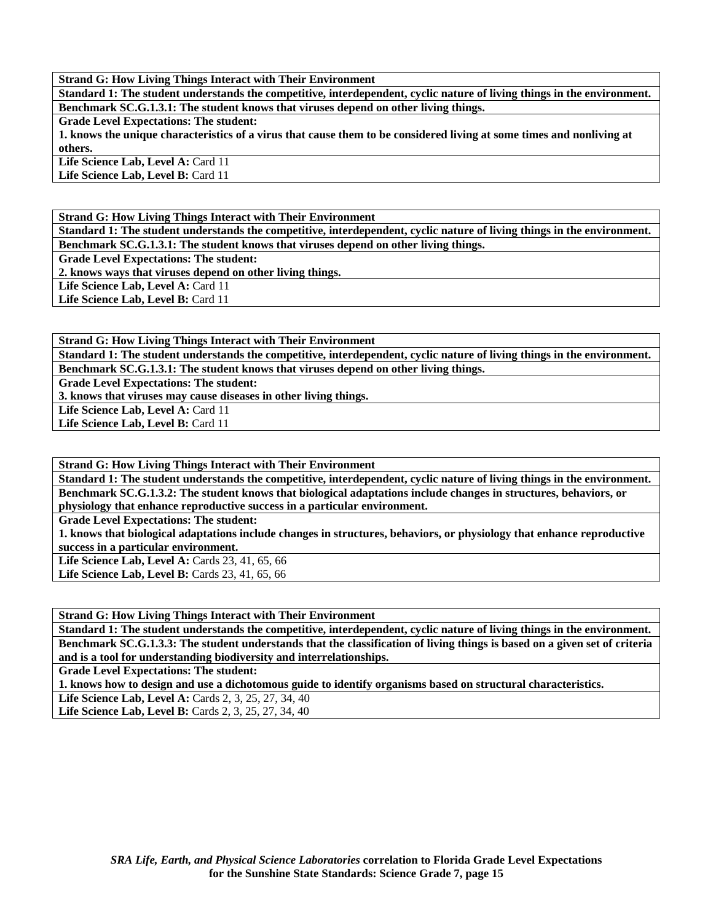**Standard 1: The student understands the competitive, interdependent, cyclic nature of living things in the environment. Benchmark SC.G.1.3.1: The student knows that viruses depend on other living things.** 

**Grade Level Expectations: The student:** 

**1. knows the unique characteristics of a virus that cause them to be considered living at some times and nonliving at others.** 

Life Science Lab, Level A: Card 11

Life Science Lab, Level B: Card 11

**Strand G: How Living Things Interact with Their Environment** 

**Standard 1: The student understands the competitive, interdependent, cyclic nature of living things in the environment. Benchmark SC.G.1.3.1: The student knows that viruses depend on other living things.** 

**Grade Level Expectations: The student:** 

**2. knows ways that viruses depend on other living things.** 

Life Science Lab, Level A: Card 11

**Life Science Lab, Level B:** Card 11

**Strand G: How Living Things Interact with Their Environment** 

**Standard 1: The student understands the competitive, interdependent, cyclic nature of living things in the environment. Benchmark SC.G.1.3.1: The student knows that viruses depend on other living things.** 

**Grade Level Expectations: The student:** 

**3. knows that viruses may cause diseases in other living things.** 

Life Science Lab, Level A: Card 11

Life Science Lab, Level B: Card 11

**Strand G: How Living Things Interact with Their Environment** 

**Standard 1: The student understands the competitive, interdependent, cyclic nature of living things in the environment. Benchmark SC.G.1.3.2: The student knows that biological adaptations include changes in structures, behaviors, or physiology that enhance reproductive success in a particular environment.** 

**Grade Level Expectations: The student:** 

**1. knows that biological adaptations include changes in structures, behaviors, or physiology that enhance reproductive success in a particular environment.** 

Life Science Lab, Level A: Cards 23, 41, 65, 66

Life Science Lab, Level B: Cards 23, 41, 65, 66

**Strand G: How Living Things Interact with Their Environment** 

**Standard 1: The student understands the competitive, interdependent, cyclic nature of living things in the environment. Benchmark SC.G.1.3.3: The student understands that the classification of living things is based on a given set of criteria and is a tool for understanding biodiversity and interrelationships.** 

**Grade Level Expectations: The student:** 

**1. knows how to design and use a dichotomous guide to identify organisms based on structural characteristics.** 

**Life Science Lab, Level A: Cards 2, 3, 25, 27, 34, 40** 

Life Science Lab, Level B: Cards 2, 3, 25, 27, 34, 40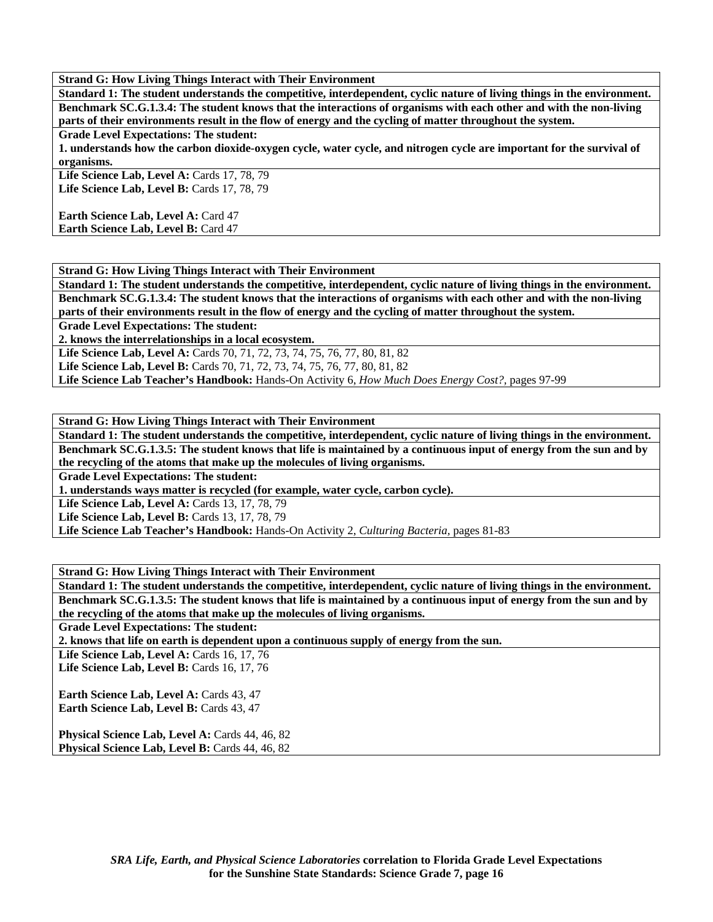**Standard 1: The student understands the competitive, interdependent, cyclic nature of living things in the environment. Benchmark SC.G.1.3.4: The student knows that the interactions of organisms with each other and with the non-living parts of their environments result in the flow of energy and the cycling of matter throughout the system.** 

**Grade Level Expectations: The student:** 

**1. understands how the carbon dioxide-oxygen cycle, water cycle, and nitrogen cycle are important for the survival of organisms.** 

**Life Science Lab, Level A:** Cards 17, 78, 79 Life Science Lab, Level B: Cards 17, 78, 79

**Earth Science Lab, Level A: Card 47 Earth Science Lab, Level B: Card 47** 

**Strand G: How Living Things Interact with Their Environment** 

**Standard 1: The student understands the competitive, interdependent, cyclic nature of living things in the environment. Benchmark SC.G.1.3.4: The student knows that the interactions of organisms with each other and with the non-living parts of their environments result in the flow of energy and the cycling of matter throughout the system.** 

**Grade Level Expectations: The student:** 

**2. knows the interrelationships in a local ecosystem.** 

Life Science Lab, Level A: Cards 70, 71, 72, 73, 74, 75, 76, 77, 80, 81, 82

Life Science Lab, Level B: Cards 70, 71, 72, 73, 74, 75, 76, 77, 80, 81, 82

**Life Science Lab Teacher's Handbook:** Hands-On Activity 6, *How Much Does Energy Cost?,* pages 97-99

**Strand G: How Living Things Interact with Their Environment** 

**Standard 1: The student understands the competitive, interdependent, cyclic nature of living things in the environment. Benchmark SC.G.1.3.5: The student knows that life is maintained by a continuous input of energy from the sun and by the recycling of the atoms that make up the molecules of living organisms.** 

**Grade Level Expectations: The student:** 

**1. understands ways matter is recycled (for example, water cycle, carbon cycle).** 

Life Science Lab, Level A: Cards 13, 17, 78, 79

**Life Science Lab, Level B: Cards 13, 17, 78, 79** 

**Life Science Lab Teacher's Handbook:** Hands-On Activity 2, *Culturing Bacteria,* pages 81-83

**Strand G: How Living Things Interact with Their Environment** 

**Standard 1: The student understands the competitive, interdependent, cyclic nature of living things in the environment. Benchmark SC.G.1.3.5: The student knows that life is maintained by a continuous input of energy from the sun and by the recycling of the atoms that make up the molecules of living organisms.** 

**Grade Level Expectations: The student:** 

**2. knows that life on earth is dependent upon a continuous supply of energy from the sun.** 

Life Science Lab, Level A: Cards 16, 17, 76

**Life Science Lab, Level B: Cards 16, 17, 76** 

**Earth Science Lab, Level A: Cards 43, 47** Earth Science Lab, Level B: Cards 43, 47

Physical Science Lab, Level A: Cards 44, 46, 82 Physical Science Lab, Level B: Cards 44, 46, 82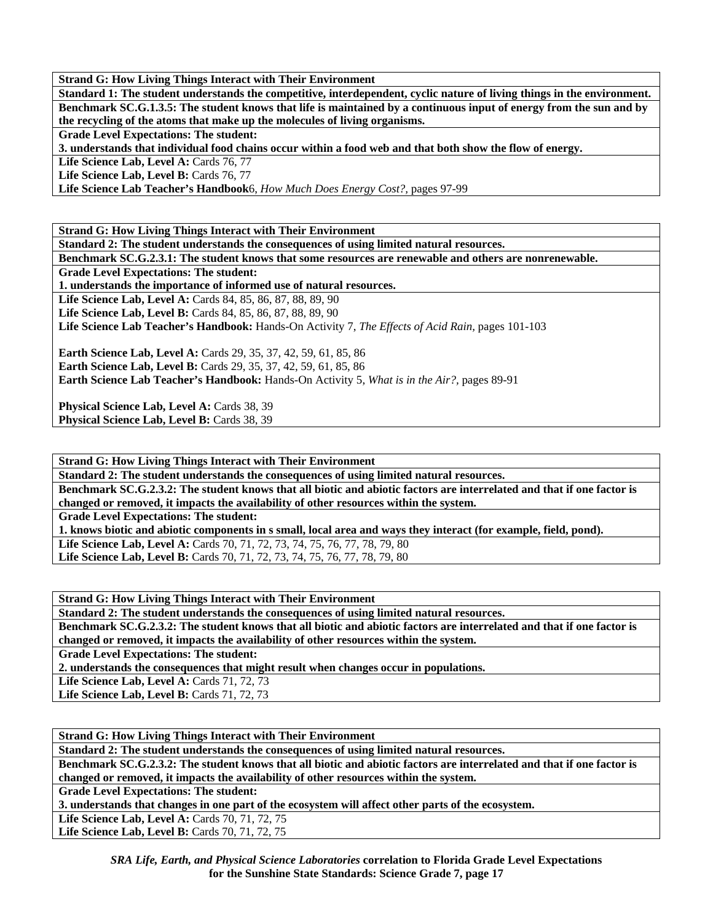**Standard 1: The student understands the competitive, interdependent, cyclic nature of living things in the environment. Benchmark SC.G.1.3.5: The student knows that life is maintained by a continuous input of energy from the sun and by the recycling of the atoms that make up the molecules of living organisms.** 

**Grade Level Expectations: The student:** 

**3. understands that individual food chains occur within a food web and that both show the flow of energy.** 

Life Science Lab, Level A: Cards 76, 77

Life Science Lab, Level B: Cards 76, 77

**Life Science Lab Teacher's Handbook**6, *How Much Does Energy Cost?,* pages 97-99

**Strand G: How Living Things Interact with Their Environment** 

**Standard 2: The student understands the consequences of using limited natural resources.** 

**Benchmark SC.G.2.3.1: The student knows that some resources are renewable and others are nonrenewable.** 

**Grade Level Expectations: The student:** 

**1. understands the importance of informed use of natural resources.** 

Life Science Lab, Level A: Cards 84, 85, 86, 87, 88, 89, 90

**Life Science Lab, Level B:** Cards 84, 85, 86, 87, 88, 89, 90

**Life Science Lab Teacher's Handbook:** Hands-On Activity 7, *The Effects of Acid Rain,* pages 101-103

**Earth Science Lab, Level A: Cards 29, 35, 37, 42, 59, 61, 85, 86 Earth Science Lab, Level B:** Cards 29, 35, 37, 42, 59, 61, 85, 86

**Earth Science Lab Teacher's Handbook:** Hands-On Activity 5, *What is in the Air?,* pages 89-91

**Physical Science Lab, Level A: Cards 38, 39** Physical Science Lab, Level B: Cards 38, 39

**Strand G: How Living Things Interact with Their Environment** 

**Standard 2: The student understands the consequences of using limited natural resources. Benchmark SC.G.2.3.2: The student knows that all biotic and abiotic factors are interrelated and that if one factor is changed or removed, it impacts the availability of other resources within the system. Grade Level Expectations: The student: 1. knows biotic and abiotic components in s small, local area and ways they interact (for example, field, pond).**  Life Science Lab, Level A: Cards 70, 71, 72, 73, 74, 75, 76, 77, 78, 79, 80 Life Science Lab, Level B: Cards 70, 71, 72, 73, 74, 75, 76, 77, 78, 79, 80

**Strand G: How Living Things Interact with Their Environment** 

**Standard 2: The student understands the consequences of using limited natural resources.** 

**Benchmark SC.G.2.3.2: The student knows that all biotic and abiotic factors are interrelated and that if one factor is changed or removed, it impacts the availability of other resources within the system.** 

**Grade Level Expectations: The student:** 

**2. understands the consequences that might result when changes occur in populations.** 

Life Science Lab, Level A: Cards 71, 72, 73

**Life Science Lab, Level B: Cards 71, 72, 73** 

**Strand G: How Living Things Interact with Their Environment** 

**Standard 2: The student understands the consequences of using limited natural resources.** 

**Benchmark SC.G.2.3.2: The student knows that all biotic and abiotic factors are interrelated and that if one factor is** 

**changed or removed, it impacts the availability of other resources within the system.** 

**Grade Level Expectations: The student:** 

**3. understands that changes in one part of the ecosystem will affect other parts of the ecosystem.** 

Life Science Lab, Level A: Cards 70, 71, 72, 75

Life Science Lab, Level B: Cards 70, 71, 72, 75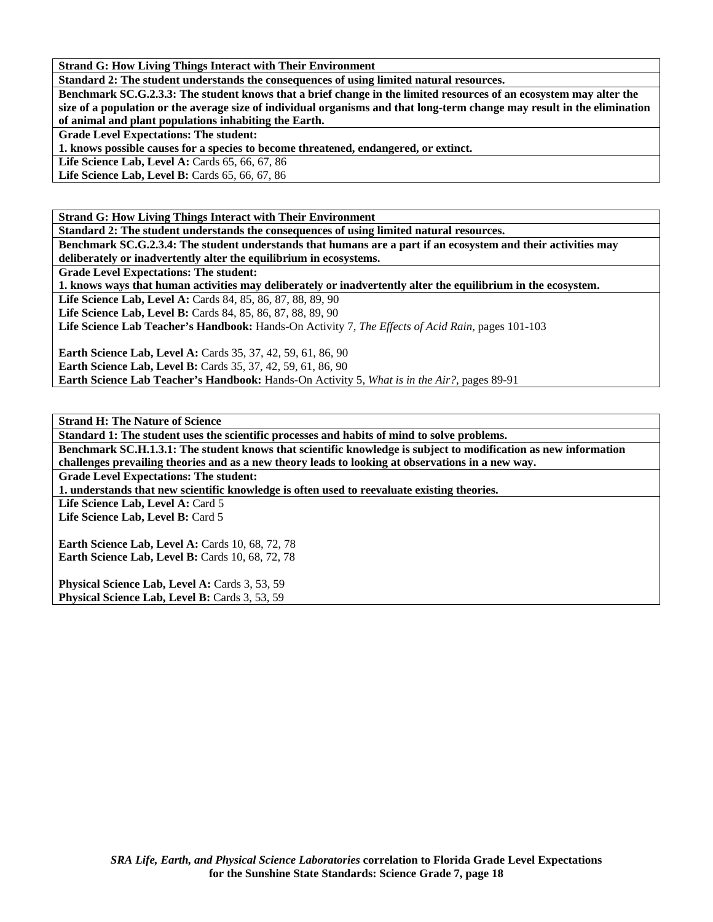**Standard 2: The student understands the consequences of using limited natural resources.** 

**Benchmark SC.G.2.3.3: The student knows that a brief change in the limited resources of an ecosystem may alter the size of a population or the average size of individual organisms and that long-term change may result in the elimination of animal and plant populations inhabiting the Earth.** 

**Grade Level Expectations: The student:** 

**1. knows possible causes for a species to become threatened, endangered, or extinct.** 

Life Science Lab, Level A: Cards 65, 66, 67, 86

Life Science Lab, Level B: Cards 65, 66, 67, 86

**Strand G: How Living Things Interact with Their Environment** 

**Standard 2: The student understands the consequences of using limited natural resources.** 

**Benchmark SC.G.2.3.4: The student understands that humans are a part if an ecosystem and their activities may deliberately or inadvertently alter the equilibrium in ecosystems.** 

**Grade Level Expectations: The student:** 

**1. knows ways that human activities may deliberately or inadvertently alter the equilibrium in the ecosystem.** 

Life Science Lab, Level A: Cards 84, 85, 86, 87, 88, 89, 90

**Life Science Lab, Level B:** Cards 84, 85, 86, 87, 88, 89, 90

**Life Science Lab Teacher's Handbook:** Hands-On Activity 7, *The Effects of Acid Rain,* pages 101-103

**Earth Science Lab, Level A: Cards 35, 37, 42, 59, 61, 86, 90 Earth Science Lab, Level B:** Cards 35, 37, 42, 59, 61, 86, 90

**Earth Science Lab Teacher's Handbook:** Hands-On Activity 5, *What is in the Air?,* pages 89-91

**Strand H: The Nature of Science** 

**Standard 1: The student uses the scientific processes and habits of mind to solve problems.** 

**Benchmark SC.H.1.3.1: The student knows that scientific knowledge is subject to modification as new information challenges prevailing theories and as a new theory leads to looking at observations in a new way.** 

**Grade Level Expectations: The student:** 

**1. understands that new scientific knowledge is often used to reevaluate existing theories.** 

Life Science Lab, Level A: Card 5

Life Science Lab, Level B: Card 5

**Earth Science Lab, Level A: Cards 10, 68, 72, 78 Earth Science Lab, Level B: Cards 10, 68, 72, 78** 

Physical Science Lab, Level A: Cards 3, 53, 59 Physical Science Lab, Level B: Cards 3, 53, 59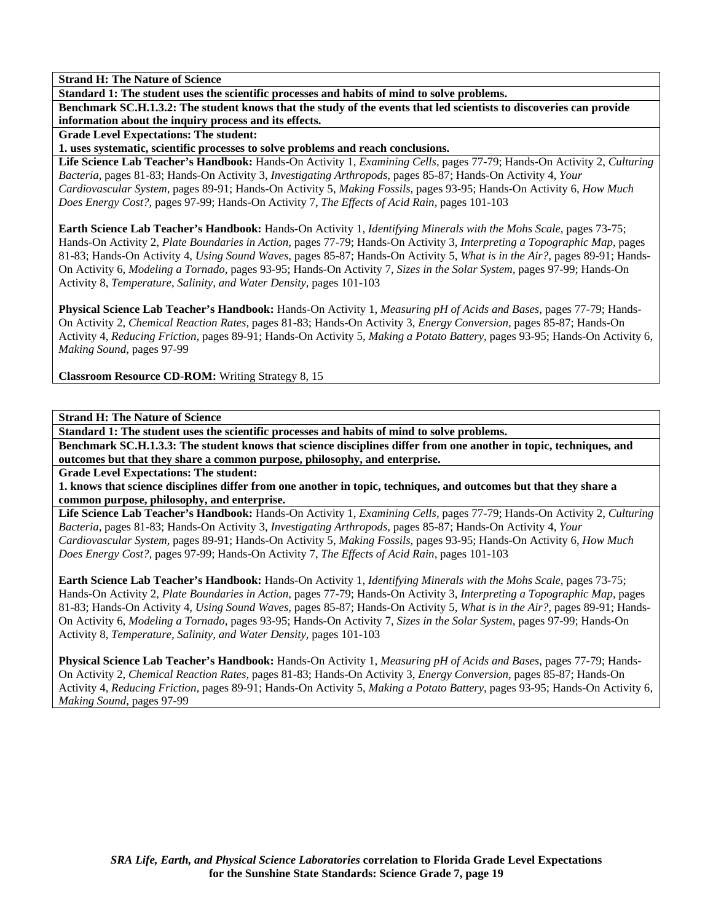**Standard 1: The student uses the scientific processes and habits of mind to solve problems.** 

**Benchmark SC.H.1.3.2: The student knows that the study of the events that led scientists to discoveries can provide information about the inquiry process and its effects.** 

**Grade Level Expectations: The student:** 

**1. uses systematic, scientific processes to solve problems and reach conclusions.** 

**Life Science Lab Teacher's Handbook:** Hands-On Activity 1, *Examining Cells,* pages 77-79; Hands-On Activity 2, *Culturing Bacteria,* pages 81-83; Hands-On Activity 3, *Investigating Arthropods,* pages 85-87; Hands-On Activity 4, *Your Cardiovascular System,* pages 89-91; Hands-On Activity 5, *Making Fossils,* pages 93-95; Hands-On Activity 6, *How Much Does Energy Cost?,* pages 97-99; Hands-On Activity 7, *The Effects of Acid Rain,* pages 101-103

**Earth Science Lab Teacher's Handbook:** Hands-On Activity 1, *Identifying Minerals with the Mohs Scale,* pages 73-75; Hands-On Activity 2, *Plate Boundaries in Action,* pages 77-79; Hands-On Activity 3, *Interpreting a Topographic Map,* pages 81-83; Hands-On Activity 4, *Using Sound Waves,* pages 85-87; Hands-On Activity 5, *What is in the Air?,* pages 89-91; Hands-On Activity 6, *Modeling a Tornado,* pages 93-95; Hands-On Activity 7, *Sizes in the Solar System,* pages 97-99; Hands-On Activity 8, *Temperature, Salinity, and Water Density,* pages 101-103

**Physical Science Lab Teacher's Handbook:** Hands-On Activity 1, *Measuring pH of Acids and Bases,* pages 77-79; Hands-On Activity 2, *Chemical Reaction Rates,* pages 81-83; Hands-On Activity 3, *Energy Conversion,* pages 85-87; Hands-On Activity 4, *Reducing Friction,* pages 89-91; Hands-On Activity 5, *Making a Potato Battery,* pages 93-95; Hands-On Activity 6, *Making Sound,* pages 97-99

**Classroom Resource CD-ROM:** Writing Strategy 8, 15

**Strand H: The Nature of Science** 

**Standard 1: The student uses the scientific processes and habits of mind to solve problems.** 

**Benchmark SC.H.1.3.3: The student knows that science disciplines differ from one another in topic, techniques, and outcomes but that they share a common purpose, philosophy, and enterprise.** 

**Grade Level Expectations: The student:** 

**1. knows that science disciplines differ from one another in topic, techniques, and outcomes but that they share a common purpose, philosophy, and enterprise.** 

**Life Science Lab Teacher's Handbook:** Hands-On Activity 1, *Examining Cells,* pages 77-79; Hands-On Activity 2, *Culturing Bacteria,* pages 81-83; Hands-On Activity 3, *Investigating Arthropods,* pages 85-87; Hands-On Activity 4, *Your Cardiovascular System,* pages 89-91; Hands-On Activity 5, *Making Fossils,* pages 93-95; Hands-On Activity 6, *How Much Does Energy Cost?,* pages 97-99; Hands-On Activity 7, *The Effects of Acid Rain,* pages 101-103

**Earth Science Lab Teacher's Handbook:** Hands-On Activity 1, *Identifying Minerals with the Mohs Scale,* pages 73-75; Hands-On Activity 2, *Plate Boundaries in Action,* pages 77-79; Hands-On Activity 3, *Interpreting a Topographic Map,* pages 81-83; Hands-On Activity 4, *Using Sound Waves,* pages 85-87; Hands-On Activity 5, *What is in the Air?,* pages 89-91; Hands-On Activity 6, *Modeling a Tornado,* pages 93-95; Hands-On Activity 7, *Sizes in the Solar System,* pages 97-99; Hands-On Activity 8, *Temperature, Salinity, and Water Density,* pages 101-103

**Physical Science Lab Teacher's Handbook:** Hands-On Activity 1, *Measuring pH of Acids and Bases,* pages 77-79; Hands-On Activity 2, *Chemical Reaction Rates,* pages 81-83; Hands-On Activity 3, *Energy Conversion,* pages 85-87; Hands-On Activity 4, *Reducing Friction,* pages 89-91; Hands-On Activity 5, *Making a Potato Battery,* pages 93-95; Hands-On Activity 6, *Making Sound,* pages 97-99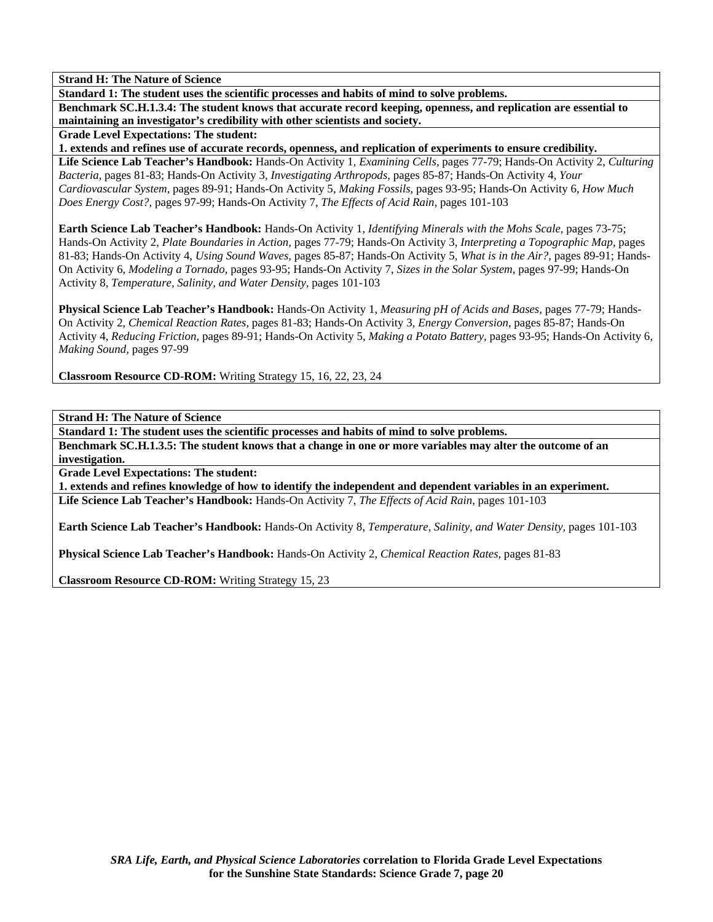**Standard 1: The student uses the scientific processes and habits of mind to solve problems.** 

**Benchmark SC.H.1.3.4: The student knows that accurate record keeping, openness, and replication are essential to maintaining an investigator's credibility with other scientists and society.** 

**Grade Level Expectations: The student:** 

**1. extends and refines use of accurate records, openness, and replication of experiments to ensure credibility.** 

**Life Science Lab Teacher's Handbook:** Hands-On Activity 1, *Examining Cells,* pages 77-79; Hands-On Activity 2, *Culturing Bacteria,* pages 81-83; Hands-On Activity 3, *Investigating Arthropods,* pages 85-87; Hands-On Activity 4, *Your Cardiovascular System,* pages 89-91; Hands-On Activity 5, *Making Fossils,* pages 93-95; Hands-On Activity 6, *How Much Does Energy Cost?,* pages 97-99; Hands-On Activity 7, *The Effects of Acid Rain,* pages 101-103

**Earth Science Lab Teacher's Handbook:** Hands-On Activity 1, *Identifying Minerals with the Mohs Scale,* pages 73-75; Hands-On Activity 2, *Plate Boundaries in Action,* pages 77-79; Hands-On Activity 3, *Interpreting a Topographic Map,* pages 81-83; Hands-On Activity 4, *Using Sound Waves,* pages 85-87; Hands-On Activity 5, *What is in the Air?,* pages 89-91; Hands-On Activity 6, *Modeling a Tornado,* pages 93-95; Hands-On Activity 7, *Sizes in the Solar System,* pages 97-99; Hands-On Activity 8, *Temperature, Salinity, and Water Density,* pages 101-103

**Physical Science Lab Teacher's Handbook:** Hands-On Activity 1, *Measuring pH of Acids and Bases,* pages 77-79; Hands-On Activity 2, *Chemical Reaction Rates,* pages 81-83; Hands-On Activity 3, *Energy Conversion,* pages 85-87; Hands-On Activity 4, *Reducing Friction,* pages 89-91; Hands-On Activity 5, *Making a Potato Battery,* pages 93-95; Hands-On Activity 6, *Making Sound,* pages 97-99

**Classroom Resource CD-ROM:** Writing Strategy 15, 16, 22, 23, 24

**Strand H: The Nature of Science** 

**Standard 1: The student uses the scientific processes and habits of mind to solve problems.** 

**Benchmark SC.H.1.3.5: The student knows that a change in one or more variables may alter the outcome of an investigation.** 

**Grade Level Expectations: The student:** 

**1. extends and refines knowledge of how to identify the independent and dependent variables in an experiment. Life Science Lab Teacher's Handbook:** Hands-On Activity 7, *The Effects of Acid Rain,* pages 101-103

**Earth Science Lab Teacher's Handbook:** Hands-On Activity 8, *Temperature, Salinity, and Water Density,* pages 101-103

**Physical Science Lab Teacher's Handbook:** Hands-On Activity 2, *Chemical Reaction Rates,* pages 81-83

**Classroom Resource CD-ROM:** Writing Strategy 15, 23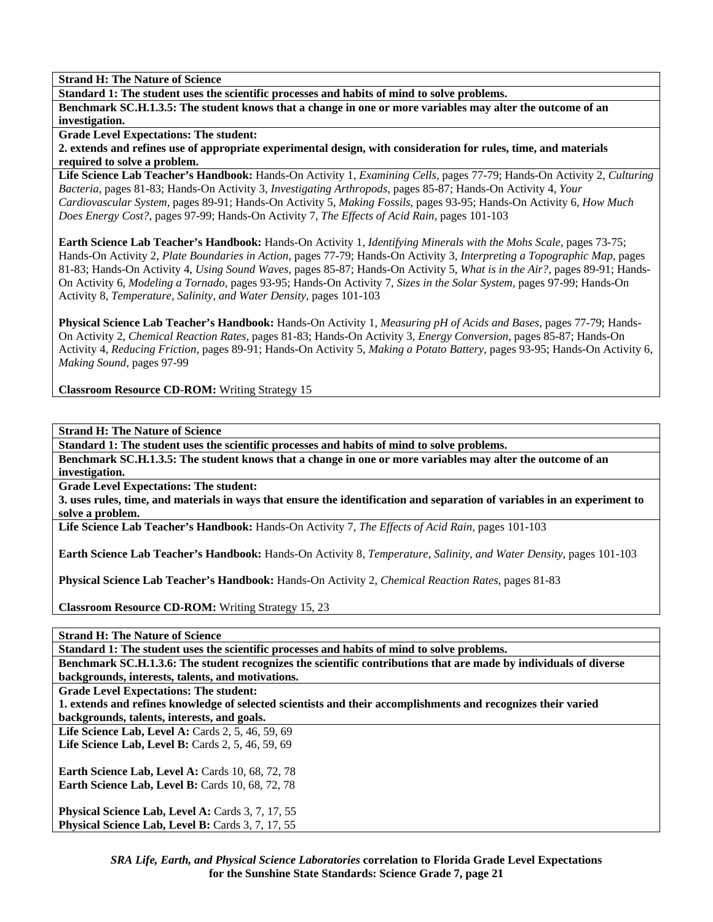**Standard 1: The student uses the scientific processes and habits of mind to solve problems.** 

**Benchmark SC.H.1.3.5: The student knows that a change in one or more variables may alter the outcome of an investigation.** 

**Grade Level Expectations: The student:** 

**2. extends and refines use of appropriate experimental design, with consideration for rules, time, and materials required to solve a problem.** 

**Life Science Lab Teacher's Handbook:** Hands-On Activity 1, *Examining Cells,* pages 77-79; Hands-On Activity 2, *Culturing Bacteria,* pages 81-83; Hands-On Activity 3, *Investigating Arthropods,* pages 85-87; Hands-On Activity 4, *Your Cardiovascular System,* pages 89-91; Hands-On Activity 5, *Making Fossils,* pages 93-95; Hands-On Activity 6, *How Much Does Energy Cost?,* pages 97-99; Hands-On Activity 7, *The Effects of Acid Rain,* pages 101-103

**Earth Science Lab Teacher's Handbook:** Hands-On Activity 1, *Identifying Minerals with the Mohs Scale,* pages 73-75; Hands-On Activity 2, *Plate Boundaries in Action,* pages 77-79; Hands-On Activity 3, *Interpreting a Topographic Map,* pages 81-83; Hands-On Activity 4, *Using Sound Waves,* pages 85-87; Hands-On Activity 5, *What is in the Air?,* pages 89-91; Hands-On Activity 6, *Modeling a Tornado,* pages 93-95; Hands-On Activity 7, *Sizes in the Solar System,* pages 97-99; Hands-On Activity 8, *Temperature, Salinity, and Water Density,* pages 101-103

**Physical Science Lab Teacher's Handbook:** Hands-On Activity 1, *Measuring pH of Acids and Bases,* pages 77-79; Hands-On Activity 2, *Chemical Reaction Rates,* pages 81-83; Hands-On Activity 3, *Energy Conversion,* pages 85-87; Hands-On Activity 4, *Reducing Friction,* pages 89-91; Hands-On Activity 5, *Making a Potato Battery,* pages 93-95; Hands-On Activity 6, *Making Sound,* pages 97-99

**Classroom Resource CD-ROM:** Writing Strategy 15

**Strand H: The Nature of Science** 

**Standard 1: The student uses the scientific processes and habits of mind to solve problems.** 

**Benchmark SC.H.1.3.5: The student knows that a change in one or more variables may alter the outcome of an investigation.** 

**Grade Level Expectations: The student:** 

**3. uses rules, time, and materials in ways that ensure the identification and separation of variables in an experiment to solve a problem.** 

**Life Science Lab Teacher's Handbook:** Hands-On Activity 7, *The Effects of Acid Rain,* pages 101-103

**Earth Science Lab Teacher's Handbook:** Hands-On Activity 8, *Temperature, Salinity, and Water Density,* pages 101-103

**Physical Science Lab Teacher's Handbook:** Hands-On Activity 2, *Chemical Reaction Rates,* pages 81-83

**Classroom Resource CD-ROM:** Writing Strategy 15, 23

**Strand H: The Nature of Science** 

**Standard 1: The student uses the scientific processes and habits of mind to solve problems.** 

**Benchmark SC.H.1.3.6: The student recognizes the scientific contributions that are made by individuals of diverse backgrounds, interests, talents, and motivations.** 

**Grade Level Expectations: The student:** 

**1. extends and refines knowledge of selected scientists and their accomplishments and recognizes their varied backgrounds, talents, interests, and goals.** 

Life Science Lab, Level A: Cards 2, 5, 46, 59, 69 **Life Science Lab, Level B:** Cards 2, 5, 46, 59, 69

**Earth Science Lab, Level A: Cards 10, 68, 72, 78 Earth Science Lab, Level B: Cards 10, 68, 72, 78** 

**Physical Science Lab, Level A: Cards 3, 7, 17, 55** Physical Science Lab, Level B: Cards 3, 7, 17, 55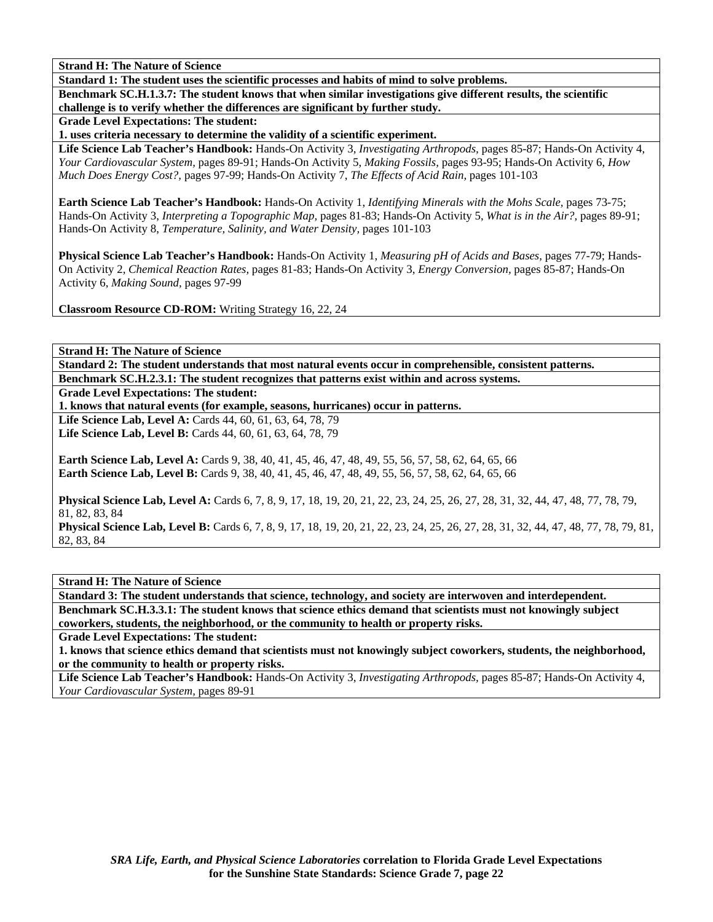**Standard 1: The student uses the scientific processes and habits of mind to solve problems.** 

**Benchmark SC.H.1.3.7: The student knows that when similar investigations give different results, the scientific challenge is to verify whether the differences are significant by further study.** 

**Grade Level Expectations: The student:** 

**1. uses criteria necessary to determine the validity of a scientific experiment.** 

**Life Science Lab Teacher's Handbook:** Hands-On Activity 3, *Investigating Arthropods,* pages 85-87; Hands-On Activity 4, *Your Cardiovascular System,* pages 89-91; Hands-On Activity 5, *Making Fossils,* pages 93-95; Hands-On Activity 6, *How Much Does Energy Cost?,* pages 97-99; Hands-On Activity 7, *The Effects of Acid Rain,* pages 101-103

**Earth Science Lab Teacher's Handbook:** Hands-On Activity 1, *Identifying Minerals with the Mohs Scale,* pages 73-75; Hands-On Activity 3, *Interpreting a Topographic Map,* pages 81-83; Hands-On Activity 5, *What is in the Air?,* pages 89-91; Hands-On Activity 8, *Temperature, Salinity, and Water Density,* pages 101-103

**Physical Science Lab Teacher's Handbook:** Hands-On Activity 1, *Measuring pH of Acids and Bases,* pages 77-79; Hands-On Activity 2, *Chemical Reaction Rates,* pages 81-83; Hands-On Activity 3, *Energy Conversion,* pages 85-87; Hands-On Activity 6, *Making Sound,* pages 97-99

**Classroom Resource CD-ROM:** Writing Strategy 16, 22, 24

**Strand H: The Nature of Science** 

**Standard 2: The student understands that most natural events occur in comprehensible, consistent patterns. Benchmark SC.H.2.3.1: The student recognizes that patterns exist within and across systems.** 

**Grade Level Expectations: The student:** 

**1. knows that natural events (for example, seasons, hurricanes) occur in patterns.** 

**Life Science Lab, Level A:** Cards 44, 60, 61, 63, 64, 78, 79 Life Science Lab, Level B: Cards 44, 60, 61, 63, 64, 78, 79

**Earth Science Lab, Level A:** Cards 9, 38, 40, 41, 45, 46, 47, 48, 49, 55, 56, 57, 58, 62, 64, 65, 66 **Earth Science Lab, Level B:** Cards 9, 38, 40, 41, 45, 46, 47, 48, 49, 55, 56, 57, 58, 62, 64, 65, 66

**Physical Science Lab, Level A:** Cards 6, 7, 8, 9, 17, 18, 19, 20, 21, 22, 23, 24, 25, 26, 27, 28, 31, 32, 44, 47, 48, 77, 78, 79, 81, 82, 83, 84

**Physical Science Lab, Level B:** Cards 6, 7, 8, 9, 17, 18, 19, 20, 21, 22, 23, 24, 25, 26, 27, 28, 31, 32, 44, 47, 48, 77, 78, 79, 81, 82, 83, 84

**Strand H: The Nature of Science** 

**Standard 3: The student understands that science, technology, and society are interwoven and interdependent. Benchmark SC.H.3.3.1: The student knows that science ethics demand that scientists must not knowingly subject coworkers, students, the neighborhood, or the community to health or property risks.** 

**Grade Level Expectations: The student:** 

**1. knows that science ethics demand that scientists must not knowingly subject coworkers, students, the neighborhood, or the community to health or property risks.** 

**Life Science Lab Teacher's Handbook:** Hands-On Activity 3, *Investigating Arthropods,* pages 85-87; Hands-On Activity 4, *Your Cardiovascular System,* pages 89-91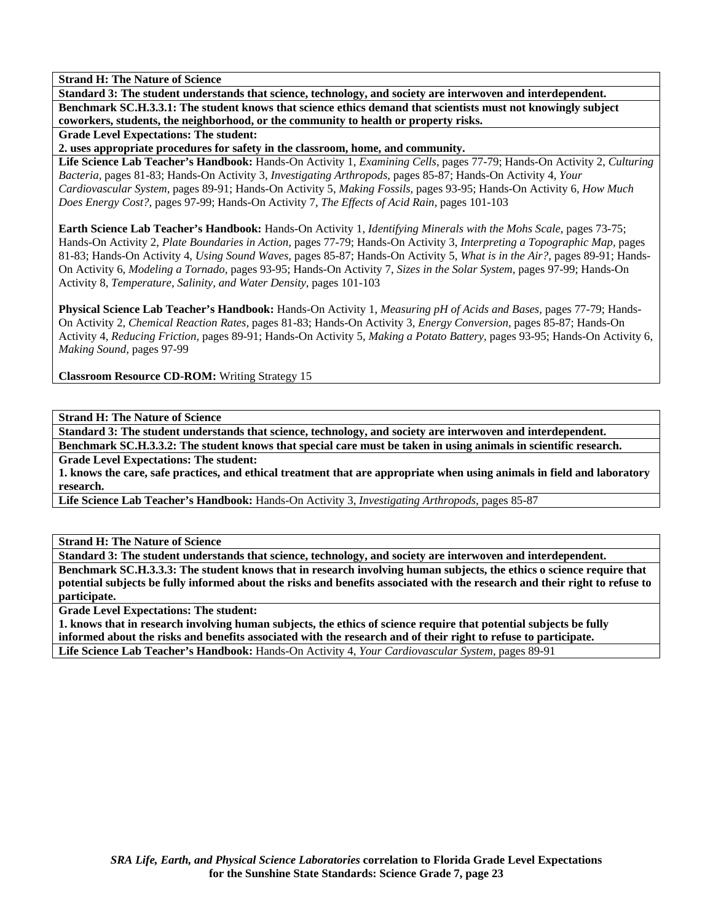**Standard 3: The student understands that science, technology, and society are interwoven and interdependent. Benchmark SC.H.3.3.1: The student knows that science ethics demand that scientists must not knowingly subject coworkers, students, the neighborhood, or the community to health or property risks.** 

**Grade Level Expectations: The student:** 

**2. uses appropriate procedures for safety in the classroom, home, and community.** 

**Life Science Lab Teacher's Handbook:** Hands-On Activity 1, *Examining Cells,* pages 77-79; Hands-On Activity 2, *Culturing Bacteria,* pages 81-83; Hands-On Activity 3, *Investigating Arthropods,* pages 85-87; Hands-On Activity 4, *Your Cardiovascular System,* pages 89-91; Hands-On Activity 5, *Making Fossils,* pages 93-95; Hands-On Activity 6, *How Much Does Energy Cost?,* pages 97-99; Hands-On Activity 7, *The Effects of Acid Rain,* pages 101-103

**Earth Science Lab Teacher's Handbook:** Hands-On Activity 1, *Identifying Minerals with the Mohs Scale,* pages 73-75; Hands-On Activity 2, *Plate Boundaries in Action,* pages 77-79; Hands-On Activity 3, *Interpreting a Topographic Map,* pages 81-83; Hands-On Activity 4, *Using Sound Waves,* pages 85-87; Hands-On Activity 5, *What is in the Air?,* pages 89-91; Hands-On Activity 6, *Modeling a Tornado,* pages 93-95; Hands-On Activity 7, *Sizes in the Solar System,* pages 97-99; Hands-On Activity 8, *Temperature, Salinity, and Water Density,* pages 101-103

**Physical Science Lab Teacher's Handbook:** Hands-On Activity 1, *Measuring pH of Acids and Bases,* pages 77-79; Hands-On Activity 2, *Chemical Reaction Rates,* pages 81-83; Hands-On Activity 3, *Energy Conversion,* pages 85-87; Hands-On Activity 4, *Reducing Friction,* pages 89-91; Hands-On Activity 5, *Making a Potato Battery,* pages 93-95; Hands-On Activity 6, *Making Sound,* pages 97-99

**Classroom Resource CD-ROM:** Writing Strategy 15

**Strand H: The Nature of Science** 

**Standard 3: The student understands that science, technology, and society are interwoven and interdependent.** 

**Benchmark SC.H.3.3.2: The student knows that special care must be taken in using animals in scientific research. Grade Level Expectations: The student:** 

**1. knows the care, safe practices, and ethical treatment that are appropriate when using animals in field and laboratory research.** 

**Life Science Lab Teacher's Handbook:** Hands-On Activity 3, *Investigating Arthropods,* pages 85-87

**Strand H: The Nature of Science** 

**Standard 3: The student understands that science, technology, and society are interwoven and interdependent. Benchmark SC.H.3.3.3: The student knows that in research involving human subjects, the ethics o science require that potential subjects be fully informed about the risks and benefits associated with the research and their right to refuse to participate.** 

**Grade Level Expectations: The student:** 

**1. knows that in research involving human subjects, the ethics of science require that potential subjects be fully informed about the risks and benefits associated with the research and of their right to refuse to participate. Life Science Lab Teacher's Handbook:** Hands-On Activity 4, *Your Cardiovascular System,* pages 89-91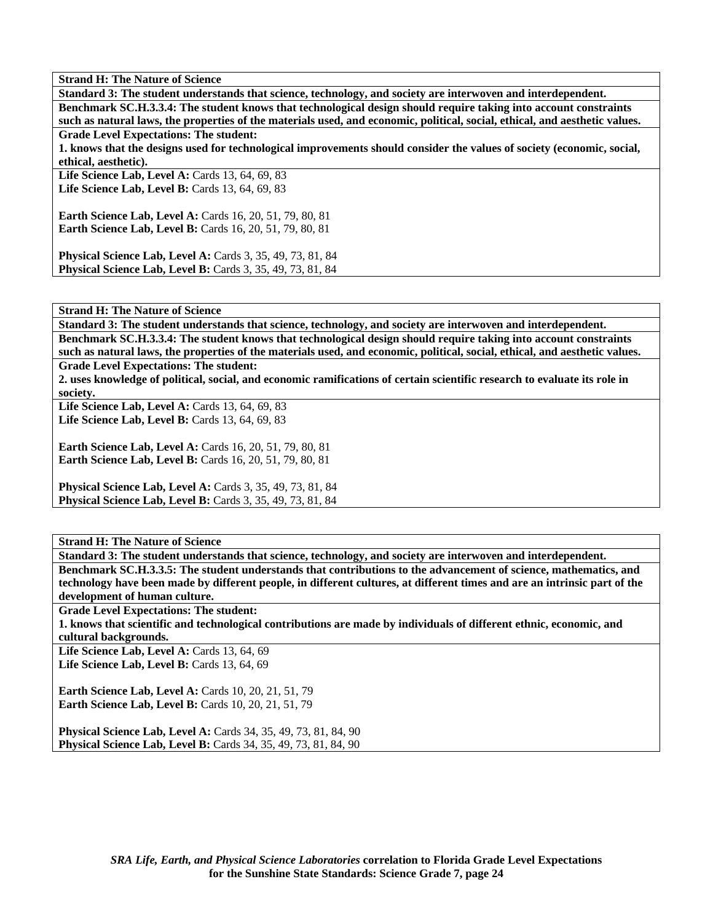**Standard 3: The student understands that science, technology, and society are interwoven and interdependent. Benchmark SC.H.3.3.4: The student knows that technological design should require taking into account constraints such as natural laws, the properties of the materials used, and economic, political, social, ethical, and aesthetic values.** 

**Grade Level Expectations: The student:** 

**1. knows that the designs used for technological improvements should consider the values of society (economic, social, ethical, aesthetic).** 

**Life Science Lab, Level A:** Cards 13, 64, 69, 83 Life Science Lab, Level B: Cards 13, 64, 69, 83

**Earth Science Lab, Level A: Cards 16, 20, 51, 79, 80, 81 Earth Science Lab, Level B:** Cards 16, 20, 51, 79, 80, 81

**Physical Science Lab, Level A: Cards 3, 35, 49, 73, 81, 84 Physical Science Lab, Level B:** Cards 3, 35, 49, 73, 81, 84

**Strand H: The Nature of Science** 

**Standard 3: The student understands that science, technology, and society are interwoven and interdependent. Benchmark SC.H.3.3.4: The student knows that technological design should require taking into account constraints such as natural laws, the properties of the materials used, and economic, political, social, ethical, and aesthetic values.** 

**Grade Level Expectations: The student:** 

**2. uses knowledge of political, social, and economic ramifications of certain scientific research to evaluate its role in society.** 

**Life Science Lab, Level A: Cards 13, 64, 69, 83 Life Science Lab, Level B: Cards 13, 64, 69, 83** 

**Earth Science Lab, Level A:** Cards 16, 20, 51, 79, 80, 81 **Earth Science Lab, Level B:** Cards 16, 20, 51, 79, 80, 81

**Physical Science Lab, Level A:** Cards 3, 35, 49, 73, 81, 84 **Physical Science Lab, Level B:** Cards 3, 35, 49, 73, 81, 84

**Strand H: The Nature of Science** 

**Standard 3: The student understands that science, technology, and society are interwoven and interdependent. Benchmark SC.H.3.3.5: The student understands that contributions to the advancement of science, mathematics, and technology have been made by different people, in different cultures, at different times and are an intrinsic part of the development of human culture.** 

**Grade Level Expectations: The student:** 

**1. knows that scientific and technological contributions are made by individuals of different ethnic, economic, and cultural backgrounds.** 

Life Science Lab, Level A: Cards 13, 64, 69 **Life Science Lab, Level B: Cards 13, 64, 69** 

**Earth Science Lab, Level A: Cards 10, 20, 21, 51, 79 Earth Science Lab, Level B:** Cards 10, 20, 21, 51, 79

**Physical Science Lab, Level A:** Cards 34, 35, 49, 73, 81, 84, 90 **Physical Science Lab, Level B:** Cards 34, 35, 49, 73, 81, 84, 90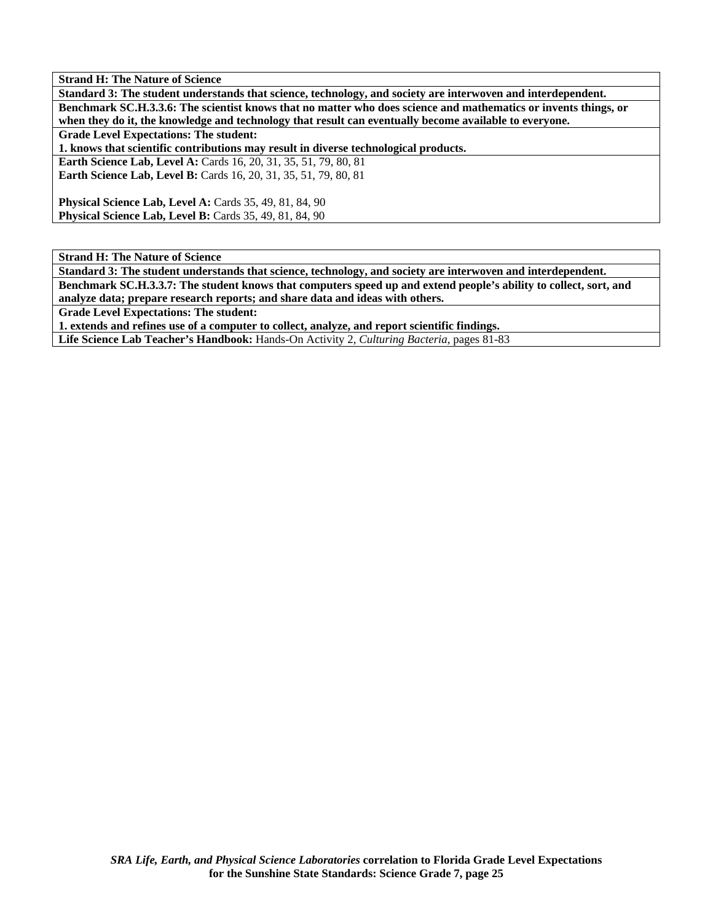**Strand H: The Nature of Science Standard 3: The student understands that science, technology, and society are interwoven and interdependent. Benchmark SC.H.3.3.6: The scientist knows that no matter who does science and mathematics or invents things, or when they do it, the knowledge and technology that result can eventually become available to everyone. Grade Level Expectations: The student: 1. knows that scientific contributions may result in diverse technological products. Earth Science Lab, Level A:** Cards 16, 20, 31, 35, 51, 79, 80, 81 **Earth Science Lab, Level B:** Cards 16, 20, 31, 35, 51, 79, 80, 81 **Physical Science Lab, Level A: Cards 35, 49, 81, 84, 90 Physical Science Lab, Level B: Cards 35, 49, 81, 84, 90** 

**Strand H: The Nature of Science** 

**Standard 3: The student understands that science, technology, and society are interwoven and interdependent. Benchmark SC.H.3.3.7: The student knows that computers speed up and extend people's ability to collect, sort, and analyze data; prepare research reports; and share data and ideas with others.** 

**Grade Level Expectations: The student:** 

**1. extends and refines use of a computer to collect, analyze, and report scientific findings.** 

**Life Science Lab Teacher's Handbook:** Hands-On Activity 2, *Culturing Bacteria,* pages 81-83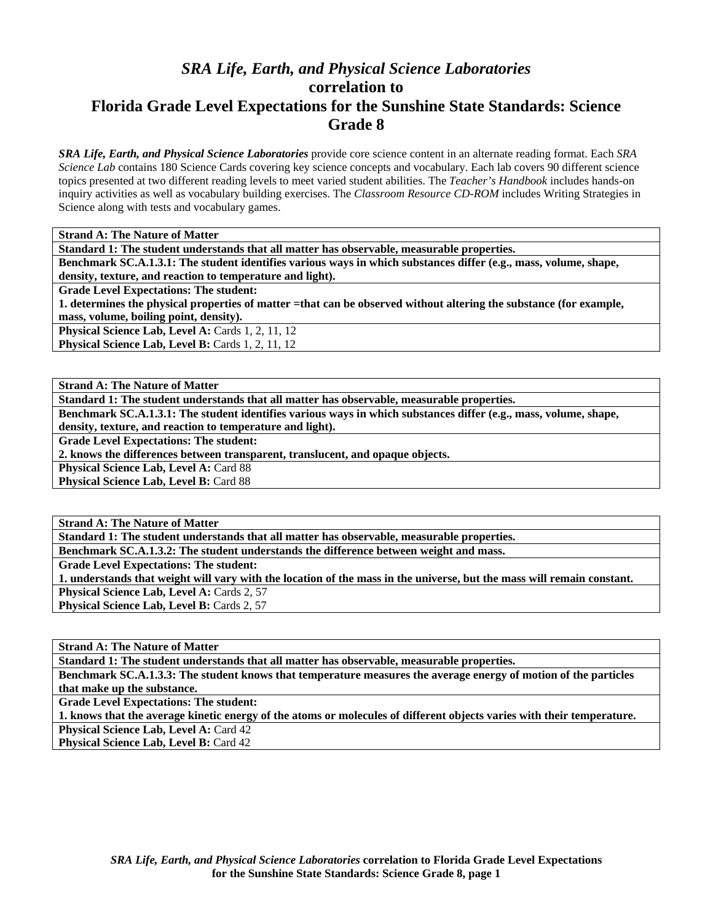## *SRA Life, Earth, and Physical Science Laboratories*  **correlation to Florida Grade Level Expectations for the Sunshine State Standards: Science Grade 8**

*SRA Life, Earth, and Physical Science Laboratories* provide core science content in an alternate reading format. Each *SRA Science Lab* contains 180 Science Cards covering key science concepts and vocabulary. Each lab covers 90 different science topics presented at two different reading levels to meet varied student abilities. The *Teacher's Handbook* includes hands-on inquiry activities as well as vocabulary building exercises. The *Classroom Resource CD-ROM* includes Writing Strategies in Science along with tests and vocabulary games.

**Standard 1: The student understands that all matter has observable, measurable properties.** 

**Benchmark SC.A.1.3.1: The student identifies various ways in which substances differ (e.g., mass, volume, shape,** 

**density, texture, and reaction to temperature and light).** 

**Grade Level Expectations: The student:** 

**1. determines the physical properties of matter =that can be observed without altering the substance (for example, mass, volume, boiling point, density).** 

**Physical Science Lab, Level A: Cards 1, 2, 11, 12** 

Physical Science Lab, Level B: Cards 1, 2, 11, 12

**Strand A: The Nature of Matter** 

**Standard 1: The student understands that all matter has observable, measurable properties.** 

**Benchmark SC.A.1.3.1: The student identifies various ways in which substances differ (e.g., mass, volume, shape, density, texture, and reaction to temperature and light).** 

**Grade Level Expectations: The student:** 

**2. knows the differences between transparent, translucent, and opaque objects.** 

Physical Science Lab, Level A: Card 88

Physical Science Lab, Level B: Card 88

**Strand A: The Nature of Matter** 

**Standard 1: The student understands that all matter has observable, measurable properties.** 

**Benchmark SC.A.1.3.2: The student understands the difference between weight and mass.** 

**Grade Level Expectations: The student:** 

**1. understands that weight will vary with the location of the mass in the universe, but the mass will remain constant.**  Physical Science Lab, Level A: Cards 2, 57 **Physical Science Lab, Level B: Cards 2, 57** 

**Strand A: The Nature of Matter** 

**Standard 1: The student understands that all matter has observable, measurable properties.** 

**Benchmark SC.A.1.3.3: The student knows that temperature measures the average energy of motion of the particles that make up the substance.** 

**Grade Level Expectations: The student:** 

**1. knows that the average kinetic energy of the atoms or molecules of different objects varies with their temperature.** 

**Physical Science Lab, Level A: Card 42** 

**Physical Science Lab, Level B: Card 42**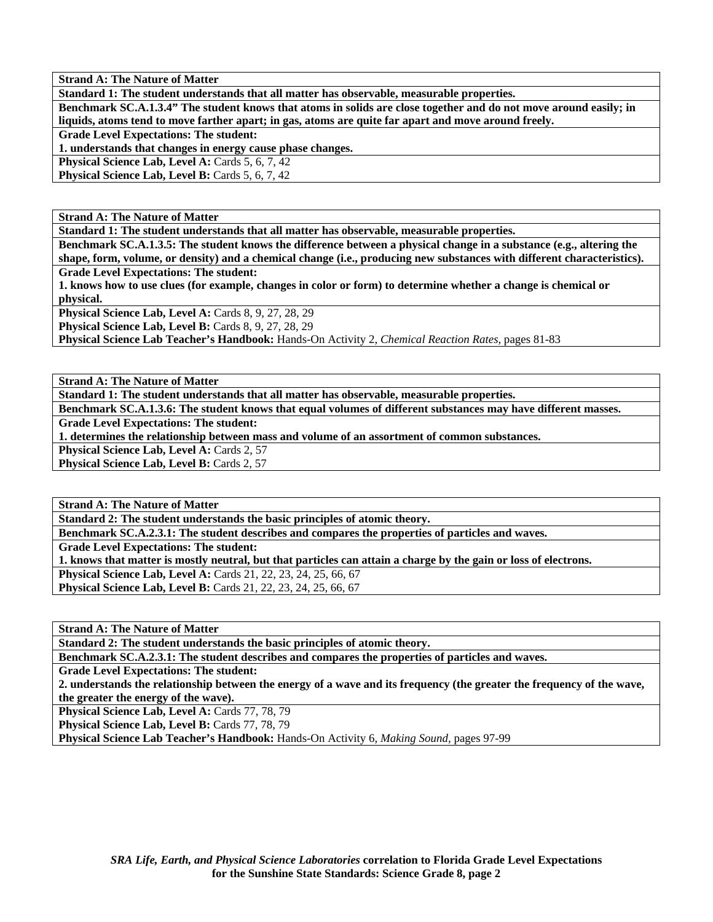**Strand A: The Nature of Matter Standard 1: The student understands that all matter has observable, measurable properties.** 

**Benchmark SC.A.1.3.4" The student knows that atoms in solids are close together and do not move around easily; in liquids, atoms tend to move farther apart; in gas, atoms are quite far apart and move around freely.** 

**Grade Level Expectations: The student:** 

**1. understands that changes in energy cause phase changes.** 

**Physical Science Lab, Level A: Cards 5, 6, 7, 42** 

**Physical Science Lab, Level B: Cards 5, 6, 7, 42** 

**Strand A: The Nature of Matter** 

**Standard 1: The student understands that all matter has observable, measurable properties.** 

**Benchmark SC.A.1.3.5: The student knows the difference between a physical change in a substance (e.g., altering the shape, form, volume, or density) and a chemical change (i.e., producing new substances with different characteristics).** 

**Grade Level Expectations: The student:** 

**1. knows how to use clues (for example, changes in color or form) to determine whether a change is chemical or physical.** 

**Physical Science Lab, Level A: Cards 8, 9, 27, 28, 29** 

**Physical Science Lab, Level B:** Cards 8, 9, 27, 28, 29

**Physical Science Lab Teacher's Handbook:** Hands-On Activity 2, *Chemical Reaction Rates,* pages 81-83

**Strand A: The Nature of Matter** 

**Standard 1: The student understands that all matter has observable, measurable properties.** 

**Benchmark SC.A.1.3.6: The student knows that equal volumes of different substances may have different masses. Grade Level Expectations: The student:** 

**1. determines the relationship between mass and volume of an assortment of common substances.** 

Physical Science Lab, Level A: Cards 2, 57

**Physical Science Lab, Level B: Cards 2, 57** 

**Strand A: The Nature of Matter** 

**Standard 2: The student understands the basic principles of atomic theory.** 

**Benchmark SC.A.2.3.1: The student describes and compares the properties of particles and waves.** 

**Grade Level Expectations: The student:** 

**1. knows that matter is mostly neutral, but that particles can attain a charge by the gain or loss of electrons.** 

**Physical Science Lab, Level A:** Cards 21, 22, 23, 24, 25, 66, 67 **Physical Science Lab, Level B:** Cards 21, 22, 23, 24, 25, 66, 67

**Strand A: The Nature of Matter** 

**Standard 2: The student understands the basic principles of atomic theory.** 

**Benchmark SC.A.2.3.1: The student describes and compares the properties of particles and waves.** 

**Grade Level Expectations: The student:** 

**2. understands the relationship between the energy of a wave and its frequency (the greater the frequency of the wave, the greater the energy of the wave).** 

Physical Science Lab, Level A: Cards 77, 78, 79

Physical Science Lab, Level B: Cards 77, 78, 79

**Physical Science Lab Teacher's Handbook:** Hands-On Activity 6, *Making Sound,* pages 97-99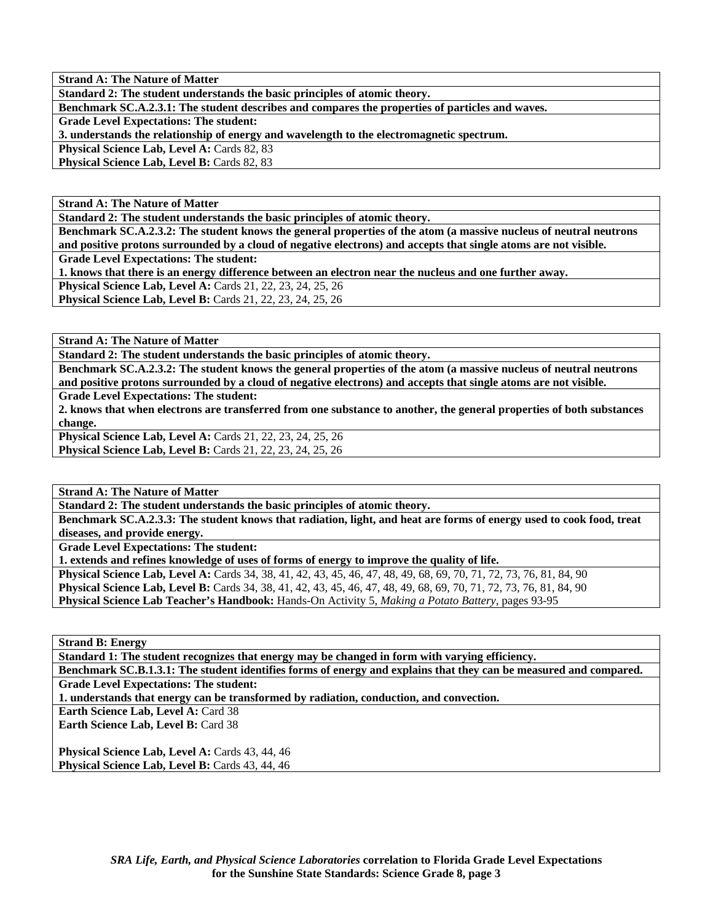**Strand A: The Nature of Matter** 

**Standard 2: The student understands the basic principles of atomic theory.** 

**Benchmark SC.A.2.3.1: The student describes and compares the properties of particles and waves.** 

**Grade Level Expectations: The student:** 

**3. understands the relationship of energy and wavelength to the electromagnetic spectrum.** 

**Physical Science Lab, Level A: Cards 82, 83** 

**Physical Science Lab, Level B: Cards 82, 83** 

**Strand A: The Nature of Matter** 

**Standard 2: The student understands the basic principles of atomic theory.** 

**Benchmark SC.A.2.3.2: The student knows the general properties of the atom (a massive nucleus of neutral neutrons and positive protons surrounded by a cloud of negative electrons) and accepts that single atoms are not visible. Grade Level Expectations: The student:** 

**1. knows that there is an energy difference between an electron near the nucleus and one further away.** 

**Physical Science Lab, Level A:** Cards 21, 22, 23, 24, 25, 26

**Physical Science Lab, Level B:** Cards 21, 22, 23, 24, 25, 26

**Strand A: The Nature of Matter** 

**Standard 2: The student understands the basic principles of atomic theory.** 

**Benchmark SC.A.2.3.2: The student knows the general properties of the atom (a massive nucleus of neutral neutrons and positive protons surrounded by a cloud of negative electrons) and accepts that single atoms are not visible.** 

**Grade Level Expectations: The student:** 

**2. knows that when electrons are transferred from one substance to another, the general properties of both substances change.** 

**Physical Science Lab, Level A:** Cards 21, 22, 23, 24, 25, 26 **Physical Science Lab, Level B:** Cards 21, 22, 23, 24, 25, 26

**Strand A: The Nature of Matter** 

**Standard 2: The student understands the basic principles of atomic theory.** 

**Benchmark SC.A.2.3.3: The student knows that radiation, light, and heat are forms of energy used to cook food, treat diseases, and provide energy.** 

**Grade Level Expectations: The student:** 

**1. extends and refines knowledge of uses of forms of energy to improve the quality of life.** 

**Physical Science Lab, Level A:** Cards 34, 38, 41, 42, 43, 45, 46, 47, 48, 49, 68, 69, 70, 71, 72, 73, 76, 81, 84, 90 **Physical Science Lab, Level B:** Cards 34, 38, 41, 42, 43, 45, 46, 47, 48, 49, 68, 69, 70, 71, 72, 73, 76, 81, 84, 90 **Physical Science Lab Teacher's Handbook:** Hands-On Activity 5, *Making a Potato Battery,* pages 93-95

**Strand B: Energy** 

**Standard 1: The student recognizes that energy may be changed in form with varying efficiency.** 

**Benchmark SC.B.1.3.1: The student identifies forms of energy and explains that they can be measured and compared. Grade Level Expectations: The student:** 

**1. understands that energy can be transformed by radiation, conduction, and convection.** 

**Earth Science Lab, Level A: Card 38** 

**Earth Science Lab, Level B:** Card 38

Physical Science Lab, Level A: Cards 43, 44, 46 **Physical Science Lab, Level B: Cards 43, 44, 46**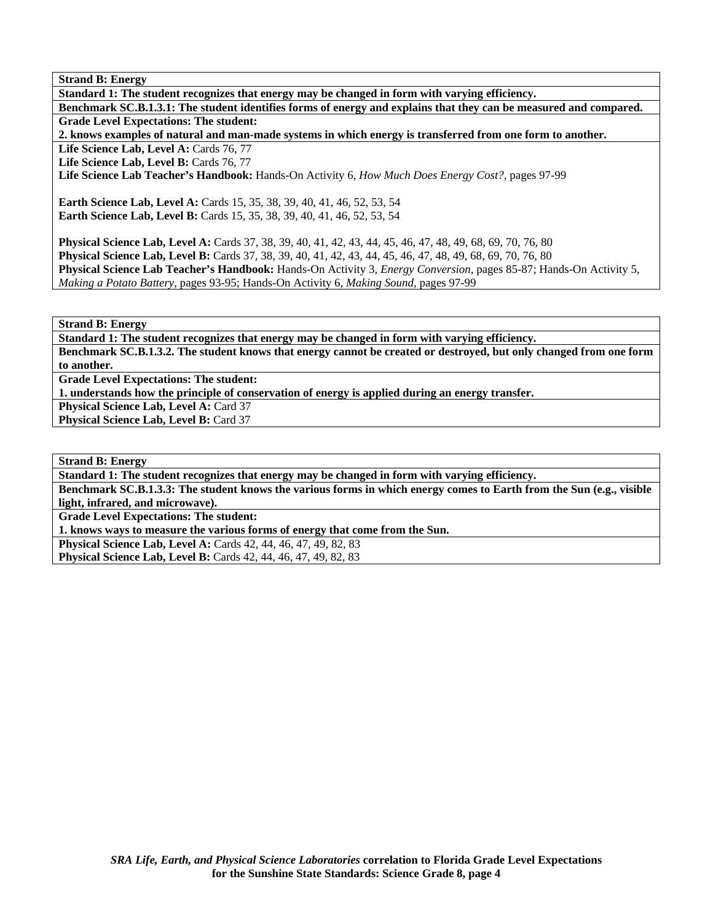**Standard 1: The student recognizes that energy may be changed in form with varying efficiency. Benchmark SC.B.1.3.1: The student identifies forms of energy and explains that they can be measured and compared. Grade Level Expectations: The student: 2. knows examples of natural and man-made systems in which energy is transferred from one form to another.**  Life Science Lab, Level A: Cards 76, 77 Life Science Lab, Level B: Cards 76, 77 **Life Science Lab Teacher's Handbook:** Hands-On Activity 6, *How Much Does Energy Cost?,* pages 97-99 **Earth Science Lab, Level A:** Cards 15, 35, 38, 39, 40, 41, 46, 52, 53, 54 **Earth Science Lab, Level B:** Cards 15, 35, 38, 39, 40, 41, 46, 52, 53, 54 **Physical Science Lab, Level A:** Cards 37, 38, 39, 40, 41, 42, 43, 44, 45, 46, 47, 48, 49, 68, 69, 70, 76, 80 **Physical Science Lab, Level B:** Cards 37, 38, 39, 40, 41, 42, 43, 44, 45, 46, 47, 48, 49, 68, 69, 70, 76, 80 **Physical Science Lab Teacher's Handbook:** Hands-On Activity 3, *Energy Conversion,* pages 85-87; Hands-On Activity 5, *Making a Potato Battery,* pages 93-95; Hands-On Activity 6, *Making Sound,* pages 97-99

**Strand B: Energy** 

**Standard 1: The student recognizes that energy may be changed in form with varying efficiency. Benchmark SC.B.1.3.2. The student knows that energy cannot be created or destroyed, but only changed from one form to another.** 

**Grade Level Expectations: The student:** 

**1. understands how the principle of conservation of energy is applied during an energy transfer.** 

**Physical Science Lab, Level A: Card 37** 

**Physical Science Lab, Level B: Card 37** 

**Strand B: Energy** 

**Standard 1: The student recognizes that energy may be changed in form with varying efficiency.** 

**Benchmark SC.B.1.3.3: The student knows the various forms in which energy comes to Earth from the Sun (e.g., visible light, infrared, and microwave).** 

**Grade Level Expectations: The student:** 

**1. knows ways to measure the various forms of energy that come from the Sun.** 

**Physical Science Lab, Level A:** Cards 42, 44, 46, 47, 49, 82, 83

**Physical Science Lab, Level B:** Cards 42, 44, 46, 47, 49, 82, 83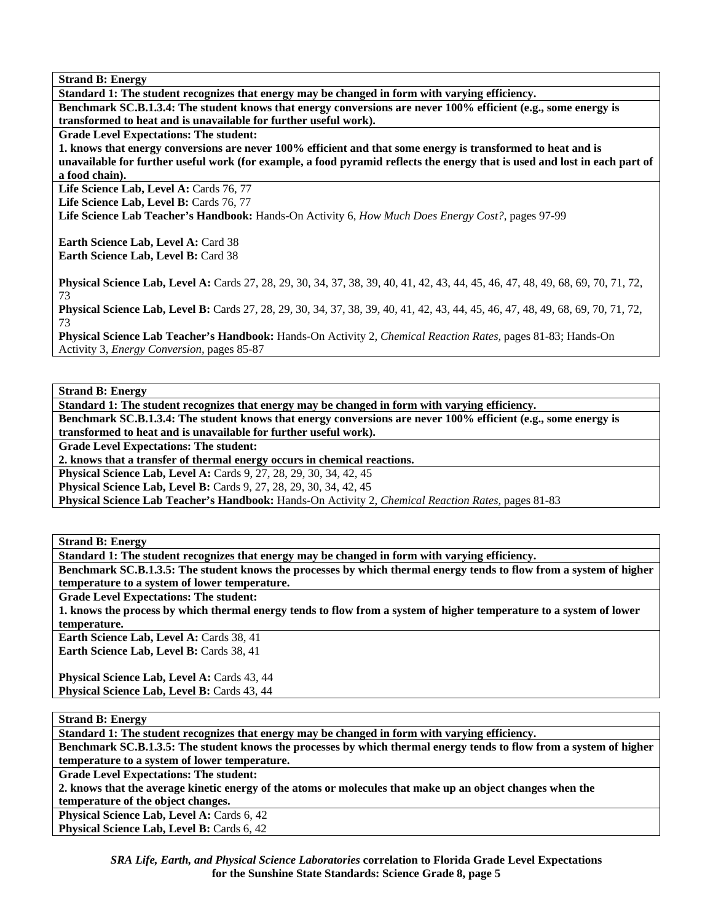**Standard 1: The student recognizes that energy may be changed in form with varying efficiency. Benchmark SC.B.1.3.4: The student knows that energy conversions are never 100% efficient (e.g., some energy is** 

**transformed to heat and is unavailable for further useful work).** 

**Grade Level Expectations: The student:** 

**1. knows that energy conversions are never 100% efficient and that some energy is transformed to heat and is unavailable for further useful work (for example, a food pyramid reflects the energy that is used and lost in each part of a food chain).** 

Life Science Lab, Level A: Cards 76, 77

Life Science Lab, Level B: Cards 76, 77

**Life Science Lab Teacher's Handbook:** Hands-On Activity 6, *How Much Does Energy Cost?,* pages 97-99

**Earth Science Lab, Level A: Card 38 Earth Science Lab, Level B: Card 38** 

**Physical Science Lab, Level A:** Cards 27, 28, 29, 30, 34, 37, 38, 39, 40, 41, 42, 43, 44, 45, 46, 47, 48, 49, 68, 69, 70, 71, 72, 73

**Physical Science Lab, Level B:** Cards 27, 28, 29, 30, 34, 37, 38, 39, 40, 41, 42, 43, 44, 45, 46, 47, 48, 49, 68, 69, 70, 71, 72, 73

**Physical Science Lab Teacher's Handbook:** Hands-On Activity 2, *Chemical Reaction Rates,* pages 81-83; Hands-On Activity 3, *Energy Conversion,* pages 85-87

**Strand B: Energy** 

**Standard 1: The student recognizes that energy may be changed in form with varying efficiency.** 

**Benchmark SC.B.1.3.4: The student knows that energy conversions are never 100% efficient (e.g., some energy is transformed to heat and is unavailable for further useful work).** 

**Grade Level Expectations: The student:** 

**2. knows that a transfer of thermal energy occurs in chemical reactions.** 

**Physical Science Lab, Level A: Cards 9, 27, 28, 29, 30, 34, 42, 45** 

**Physical Science Lab, Level B:** Cards 9, 27, 28, 29, 30, 34, 42, 45

**Physical Science Lab Teacher's Handbook:** Hands-On Activity 2, *Chemical Reaction Rates,* pages 81-83

**Strand B: Energy** 

**Standard 1: The student recognizes that energy may be changed in form with varying efficiency.** 

**Benchmark SC.B.1.3.5: The student knows the processes by which thermal energy tends to flow from a system of higher temperature to a system of lower temperature.** 

**Grade Level Expectations: The student:** 

**1. knows the process by which thermal energy tends to flow from a system of higher temperature to a system of lower temperature.** 

**Earth Science Lab, Level A: Cards 38, 41 Earth Science Lab, Level B: Cards 38, 41** 

Physical Science Lab, Level A: Cards 43, 44 **Physical Science Lab, Level B: Cards 43, 44** 

**Strand B: Energy** 

**Standard 1: The student recognizes that energy may be changed in form with varying efficiency.** 

**Benchmark SC.B.1.3.5: The student knows the processes by which thermal energy tends to flow from a system of higher temperature to a system of lower temperature.** 

**Grade Level Expectations: The student:** 

**2. knows that the average kinetic energy of the atoms or molecules that make up an object changes when the temperature of the object changes.** 

**Physical Science Lab, Level A: Cards 6, 42** 

**Physical Science Lab, Level B: Cards 6, 42**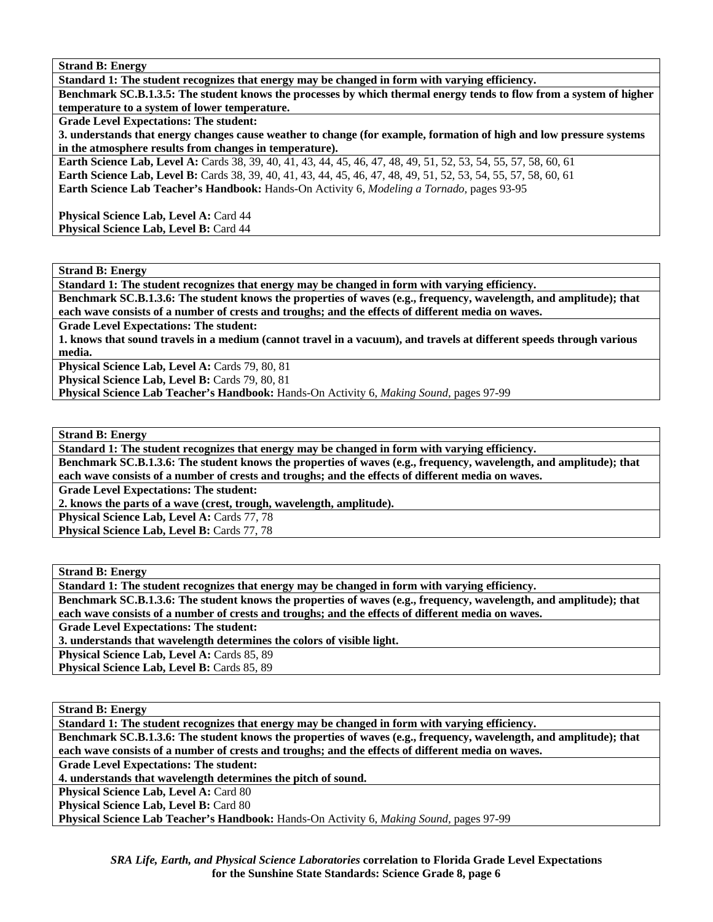**Standard 1: The student recognizes that energy may be changed in form with varying efficiency.** 

**Benchmark SC.B.1.3.5: The student knows the processes by which thermal energy tends to flow from a system of higher temperature to a system of lower temperature.** 

**Grade Level Expectations: The student:** 

**3. understands that energy changes cause weather to change (for example, formation of high and low pressure systems in the atmosphere results from changes in temperature).** 

**Earth Science Lab, Level A:** Cards 38, 39, 40, 41, 43, 44, 45, 46, 47, 48, 49, 51, 52, 53, 54, 55, 57, 58, 60, 61 **Earth Science Lab, Level B:** Cards 38, 39, 40, 41, 43, 44, 45, 46, 47, 48, 49, 51, 52, 53, 54, 55, 57, 58, 60, 61 **Earth Science Lab Teacher's Handbook:** Hands-On Activity 6, *Modeling a Tornado,* pages 93-95

**Physical Science Lab, Level A: Card 44 Physical Science Lab, Level B: Card 44** 

**Strand B: Energy** 

**Standard 1: The student recognizes that energy may be changed in form with varying efficiency.** 

**Benchmark SC.B.1.3.6: The student knows the properties of waves (e.g., frequency, wavelength, and amplitude); that each wave consists of a number of crests and troughs; and the effects of different media on waves.** 

**Grade Level Expectations: The student:** 

**1. knows that sound travels in a medium (cannot travel in a vacuum), and travels at different speeds through various media.** 

Physical Science Lab, Level A: Cards 79, 80, 81

Physical Science Lab, Level B: Cards 79, 80, 81

**Physical Science Lab Teacher's Handbook:** Hands-On Activity 6, *Making Sound,* pages 97-99

**Strand B: Energy** 

**Standard 1: The student recognizes that energy may be changed in form with varying efficiency.** 

**Benchmark SC.B.1.3.6: The student knows the properties of waves (e.g., frequency, wavelength, and amplitude); that each wave consists of a number of crests and troughs; and the effects of different media on waves.** 

**Grade Level Expectations: The student:** 

**2. knows the parts of a wave (crest, trough, wavelength, amplitude).** 

Physical Science Lab, Level A: Cards 77, 78

Physical Science Lab, Level B: Cards 77, 78

**Strand B: Energy** 

**Standard 1: The student recognizes that energy may be changed in form with varying efficiency.** 

**Benchmark SC.B.1.3.6: The student knows the properties of waves (e.g., frequency, wavelength, and amplitude); that each wave consists of a number of crests and troughs; and the effects of different media on waves.** 

**Grade Level Expectations: The student:** 

**3. understands that wavelength determines the colors of visible light.** 

Physical Science Lab, Level A: Cards 85, 89

Physical Science Lab, Level B: Cards 85, 89

**Strand B: Energy** 

**Standard 1: The student recognizes that energy may be changed in form with varying efficiency. Benchmark SC.B.1.3.6: The student knows the properties of waves (e.g., frequency, wavelength, and amplitude); that each wave consists of a number of crests and troughs; and the effects of different media on waves. Grade Level Expectations: The student: 4. understands that wavelength determines the pitch of sound. Physical Science Lab, Level A: Card 80 Physical Science Lab, Level B: Card 80 Physical Science Lab Teacher's Handbook:** Hands-On Activity 6, *Making Sound,* pages 97-99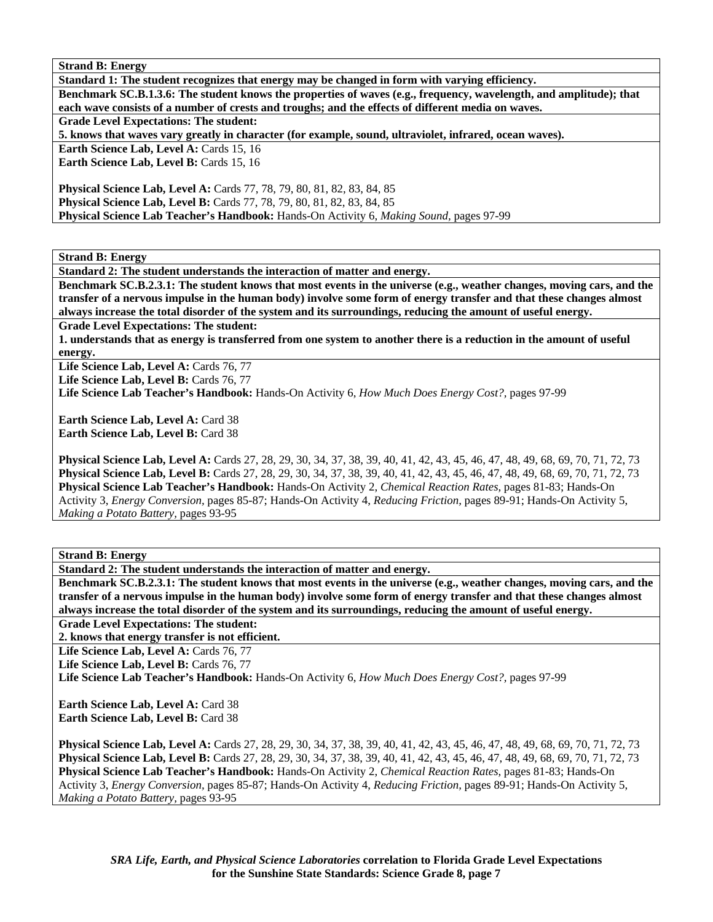**Standard 1: The student recognizes that energy may be changed in form with varying efficiency. Benchmark SC.B.1.3.6: The student knows the properties of waves (e.g., frequency, wavelength, and amplitude); that each wave consists of a number of crests and troughs; and the effects of different media on waves. Grade Level Expectations: The student: 5. knows that waves vary greatly in character (for example, sound, ultraviolet, infrared, ocean waves). Earth Science Lab, Level A: Cards 15, 16 Earth Science Lab, Level B: Cards 15, 16 Physical Science Lab, Level A: Cards 77, 78, 79, 80, 81, 82, 83, 84, 85 Physical Science Lab, Level B:** Cards 77, 78, 79, 80, 81, 82, 83, 84, 85 **Physical Science Lab Teacher's Handbook:** Hands-On Activity 6, *Making Sound,* pages 97-99

**Strand B: Energy** 

**Standard 2: The student understands the interaction of matter and energy.** 

**Benchmark SC.B.2.3.1: The student knows that most events in the universe (e.g., weather changes, moving cars, and the transfer of a nervous impulse in the human body) involve some form of energy transfer and that these changes almost always increase the total disorder of the system and its surroundings, reducing the amount of useful energy.** 

**Grade Level Expectations: The student:** 

**1. understands that as energy is transferred from one system to another there is a reduction in the amount of useful energy.** 

Life Science Lab, Level A: Cards 76, 77

Life Science Lab, Level B: Cards 76, 77

**Life Science Lab Teacher's Handbook:** Hands-On Activity 6, *How Much Does Energy Cost?,* pages 97-99

**Earth Science Lab, Level A: Card 38 Earth Science Lab, Level B:** Card 38

**Physical Science Lab, Level A:** Cards 27, 28, 29, 30, 34, 37, 38, 39, 40, 41, 42, 43, 45, 46, 47, 48, 49, 68, 69, 70, 71, 72, 73 **Physical Science Lab, Level B:** Cards 27, 28, 29, 30, 34, 37, 38, 39, 40, 41, 42, 43, 45, 46, 47, 48, 49, 68, 69, 70, 71, 72, 73 **Physical Science Lab Teacher's Handbook:** Hands-On Activity 2, *Chemical Reaction Rates,* pages 81-83; Hands-On Activity 3, *Energy Conversion,* pages 85-87; Hands-On Activity 4, *Reducing Friction,* pages 89-91; Hands-On Activity 5, *Making a Potato Battery,* pages 93-95

**Strand B: Energy** 

**Standard 2: The student understands the interaction of matter and energy.** 

**Benchmark SC.B.2.3.1: The student knows that most events in the universe (e.g., weather changes, moving cars, and the transfer of a nervous impulse in the human body) involve some form of energy transfer and that these changes almost always increase the total disorder of the system and its surroundings, reducing the amount of useful energy.** 

**Grade Level Expectations: The student:** 

**2. knows that energy transfer is not efficient.** 

Life Science Lab, Level A: Cards 76, 77

Life Science Lab, Level B: Cards 76, 77

**Life Science Lab Teacher's Handbook:** Hands-On Activity 6, *How Much Does Energy Cost?,* pages 97-99

**Earth Science Lab, Level A: Card 38** Earth Science Lab, Level B: Card 38

**Physical Science Lab, Level A:** Cards 27, 28, 29, 30, 34, 37, 38, 39, 40, 41, 42, 43, 45, 46, 47, 48, 49, 68, 69, 70, 71, 72, 73 **Physical Science Lab, Level B:** Cards 27, 28, 29, 30, 34, 37, 38, 39, 40, 41, 42, 43, 45, 46, 47, 48, 49, 68, 69, 70, 71, 72, 73 **Physical Science Lab Teacher's Handbook:** Hands-On Activity 2, *Chemical Reaction Rates,* pages 81-83; Hands-On Activity 3, *Energy Conversion,* pages 85-87; Hands-On Activity 4, *Reducing Friction,* pages 89-91; Hands-On Activity 5, *Making a Potato Battery,* pages 93-95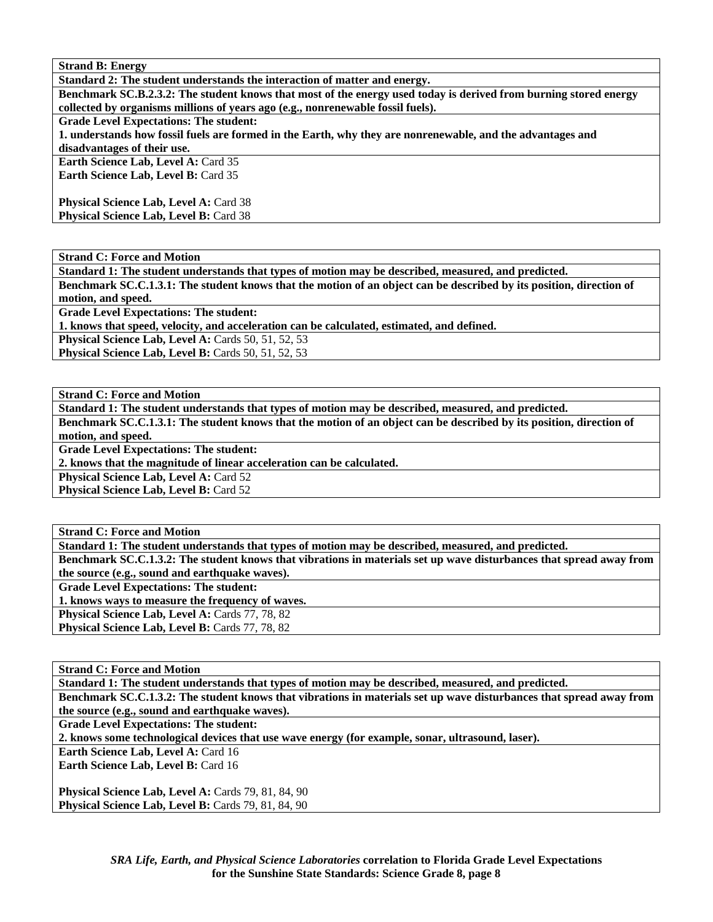**Standard 2: The student understands the interaction of matter and energy.** 

**Benchmark SC.B.2.3.2: The student knows that most of the energy used today is derived from burning stored energy collected by organisms millions of years ago (e.g., nonrenewable fossil fuels).** 

**Grade Level Expectations: The student:** 

**1. understands how fossil fuels are formed in the Earth, why they are nonrenewable, and the advantages and disadvantages of their use.** 

**Earth Science Lab, Level A: Card 35 Earth Science Lab, Level B: Card 35** 

Physical Science Lab, Level A: Card 38 **Physical Science Lab, Level B: Card 38** 

**Strand C: Force and Motion** 

**Standard 1: The student understands that types of motion may be described, measured, and predicted.** 

**Benchmark SC.C.1.3.1: The student knows that the motion of an object can be described by its position, direction of motion, and speed.** 

**Grade Level Expectations: The student:** 

**1. knows that speed, velocity, and acceleration can be calculated, estimated, and defined.** 

**Physical Science Lab, Level A: Cards 50, 51, 52, 53** 

**Physical Science Lab, Level B:** Cards 50, 51, 52, 53

**Strand C: Force and Motion** 

**Standard 1: The student understands that types of motion may be described, measured, and predicted.** 

**Benchmark SC.C.1.3.1: The student knows that the motion of an object can be described by its position, direction of motion, and speed.** 

**Grade Level Expectations: The student:** 

**2. knows that the magnitude of linear acceleration can be calculated.** 

**Physical Science Lab, Level A: Card 52** 

**Physical Science Lab, Level B: Card 52** 

**Strand C: Force and Motion** 

**Standard 1: The student understands that types of motion may be described, measured, and predicted. Benchmark SC.C.1.3.2: The student knows that vibrations in materials set up wave disturbances that spread away from the source (e.g., sound and earthquake waves). Grade Level Expectations: The student:** 

**1. knows ways to measure the frequency of waves.** 

Physical Science Lab, Level A: Cards 77, 78, 82 Physical Science Lab, Level B: Cards 77, 78, 82

**Strand C: Force and Motion** 

**Standard 1: The student understands that types of motion may be described, measured, and predicted. Benchmark SC.C.1.3.2: The student knows that vibrations in materials set up wave disturbances that spread away from** 

**the source (e.g., sound and earthquake waves).** 

**Grade Level Expectations: The student:** 

**2. knows some technological devices that use wave energy (for example, sonar, ultrasound, laser).** 

**Earth Science Lab, Level A: Card 16** 

**Earth Science Lab, Level B: Card 16** 

**Physical Science Lab, Level A: Cards 79, 81, 84, 90** Physical Science Lab, Level B: Cards 79, 81, 84, 90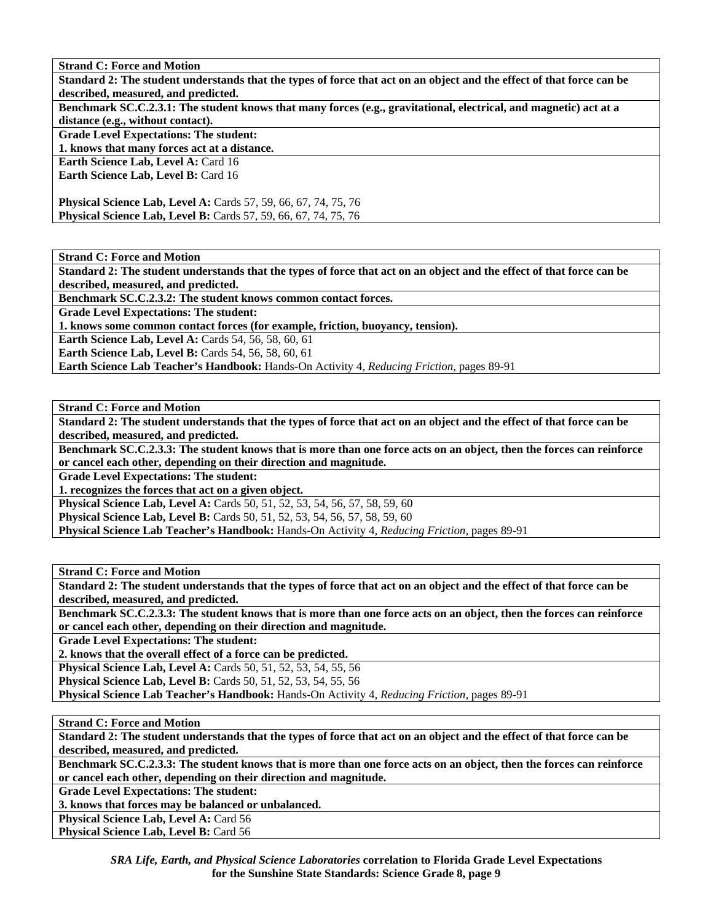**Strand C: Force and Motion** 

**Standard 2: The student understands that the types of force that act on an object and the effect of that force can be described, measured, and predicted. Benchmark SC.C.2.3.1: The student knows that many forces (e.g., gravitational, electrical, and magnetic) act at a distance (e.g., without contact). Grade Level Expectations: The student: 1. knows that many forces act at a distance. Earth Science Lab, Level A: Card 16 Earth Science Lab, Level B: Card 16 Physical Science Lab, Level A:** Cards 57, 59, 66, 67, 74, 75, 76 **Physical Science Lab, Level B:** Cards 57, 59, 66, 67, 74, 75, 76

**Strand C: Force and Motion** 

**Standard 2: The student understands that the types of force that act on an object and the effect of that force can be described, measured, and predicted.** 

**Benchmark SC.C.2.3.2: The student knows common contact forces.** 

**Grade Level Expectations: The student:** 

**1. knows some common contact forces (for example, friction, buoyancy, tension).** 

**Earth Science Lab, Level A: Cards 54, 56, 58, 60, 61** 

**Earth Science Lab, Level B: Cards 54, 56, 58, 60, 61** 

**Earth Science Lab Teacher's Handbook:** Hands-On Activity 4, *Reducing Friction,* pages 89-91

**Strand C: Force and Motion** 

**Standard 2: The student understands that the types of force that act on an object and the effect of that force can be described, measured, and predicted.** 

**Benchmark SC.C.2.3.3: The student knows that is more than one force acts on an object, then the forces can reinforce or cancel each other, depending on their direction and magnitude.** 

**Grade Level Expectations: The student:** 

**1. recognizes the forces that act on a given object.** 

**Physical Science Lab, Level A: Cards 50, 51, 52, 53, 54, 56, 57, 58, 59, 60** 

**Physical Science Lab, Level B:** Cards 50, 51, 52, 53, 54, 56, 57, 58, 59, 60

**Physical Science Lab Teacher's Handbook:** Hands-On Activity 4, *Reducing Friction,* pages 89-91

**Strand C: Force and Motion** 

**Standard 2: The student understands that the types of force that act on an object and the effect of that force can be described, measured, and predicted.** 

**Benchmark SC.C.2.3.3: The student knows that is more than one force acts on an object, then the forces can reinforce or cancel each other, depending on their direction and magnitude.** 

**Grade Level Expectations: The student:** 

**2. knows that the overall effect of a force can be predicted.** 

**Physical Science Lab, Level A:** Cards 50, 51, 52, 53, 54, 55, 56

**Physical Science Lab, Level B:** Cards 50, 51, 52, 53, 54, 55, 56

**Physical Science Lab Teacher's Handbook:** Hands-On Activity 4, *Reducing Friction,* pages 89-91

**Strand C: Force and Motion** 

**Standard 2: The student understands that the types of force that act on an object and the effect of that force can be described, measured, and predicted.** 

**Benchmark SC.C.2.3.3: The student knows that is more than one force acts on an object, then the forces can reinforce or cancel each other, depending on their direction and magnitude.** 

**Grade Level Expectations: The student:** 

**3. knows that forces may be balanced or unbalanced.** 

Physical Science Lab, Level A: Card 56

Physical Science Lab, Level B: Card 56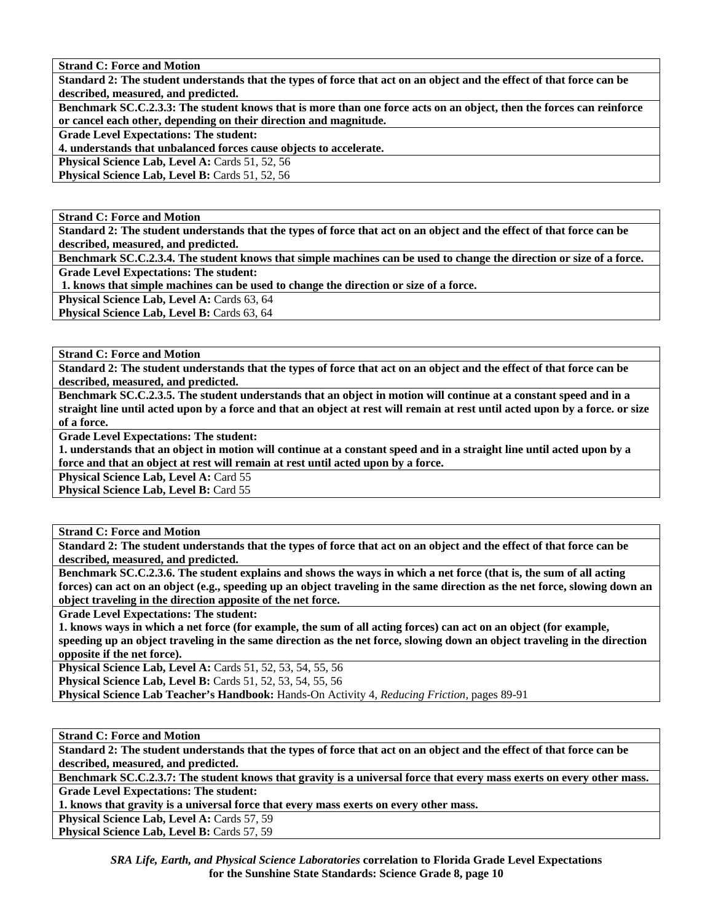**Strand C: Force and Motion** 

**Standard 2: The student understands that the types of force that act on an object and the effect of that force can be described, measured, and predicted.** 

**Benchmark SC.C.2.3.3: The student knows that is more than one force acts on an object, then the forces can reinforce or cancel each other, depending on their direction and magnitude.** 

**Grade Level Expectations: The student:** 

**4. understands that unbalanced forces cause objects to accelerate.** 

**Physical Science Lab, Level A: Cards 51, 52, 56** 

Physical Science Lab, Level B: Cards 51, 52, 56

**Strand C: Force and Motion** 

**Standard 2: The student understands that the types of force that act on an object and the effect of that force can be described, measured, and predicted.** 

**Benchmark SC.C.2.3.4. The student knows that simple machines can be used to change the direction or size of a force. Grade Level Expectations: The student:** 

 **1. knows that simple machines can be used to change the direction or size of a force.** 

Physical Science Lab, Level A: Cards 63, 64

**Physical Science Lab, Level B: Cards 63, 64** 

**Strand C: Force and Motion** 

**Standard 2: The student understands that the types of force that act on an object and the effect of that force can be described, measured, and predicted.** 

**Benchmark SC.C.2.3.5. The student understands that an object in motion will continue at a constant speed and in a straight line until acted upon by a force and that an object at rest will remain at rest until acted upon by a force. or size of a force.** 

**Grade Level Expectations: The student:** 

**1. understands that an object in motion will continue at a constant speed and in a straight line until acted upon by a force and that an object at rest will remain at rest until acted upon by a force.** 

**Physical Science Lab, Level A: Card 55** 

**Physical Science Lab, Level B: Card 55** 

**Strand C: Force and Motion** 

**Standard 2: The student understands that the types of force that act on an object and the effect of that force can be described, measured, and predicted.** 

**Benchmark SC.C.2.3.6. The student explains and shows the ways in which a net force (that is, the sum of all acting forces) can act on an object (e.g., speeding up an object traveling in the same direction as the net force, slowing down an object traveling in the direction apposite of the net force.** 

**Grade Level Expectations: The student:** 

**1. knows ways in which a net force (for example, the sum of all acting forces) can act on an object (for example, speeding up an object traveling in the same direction as the net force, slowing down an object traveling in the direction opposite if the net force).** 

**Physical Science Lab, Level A: Cards 51, 52, 53, 54, 55, 56** 

**Physical Science Lab, Level B:** Cards 51, 52, 53, 54, 55, 56

**Physical Science Lab Teacher's Handbook:** Hands-On Activity 4, *Reducing Friction,* pages 89-91

**Strand C: Force and Motion** 

**Standard 2: The student understands that the types of force that act on an object and the effect of that force can be described, measured, and predicted.** 

**Benchmark SC.C.2.3.7: The student knows that gravity is a universal force that every mass exerts on every other mass. Grade Level Expectations: The student:** 

**1. knows that gravity is a universal force that every mass exerts on every other mass.** 

Physical Science Lab, Level A: Cards 57, 59

Physical Science Lab, Level B: Cards 57, 59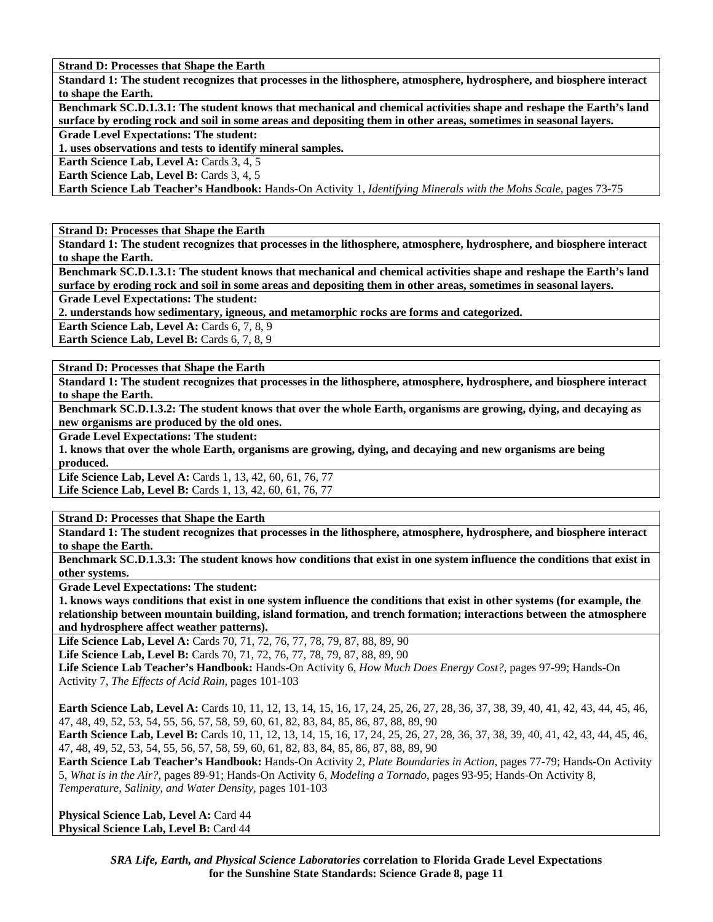**Strand D: Processes that Shape the Earth** 

**Standard 1: The student recognizes that processes in the lithosphere, atmosphere, hydrosphere, and biosphere interact to shape the Earth.** 

**Benchmark SC.D.1.3.1: The student knows that mechanical and chemical activities shape and reshape the Earth's land surface by eroding rock and soil in some areas and depositing them in other areas, sometimes in seasonal layers.** 

**Grade Level Expectations: The student:** 

**1. uses observations and tests to identify mineral samples.** 

**Earth Science Lab, Level A: Cards 3, 4, 5** 

**Earth Science Lab, Level B: Cards 3, 4, 5** 

**Earth Science Lab Teacher's Handbook:** Hands-On Activity 1, *Identifying Minerals with the Mohs Scale,* pages 73-75

**Strand D: Processes that Shape the Earth** 

**Standard 1: The student recognizes that processes in the lithosphere, atmosphere, hydrosphere, and biosphere interact to shape the Earth.** 

**Benchmark SC.D.1.3.1: The student knows that mechanical and chemical activities shape and reshape the Earth's land surface by eroding rock and soil in some areas and depositing them in other areas, sometimes in seasonal layers.** 

**Grade Level Expectations: The student:** 

**2. understands how sedimentary, igneous, and metamorphic rocks are forms and categorized.** 

**Earth Science Lab, Level A: Cards 6, 7, 8, 9** 

Earth Science Lab, Level B: Cards 6, 7, 8, 9

**Strand D: Processes that Shape the Earth** 

**Standard 1: The student recognizes that processes in the lithosphere, atmosphere, hydrosphere, and biosphere interact to shape the Earth.** 

**Benchmark SC.D.1.3.2: The student knows that over the whole Earth, organisms are growing, dying, and decaying as new organisms are produced by the old ones.** 

**Grade Level Expectations: The student:** 

**1. knows that over the whole Earth, organisms are growing, dying, and decaying and new organisms are being produced.** 

Life Science Lab, Level A: Cards 1, 13, 42, 60, 61, 76, 77 Life Science Lab, Level B: Cards 1, 13, 42, 60, 61, 76, 77

**Strand D: Processes that Shape the Earth** 

**Standard 1: The student recognizes that processes in the lithosphere, atmosphere, hydrosphere, and biosphere interact to shape the Earth.** 

**Benchmark SC.D.1.3.3: The student knows how conditions that exist in one system influence the conditions that exist in other systems.** 

**Grade Level Expectations: The student:** 

**1. knows ways conditions that exist in one system influence the conditions that exist in other systems (for example, the relationship between mountain building, island formation, and trench formation; interactions between the atmosphere and hydrosphere affect weather patterns).** 

Life Science Lab, Level A: Cards 70, 71, 72, 76, 77, 78, 79, 87, 88, 89, 90

Life Science Lab, Level B: Cards 70, 71, 72, 76, 77, 78, 79, 87, 88, 89, 90

**Life Science Lab Teacher's Handbook:** Hands-On Activity 6, *How Much Does Energy Cost?,* pages 97-99; Hands-On Activity 7, *The Effects of Acid Rain,* pages 101-103

**Earth Science Lab, Level A:** Cards 10, 11, 12, 13, 14, 15, 16, 17, 24, 25, 26, 27, 28, 36, 37, 38, 39, 40, 41, 42, 43, 44, 45, 46, 47, 48, 49, 52, 53, 54, 55, 56, 57, 58, 59, 60, 61, 82, 83, 84, 85, 86, 87, 88, 89, 90

**Earth Science Lab, Level B:** Cards 10, 11, 12, 13, 14, 15, 16, 17, 24, 25, 26, 27, 28, 36, 37, 38, 39, 40, 41, 42, 43, 44, 45, 46, 47, 48, 49, 52, 53, 54, 55, 56, 57, 58, 59, 60, 61, 82, 83, 84, 85, 86, 87, 88, 89, 90

**Earth Science Lab Teacher's Handbook:** Hands-On Activity 2, *Plate Boundaries in Action,* pages 77-79; Hands-On Activity 5, *What is in the Air?,* pages 89-91; Hands-On Activity 6, *Modeling a Tornado,* pages 93-95; Hands-On Activity 8, *Temperature, Salinity, and Water Density,* pages 101-103

**Physical Science Lab, Level A: Card 44 Physical Science Lab, Level B: Card 44**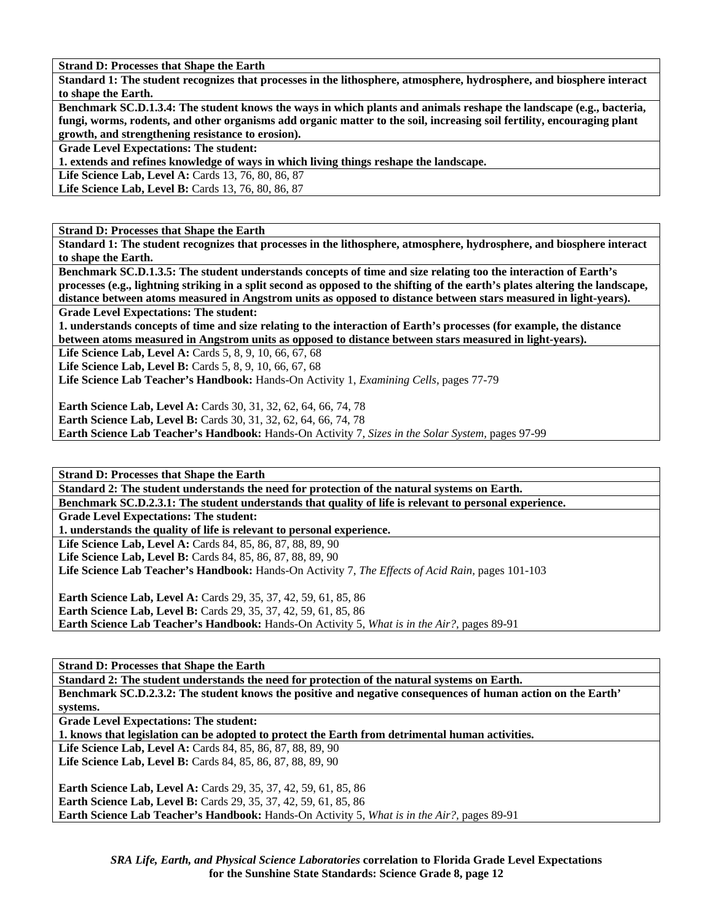**Strand D: Processes that Shape the Earth** 

**Standard 1: The student recognizes that processes in the lithosphere, atmosphere, hydrosphere, and biosphere interact to shape the Earth.** 

**Benchmark SC.D.1.3.4: The student knows the ways in which plants and animals reshape the landscape (e.g., bacteria, fungi, worms, rodents, and other organisms add organic matter to the soil, increasing soil fertility, encouraging plant growth, and strengthening resistance to erosion).** 

**Grade Level Expectations: The student:** 

**1. extends and refines knowledge of ways in which living things reshape the landscape.** 

**Life Science Lab, Level A:** Cards 13, 76, 80, 86, 87

Life Science Lab, Level B: Cards 13, 76, 80, 86, 87

**Strand D: Processes that Shape the Earth** 

**Standard 1: The student recognizes that processes in the lithosphere, atmosphere, hydrosphere, and biosphere interact to shape the Earth.** 

**Benchmark SC.D.1.3.5: The student understands concepts of time and size relating too the interaction of Earth's processes (e.g., lightning striking in a split second as opposed to the shifting of the earth's plates altering the landscape, distance between atoms measured in Angstrom units as opposed to distance between stars measured in light-years). Grade Level Expectations: The student:** 

**1. understands concepts of time and size relating to the interaction of Earth's processes (for example, the distance between atoms measured in Angstrom units as opposed to distance between stars measured in light-years).** 

Life Science Lab, Level A: Cards 5, 8, 9, 10, 66, 67, 68

Life Science Lab, Level B: Cards 5, 8, 9, 10, 66, 67, 68

**Life Science Lab Teacher's Handbook:** Hands-On Activity 1, *Examining Cells,* pages 77-79

**Earth Science Lab, Level A:** Cards 30, 31, 32, 62, 64, 66, 74, 78

**Earth Science Lab, Level B:** Cards 30, 31, 32, 62, 64, 66, 74, 78

**Earth Science Lab Teacher's Handbook:** Hands-On Activity 7, *Sizes in the Solar System,* pages 97-99

**Strand D: Processes that Shape the Earth** 

**Standard 2: The student understands the need for protection of the natural systems on Earth. Benchmark SC.D.2.3.1: The student understands that quality of life is relevant to personal experience. Grade Level Expectations: The student: 1. understands the quality of life is relevant to personal experience. Life Science Lab, Level A:** Cards 84, 85, 86, 87, 88, 89, 90 Life Science Lab, Level B: Cards 84, 85, 86, 87, 88, 89, 90 **Life Science Lab Teacher's Handbook:** Hands-On Activity 7, *The Effects of Acid Rain,* pages 101-103 **Earth Science Lab, Level A:** Cards 29, 35, 37, 42, 59, 61, 85, 86 **Earth Science Lab, Level B:** Cards 29, 35, 37, 42, 59, 61, 85, 86 **Earth Science Lab Teacher's Handbook:** Hands-On Activity 5, *What is in the Air?,* pages 89-91

**Strand D: Processes that Shape the Earth** 

**Standard 2: The student understands the need for protection of the natural systems on Earth. Benchmark SC.D.2.3.2: The student knows the positive and negative consequences of human action on the Earth' systems. Grade Level Expectations: The student: 1. knows that legislation can be adopted to protect the Earth from detrimental human activities.**  Life Science Lab, Level A: Cards 84, 85, 86, 87, 88, 89, 90 Life Science Lab, Level B: Cards 84, 85, 86, 87, 88, 89, 90 **Earth Science Lab, Level A:** Cards 29, 35, 37, 42, 59, 61, 85, 86 **Earth Science Lab, Level B:** Cards 29, 35, 37, 42, 59, 61, 85, 86 **Earth Science Lab Teacher's Handbook:** Hands-On Activity 5, *What is in the Air?,* pages 89-91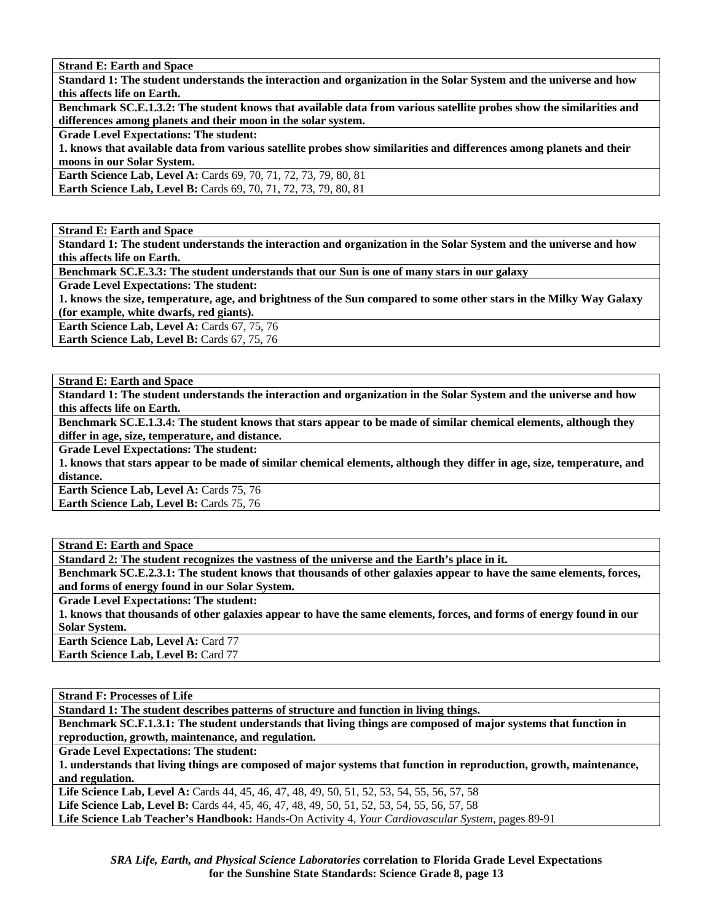**Strand E: Earth and Space** 

**Standard 1: The student understands the interaction and organization in the Solar System and the universe and how this affects life on Earth.** 

**Benchmark SC.E.1.3.2: The student knows that available data from various satellite probes show the similarities and differences among planets and their moon in the solar system.** 

**Grade Level Expectations: The student:** 

**1. knows that available data from various satellite probes show similarities and differences among planets and their moons in our Solar System.** 

**Earth Science Lab, Level A:** Cards 69, 70, 71, 72, 73, 79, 80, 81

**Earth Science Lab, Level B:** Cards 69, 70, 71, 72, 73, 79, 80, 81

**Strand E: Earth and Space** 

**Standard 1: The student understands the interaction and organization in the Solar System and the universe and how this affects life on Earth.** 

**Benchmark SC.E.3.3: The student understands that our Sun is one of many stars in our galaxy** 

**Grade Level Expectations: The student:** 

**1. knows the size, temperature, age, and brightness of the Sun compared to some other stars in the Milky Way Galaxy (for example, white dwarfs, red giants).** 

**Earth Science Lab, Level A: Cards 67, 75, 76** Earth Science Lab, Level B: Cards 67, 75, 76

**Strand E: Earth and Space** 

**Standard 1: The student understands the interaction and organization in the Solar System and the universe and how this affects life on Earth.** 

**Benchmark SC.E.1.3.4: The student knows that stars appear to be made of similar chemical elements, although they differ in age, size, temperature, and distance.** 

**Grade Level Expectations: The student:** 

**1. knows that stars appear to be made of similar chemical elements, although they differ in age, size, temperature, and distance.** 

Earth Science Lab, Level A: Cards 75, 76 **Earth Science Lab, Level B: Cards 75, 76** 

**Strand E: Earth and Space Standard 2: The student recognizes the vastness of the universe and the Earth's place in it.** 

**Benchmark SC.E.2.3.1: The student knows that thousands of other galaxies appear to have the same elements, forces, and forms of energy found in our Solar System.** 

**Grade Level Expectations: The student:** 

**1. knows that thousands of other galaxies appear to have the same elements, forces, and forms of energy found in our Solar System.** 

**Earth Science Lab, Level A:** Card 77 **Earth Science Lab, Level B: Card 77** 

**Strand F: Processes of Life** 

**Standard 1: The student describes patterns of structure and function in living things.** 

**Benchmark SC.F.1.3.1: The student understands that living things are composed of major systems that function in reproduction, growth, maintenance, and regulation.** 

**Grade Level Expectations: The student:** 

**1. understands that living things are composed of major systems that function in reproduction, growth, maintenance, and regulation.** 

**Life Science Lab, Level A:** Cards 44, 45, 46, 47, 48, 49, 50, 51, 52, 53, 54, 55, 56, 57, 58

**Life Science Lab, Level B:** Cards 44, 45, 46, 47, 48, 49, 50, 51, 52, 53, 54, 55, 56, 57, 58

**Life Science Lab Teacher's Handbook:** Hands-On Activity 4, *Your Cardiovascular System,* pages 89-91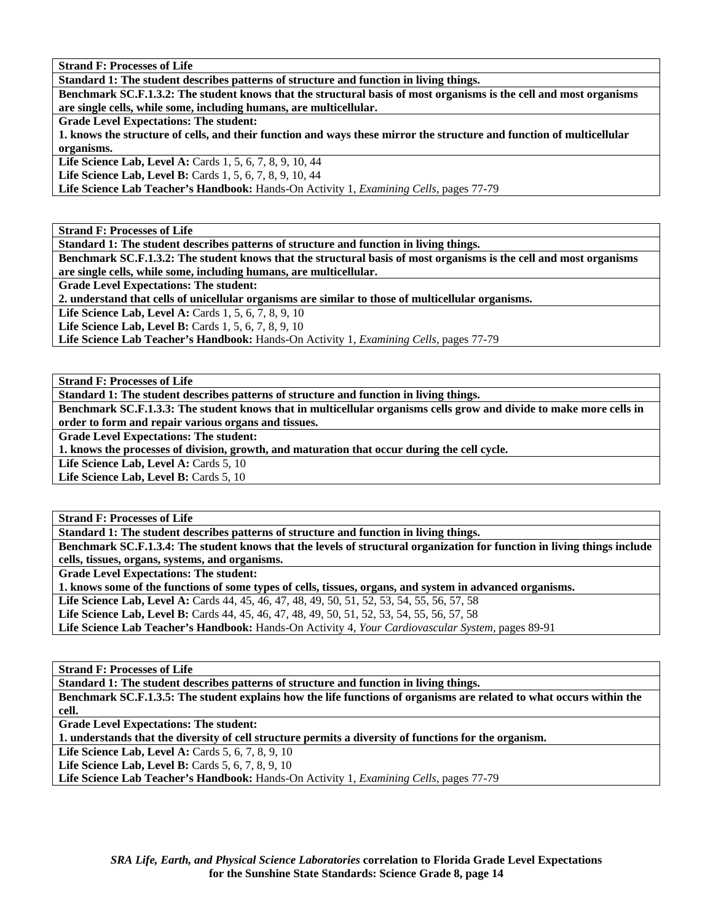**Standard 1: The student describes patterns of structure and function in living things.** 

**Benchmark SC.F.1.3.2: The student knows that the structural basis of most organisms is the cell and most organisms are single cells, while some, including humans, are multicellular.** 

**Grade Level Expectations: The student:** 

**1. knows the structure of cells, and their function and ways these mirror the structure and function of multicellular organisms.** 

**Life Science Lab, Level A: Cards 1, 5, 6, 7, 8, 9, 10, 44** 

**Life Science Lab, Level B:** Cards 1, 5, 6, 7, 8, 9, 10, 44

**Life Science Lab Teacher's Handbook:** Hands-On Activity 1, *Examining Cells,* pages 77-79

**Strand F: Processes of Life** 

**Standard 1: The student describes patterns of structure and function in living things.** 

**Benchmark SC.F.1.3.2: The student knows that the structural basis of most organisms is the cell and most organisms are single cells, while some, including humans, are multicellular.** 

**Grade Level Expectations: The student:** 

**2. understand that cells of unicellular organisms are similar to those of multicellular organisms.** 

**Life Science Lab, Level A: Cards 1, 5, 6, 7, 8, 9, 10** 

**Life Science Lab, Level B:** Cards 1, 5, 6, 7, 8, 9, 10

**Life Science Lab Teacher's Handbook:** Hands-On Activity 1, *Examining Cells,* pages 77-79

**Strand F: Processes of Life** 

**Standard 1: The student describes patterns of structure and function in living things.** 

**Benchmark SC.F.1.3.3: The student knows that in multicellular organisms cells grow and divide to make more cells in order to form and repair various organs and tissues.** 

**Grade Level Expectations: The student:** 

**1. knows the processes of division, growth, and maturation that occur during the cell cycle.** 

Life Science Lab, Level A: Cards 5, 10

Life Science Lab, Level B: Cards 5, 10

**Strand F: Processes of Life** 

**Standard 1: The student describes patterns of structure and function in living things.** 

**Benchmark SC.F.1.3.4: The student knows that the levels of structural organization for function in living things include cells, tissues, organs, systems, and organisms.** 

**Grade Level Expectations: The student:** 

**1. knows some of the functions of some types of cells, tissues, organs, and system in advanced organisms.** 

**Life Science Lab, Level A:** Cards 44, 45, 46, 47, 48, 49, 50, 51, 52, 53, 54, 55, 56, 57, 58

**Life Science Lab, Level B:** Cards 44, 45, 46, 47, 48, 49, 50, 51, 52, 53, 54, 55, 56, 57, 58

**Life Science Lab Teacher's Handbook:** Hands-On Activity 4, *Your Cardiovascular System,* pages 89-91

**Strand F: Processes of Life** 

**Standard 1: The student describes patterns of structure and function in living things. Benchmark SC.F.1.3.5: The student explains how the life functions of organisms are related to what occurs within the cell.** 

**Grade Level Expectations: The student:** 

**1. understands that the diversity of cell structure permits a diversity of functions for the organism.** 

**Life Science Lab, Level A: Cards 5, 6, 7, 8, 9, 10** 

**Life Science Lab, Level B:** Cards 5, 6, 7, 8, 9, 10

**Life Science Lab Teacher's Handbook:** Hands-On Activity 1, *Examining Cells,* pages 77-79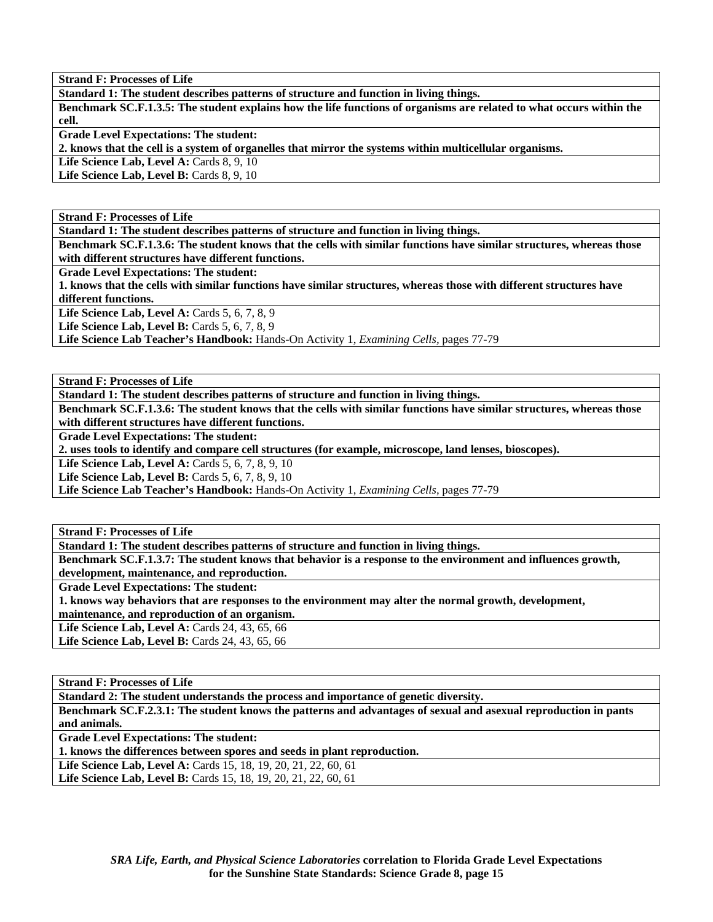**Standard 1: The student describes patterns of structure and function in living things.** 

**Benchmark SC.F.1.3.5: The student explains how the life functions of organisms are related to what occurs within the cell.** 

**Grade Level Expectations: The student:** 

**2. knows that the cell is a system of organelles that mirror the systems within multicellular organisms.** 

Life Science Lab, Level A: Cards 8, 9, 10

Life Science Lab, Level B: Cards 8, 9, 10

**Strand F: Processes of Life** 

**Standard 1: The student describes patterns of structure and function in living things.** 

**Benchmark SC.F.1.3.6: The student knows that the cells with similar functions have similar structures, whereas those with different structures have different functions.** 

**Grade Level Expectations: The student:** 

**1. knows that the cells with similar functions have similar structures, whereas those with different structures have different functions.** 

Life Science Lab, Level A: Cards 5, 6, 7, 8, 9

Life Science Lab, Level B: Cards 5, 6, 7, 8, 9

**Life Science Lab Teacher's Handbook:** Hands-On Activity 1, *Examining Cells,* pages 77-79

**Strand F: Processes of Life** 

**Standard 1: The student describes patterns of structure and function in living things.** 

**Benchmark SC.F.1.3.6: The student knows that the cells with similar functions have similar structures, whereas those with different structures have different functions.** 

**Grade Level Expectations: The student:** 

**2. uses tools to identify and compare cell structures (for example, microscope, land lenses, bioscopes).** 

**Life Science Lab, Level A: Cards 5, 6, 7, 8, 9, 10** 

**Life Science Lab, Level B:** Cards 5, 6, 7, 8, 9, 10

**Life Science Lab Teacher's Handbook:** Hands-On Activity 1, *Examining Cells,* pages 77-79

**Strand F: Processes of Life** 

**Standard 1: The student describes patterns of structure and function in living things.** 

**Benchmark SC.F.1.3.7: The student knows that behavior is a response to the environment and influences growth, development, maintenance, and reproduction.** 

**Grade Level Expectations: The student:** 

**1. knows way behaviors that are responses to the environment may alter the normal growth, development,** 

**maintenance, and reproduction of an organism.** 

Life Science Lab, Level A: Cards 24, 43, 65, 66

Life Science Lab, Level B: Cards 24, 43, 65, 66

**Strand F: Processes of Life** 

**Standard 2: The student understands the process and importance of genetic diversity.** 

**Benchmark SC.F.2.3.1: The student knows the patterns and advantages of sexual and asexual reproduction in pants and animals.** 

**Grade Level Expectations: The student:** 

**1. knows the differences between spores and seeds in plant reproduction.** 

**Life Science Lab, Level A:** Cards 15, 18, 19, 20, 21, 22, 60, 61 **Life Science Lab, Level B:** Cards 15, 18, 19, 20, 21, 22, 60, 61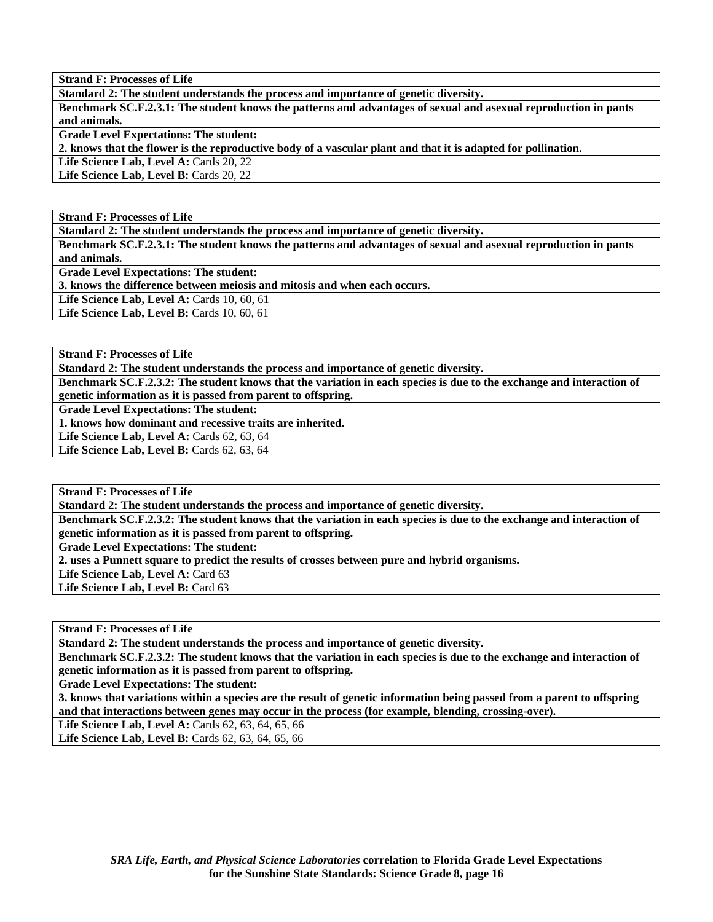**Standard 2: The student understands the process and importance of genetic diversity.** 

**Benchmark SC.F.2.3.1: The student knows the patterns and advantages of sexual and asexual reproduction in pants and animals.** 

**Grade Level Expectations: The student:** 

**2. knows that the flower is the reproductive body of a vascular plant and that it is adapted for pollination.** 

Life Science Lab, Level A: Cards 20, 22

Life Science Lab, Level B: Cards 20, 22

**Strand F: Processes of Life** 

**Standard 2: The student understands the process and importance of genetic diversity.** 

**Benchmark SC.F.2.3.1: The student knows the patterns and advantages of sexual and asexual reproduction in pants and animals.** 

**Grade Level Expectations: The student:** 

**3. knows the difference between meiosis and mitosis and when each occurs.** 

**Life Science Lab, Level A:** Cards 10, 60, 61

**Life Science Lab, Level B: Cards 10, 60, 61** 

**Strand F: Processes of Life** 

**Standard 2: The student understands the process and importance of genetic diversity.** 

**Benchmark SC.F.2.3.2: The student knows that the variation in each species is due to the exchange and interaction of genetic information as it is passed from parent to offspring.** 

**Grade Level Expectations: The student:** 

**1. knows how dominant and recessive traits are inherited.** 

Life Science Lab, Level A: Cards 62, 63, 64

Life Science Lab, Level B: Cards 62, 63, 64

**Strand F: Processes of Life** 

**Standard 2: The student understands the process and importance of genetic diversity.** 

**Benchmark SC.F.2.3.2: The student knows that the variation in each species is due to the exchange and interaction of genetic information as it is passed from parent to offspring.** 

**Grade Level Expectations: The student:** 

**2. uses a Punnett square to predict the results of crosses between pure and hybrid organisms.** 

Life Science Lab, Level A: Card 63

Life Science Lab, Level B: Card 63

**Strand F: Processes of Life** 

**Standard 2: The student understands the process and importance of genetic diversity.** 

**Benchmark SC.F.2.3.2: The student knows that the variation in each species is due to the exchange and interaction of genetic information as it is passed from parent to offspring.** 

**Grade Level Expectations: The student:** 

**3. knows that variations within a species are the result of genetic information being passed from a parent to offspring and that interactions between genes may occur in the process (for example, blending, crossing-over).** 

**Life Science Lab, Level A:** Cards 62, 63, 64, 65, 66

**Life Science Lab, Level B:** Cards 62, 63, 64, 65, 66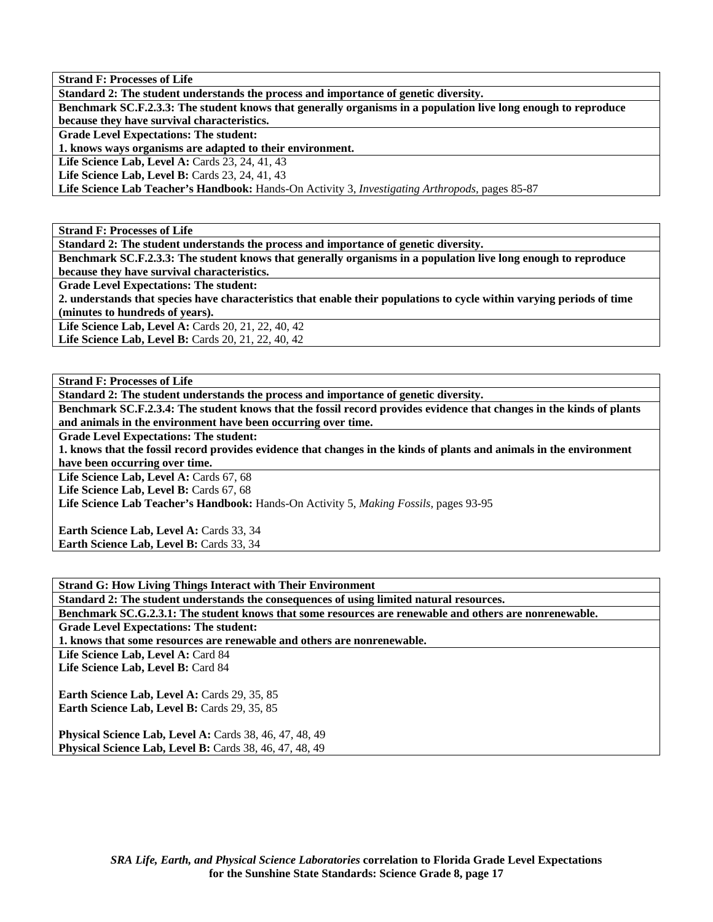**Standard 2: The student understands the process and importance of genetic diversity.** 

**Benchmark SC.F.2.3.3: The student knows that generally organisms in a population live long enough to reproduce because they have survival characteristics.** 

**Grade Level Expectations: The student:** 

**1. knows ways organisms are adapted to their environment.** 

**Life Science Lab, Level A:** Cards 23, 24, 41, 43

**Life Science Lab, Level B:** Cards 23, 24, 41, 43

**Life Science Lab Teacher's Handbook:** Hands-On Activity 3, *Investigating Arthropods,* pages 85-87

**Strand F: Processes of Life** 

**Standard 2: The student understands the process and importance of genetic diversity.** 

**Benchmark SC.F.2.3.3: The student knows that generally organisms in a population live long enough to reproduce because they have survival characteristics.** 

**Grade Level Expectations: The student:** 

**2. understands that species have characteristics that enable their populations to cycle within varying periods of time (minutes to hundreds of years).** 

**Life Science Lab, Level A:** Cards 20, 21, 22, 40, 42 Life Science Lab, Level B: Cards 20, 21, 22, 40, 42

**Strand F: Processes of Life** 

**Standard 2: The student understands the process and importance of genetic diversity.** 

**Benchmark SC.F.2.3.4: The student knows that the fossil record provides evidence that changes in the kinds of plants and animals in the environment have been occurring over time.** 

**Grade Level Expectations: The student:** 

**1. knows that the fossil record provides evidence that changes in the kinds of plants and animals in the environment have been occurring over time.** 

Life Science Lab, Level A: Cards 67, 68

Life Science Lab, Level B: Cards 67, 68

**Life Science Lab Teacher's Handbook:** Hands-On Activity 5, *Making Fossils,* pages 93-95

Earth Science Lab, Level A: Cards 33, 34 **Earth Science Lab, Level B: Cards 33, 34** 

**Strand G: How Living Things Interact with Their Environment** 

**Standard 2: The student understands the consequences of using limited natural resources.** 

**Benchmark SC.G.2.3.1: The student knows that some resources are renewable and others are nonrenewable. Grade Level Expectations: The student:** 

**1. knows that some resources are renewable and others are nonrenewable.** 

Life Science Lab, Level A: Card 84

**Life Science Lab, Level B:** Card 84

Earth Science Lab, Level A: Cards 29, 35, 85 Earth Science Lab, Level B: Cards 29, 35, 85

**Physical Science Lab, Level A: Cards 38, 46, 47, 48, 49 Physical Science Lab, Level B: Cards 38, 46, 47, 48, 49**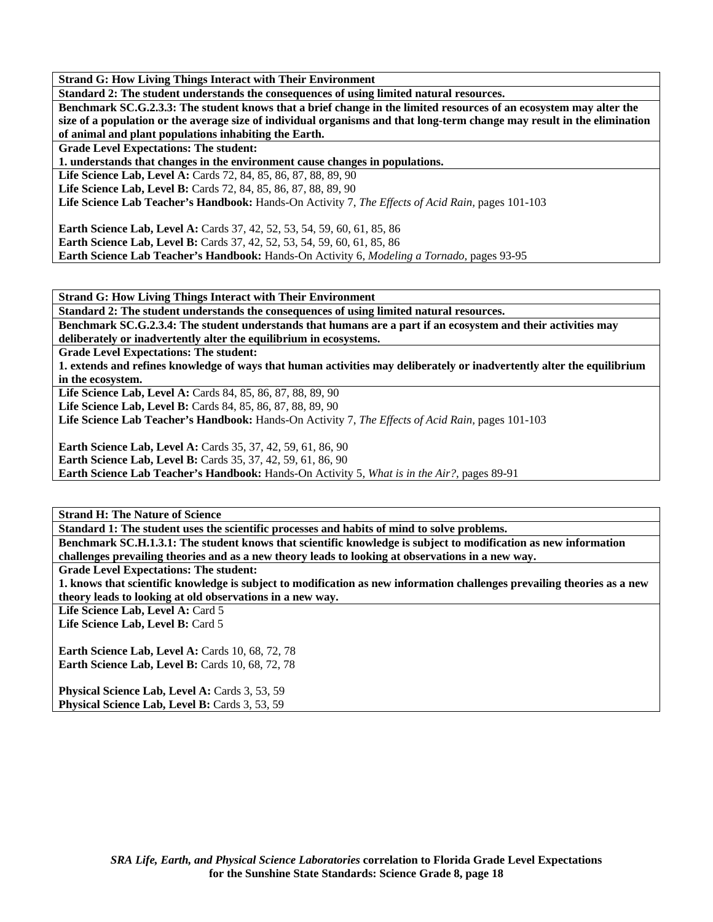**Standard 2: The student understands the consequences of using limited natural resources.** 

**Benchmark SC.G.2.3.3: The student knows that a brief change in the limited resources of an ecosystem may alter the size of a population or the average size of individual organisms and that long-term change may result in the elimination of animal and plant populations inhabiting the Earth.** 

**Grade Level Expectations: The student:** 

**1. understands that changes in the environment cause changes in populations.** 

**Life Science Lab, Level A:** Cards 72, 84, 85, 86, 87, 88, 89, 90

**Life Science Lab, Level B:** Cards 72, 84, 85, 86, 87, 88, 89, 90

**Life Science Lab Teacher's Handbook:** Hands-On Activity 7, *The Effects of Acid Rain,* pages 101-103

**Earth Science Lab, Level A:** Cards 37, 42, 52, 53, 54, 59, 60, 61, 85, 86 **Earth Science Lab, Level B:** Cards 37, 42, 52, 53, 54, 59, 60, 61, 85, 86 **Earth Science Lab Teacher's Handbook:** Hands-On Activity 6, *Modeling a Tornado,* pages 93-95

**Strand G: How Living Things Interact with Their Environment** 

**Standard 2: The student understands the consequences of using limited natural resources.** 

**Benchmark SC.G.2.3.4: The student understands that humans are a part if an ecosystem and their activities may deliberately or inadvertently alter the equilibrium in ecosystems.** 

**Grade Level Expectations: The student:** 

**1. extends and refines knowledge of ways that human activities may deliberately or inadvertently alter the equilibrium in the ecosystem.** 

**Life Science Lab, Level A:** Cards 84, 85, 86, 87, 88, 89, 90

**Life Science Lab, Level B:** Cards 84, 85, 86, 87, 88, 89, 90

**Life Science Lab Teacher's Handbook:** Hands-On Activity 7, *The Effects of Acid Rain,* pages 101-103

**Earth Science Lab, Level A:** Cards 35, 37, 42, 59, 61, 86, 90

**Earth Science Lab, Level B:** Cards 35, 37, 42, 59, 61, 86, 90

**Earth Science Lab Teacher's Handbook:** Hands-On Activity 5, *What is in the Air?,* pages 89-91

**Strand H: The Nature of Science** 

**Standard 1: The student uses the scientific processes and habits of mind to solve problems.** 

**Benchmark SC.H.1.3.1: The student knows that scientific knowledge is subject to modification as new information challenges prevailing theories and as a new theory leads to looking at observations in a new way.** 

**Grade Level Expectations: The student:** 

**1. knows that scientific knowledge is subject to modification as new information challenges prevailing theories as a new theory leads to looking at old observations in a new way.** 

Life Science Lab, Level A: Card 5

Life Science Lab, Level B: Card 5

**Earth Science Lab, Level A: Cards 10, 68, 72, 78 Earth Science Lab, Level B: Cards 10, 68, 72, 78** 

Physical Science Lab, Level A: Cards 3, 53, 59 Physical Science Lab, Level B: Cards 3, 53, 59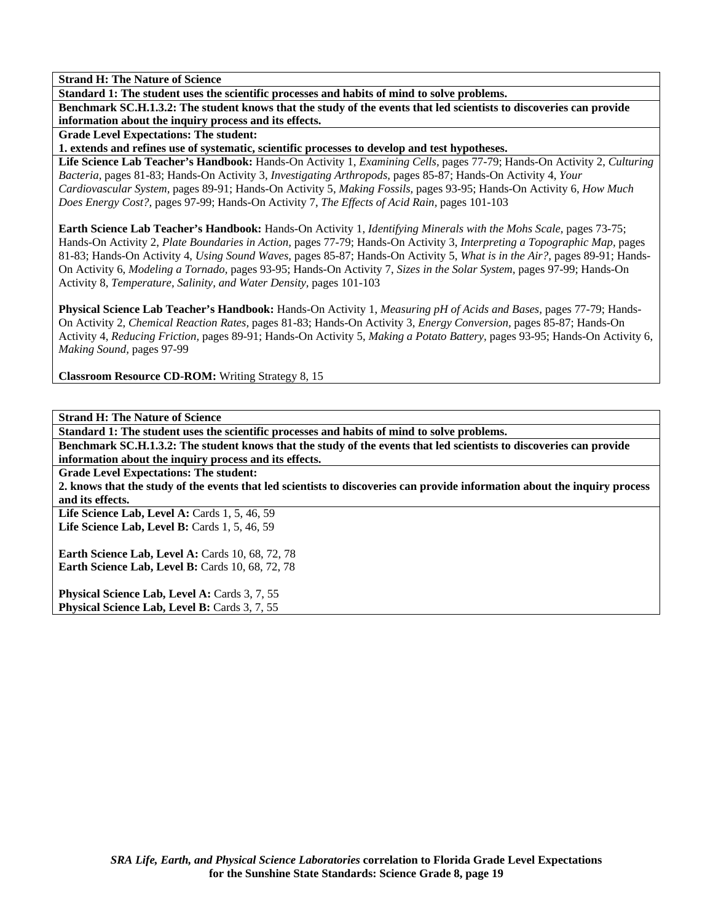**Standard 1: The student uses the scientific processes and habits of mind to solve problems.** 

**Benchmark SC.H.1.3.2: The student knows that the study of the events that led scientists to discoveries can provide information about the inquiry process and its effects.** 

**Grade Level Expectations: The student:** 

**1. extends and refines use of systematic, scientific processes to develop and test hypotheses.** 

**Life Science Lab Teacher's Handbook:** Hands-On Activity 1, *Examining Cells,* pages 77-79; Hands-On Activity 2, *Culturing Bacteria,* pages 81-83; Hands-On Activity 3, *Investigating Arthropods,* pages 85-87; Hands-On Activity 4, *Your Cardiovascular System,* pages 89-91; Hands-On Activity 5, *Making Fossils,* pages 93-95; Hands-On Activity 6, *How Much Does Energy Cost?,* pages 97-99; Hands-On Activity 7, *The Effects of Acid Rain,* pages 101-103

**Earth Science Lab Teacher's Handbook:** Hands-On Activity 1, *Identifying Minerals with the Mohs Scale,* pages 73-75; Hands-On Activity 2, *Plate Boundaries in Action,* pages 77-79; Hands-On Activity 3, *Interpreting a Topographic Map,* pages 81-83; Hands-On Activity 4, *Using Sound Waves,* pages 85-87; Hands-On Activity 5, *What is in the Air?,* pages 89-91; Hands-On Activity 6, *Modeling a Tornado,* pages 93-95; Hands-On Activity 7, *Sizes in the Solar System,* pages 97-99; Hands-On Activity 8, *Temperature, Salinity, and Water Density,* pages 101-103

**Physical Science Lab Teacher's Handbook:** Hands-On Activity 1, *Measuring pH of Acids and Bases,* pages 77-79; Hands-On Activity 2, *Chemical Reaction Rates,* pages 81-83; Hands-On Activity 3, *Energy Conversion,* pages 85-87; Hands-On Activity 4, *Reducing Friction,* pages 89-91; Hands-On Activity 5, *Making a Potato Battery,* pages 93-95; Hands-On Activity 6, *Making Sound,* pages 97-99

**Classroom Resource CD-ROM:** Writing Strategy 8, 15

**Strand H: The Nature of Science** 

**Standard 1: The student uses the scientific processes and habits of mind to solve problems.** 

**Benchmark SC.H.1.3.2: The student knows that the study of the events that led scientists to discoveries can provide information about the inquiry process and its effects.** 

**Grade Level Expectations: The student:** 

**2. knows that the study of the events that led scientists to discoveries can provide information about the inquiry process and its effects.** 

Life Science Lab, Level A: Cards 1, 5, 46, 59 **Life Science Lab, Level B:** Cards 1, 5, 46, 59

**Earth Science Lab, Level A: Cards 10, 68, 72, 78 Earth Science Lab, Level B: Cards 10, 68, 72, 78** 

Physical Science Lab, Level A: Cards 3, 7, 55 **Physical Science Lab, Level B: Cards 3, 7, 55**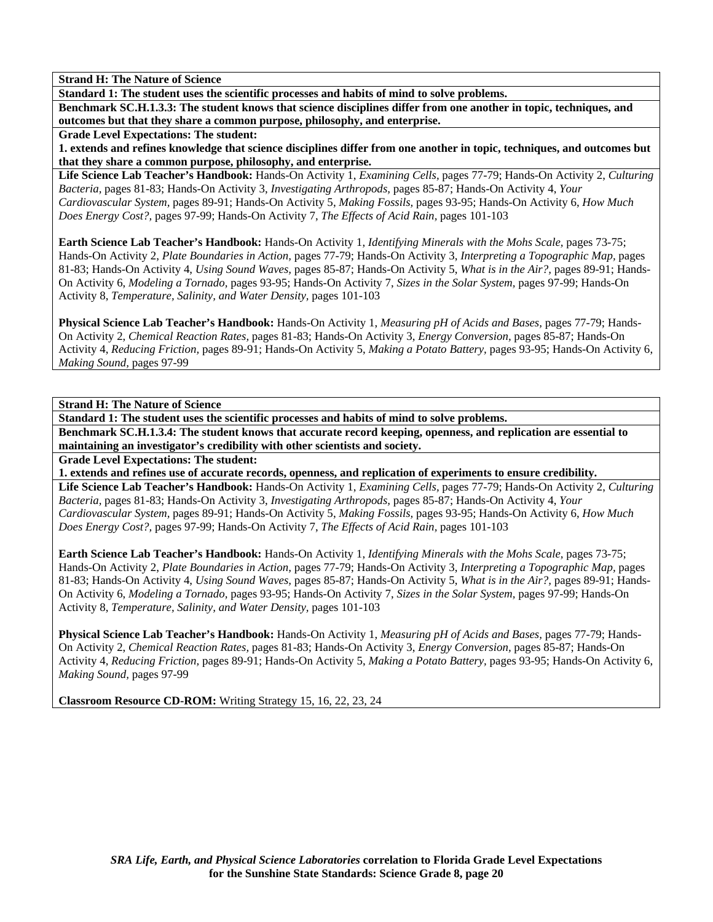**Standard 1: The student uses the scientific processes and habits of mind to solve problems.** 

**Benchmark SC.H.1.3.3: The student knows that science disciplines differ from one another in topic, techniques, and outcomes but that they share a common purpose, philosophy, and enterprise.** 

**Grade Level Expectations: The student:** 

**1. extends and refines knowledge that science disciplines differ from one another in topic, techniques, and outcomes but that they share a common purpose, philosophy, and enterprise.** 

**Life Science Lab Teacher's Handbook:** Hands-On Activity 1, *Examining Cells,* pages 77-79; Hands-On Activity 2, *Culturing Bacteria,* pages 81-83; Hands-On Activity 3, *Investigating Arthropods,* pages 85-87; Hands-On Activity 4, *Your Cardiovascular System,* pages 89-91; Hands-On Activity 5, *Making Fossils,* pages 93-95; Hands-On Activity 6, *How Much Does Energy Cost?,* pages 97-99; Hands-On Activity 7, *The Effects of Acid Rain,* pages 101-103

**Earth Science Lab Teacher's Handbook:** Hands-On Activity 1, *Identifying Minerals with the Mohs Scale,* pages 73-75; Hands-On Activity 2, *Plate Boundaries in Action,* pages 77-79; Hands-On Activity 3, *Interpreting a Topographic Map,* pages 81-83; Hands-On Activity 4, *Using Sound Waves,* pages 85-87; Hands-On Activity 5, *What is in the Air?,* pages 89-91; Hands-On Activity 6, *Modeling a Tornado,* pages 93-95; Hands-On Activity 7, *Sizes in the Solar System,* pages 97-99; Hands-On Activity 8, *Temperature, Salinity, and Water Density,* pages 101-103

**Physical Science Lab Teacher's Handbook:** Hands-On Activity 1, *Measuring pH of Acids and Bases,* pages 77-79; Hands-On Activity 2, *Chemical Reaction Rates,* pages 81-83; Hands-On Activity 3, *Energy Conversion,* pages 85-87; Hands-On Activity 4, *Reducing Friction,* pages 89-91; Hands-On Activity 5, *Making a Potato Battery,* pages 93-95; Hands-On Activity 6, *Making Sound,* pages 97-99

**Strand H: The Nature of Science** 

**Standard 1: The student uses the scientific processes and habits of mind to solve problems.** 

**Benchmark SC.H.1.3.4: The student knows that accurate record keeping, openness, and replication are essential to maintaining an investigator's credibility with other scientists and society.** 

**Grade Level Expectations: The student:** 

**1. extends and refines use of accurate records, openness, and replication of experiments to ensure credibility.** 

**Life Science Lab Teacher's Handbook:** Hands-On Activity 1, *Examining Cells,* pages 77-79; Hands-On Activity 2, *Culturing Bacteria,* pages 81-83; Hands-On Activity 3, *Investigating Arthropods,* pages 85-87; Hands-On Activity 4, *Your Cardiovascular System,* pages 89-91; Hands-On Activity 5, *Making Fossils,* pages 93-95; Hands-On Activity 6, *How Much Does Energy Cost?,* pages 97-99; Hands-On Activity 7, *The Effects of Acid Rain,* pages 101-103

**Earth Science Lab Teacher's Handbook:** Hands-On Activity 1, *Identifying Minerals with the Mohs Scale,* pages 73-75; Hands-On Activity 2, *Plate Boundaries in Action,* pages 77-79; Hands-On Activity 3, *Interpreting a Topographic Map,* pages 81-83; Hands-On Activity 4, *Using Sound Waves,* pages 85-87; Hands-On Activity 5, *What is in the Air?,* pages 89-91; Hands-On Activity 6, *Modeling a Tornado,* pages 93-95; Hands-On Activity 7, *Sizes in the Solar System,* pages 97-99; Hands-On Activity 8, *Temperature, Salinity, and Water Density,* pages 101-103

**Physical Science Lab Teacher's Handbook:** Hands-On Activity 1, *Measuring pH of Acids and Bases,* pages 77-79; Hands-On Activity 2, *Chemical Reaction Rates,* pages 81-83; Hands-On Activity 3, *Energy Conversion,* pages 85-87; Hands-On Activity 4, *Reducing Friction,* pages 89-91; Hands-On Activity 5, *Making a Potato Battery,* pages 93-95; Hands-On Activity 6, *Making Sound,* pages 97-99

**Classroom Resource CD-ROM:** Writing Strategy 15, 16, 22, 23, 24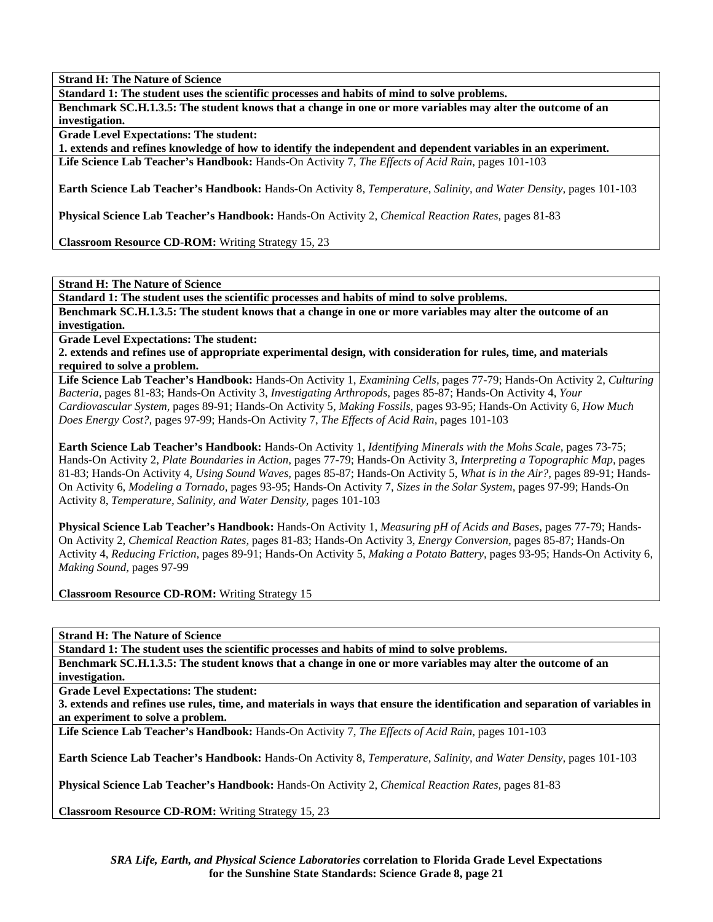**Standard 1: The student uses the scientific processes and habits of mind to solve problems.** 

**Benchmark SC.H.1.3.5: The student knows that a change in one or more variables may alter the outcome of an investigation.** 

**Grade Level Expectations: The student:** 

**1. extends and refines knowledge of how to identify the independent and dependent variables in an experiment.** 

**Life Science Lab Teacher's Handbook:** Hands-On Activity 7, *The Effects of Acid Rain,* pages 101-103

**Earth Science Lab Teacher's Handbook:** Hands-On Activity 8, *Temperature, Salinity, and Water Density,* pages 101-103

**Physical Science Lab Teacher's Handbook:** Hands-On Activity 2, *Chemical Reaction Rates,* pages 81-83

**Classroom Resource CD-ROM:** Writing Strategy 15, 23

**Strand H: The Nature of Science** 

**Standard 1: The student uses the scientific processes and habits of mind to solve problems.** 

**Benchmark SC.H.1.3.5: The student knows that a change in one or more variables may alter the outcome of an investigation.** 

**Grade Level Expectations: The student:** 

**2. extends and refines use of appropriate experimental design, with consideration for rules, time, and materials required to solve a problem.** 

**Life Science Lab Teacher's Handbook:** Hands-On Activity 1, *Examining Cells,* pages 77-79; Hands-On Activity 2, *Culturing Bacteria,* pages 81-83; Hands-On Activity 3, *Investigating Arthropods,* pages 85-87; Hands-On Activity 4, *Your Cardiovascular System,* pages 89-91; Hands-On Activity 5, *Making Fossils,* pages 93-95; Hands-On Activity 6, *How Much Does Energy Cost?,* pages 97-99; Hands-On Activity 7, *The Effects of Acid Rain,* pages 101-103

**Earth Science Lab Teacher's Handbook:** Hands-On Activity 1, *Identifying Minerals with the Mohs Scale,* pages 73-75; Hands-On Activity 2, *Plate Boundaries in Action,* pages 77-79; Hands-On Activity 3, *Interpreting a Topographic Map,* pages 81-83; Hands-On Activity 4, *Using Sound Waves,* pages 85-87; Hands-On Activity 5, *What is in the Air?,* pages 89-91; Hands-On Activity 6, *Modeling a Tornado,* pages 93-95; Hands-On Activity 7, *Sizes in the Solar System,* pages 97-99; Hands-On Activity 8, *Temperature, Salinity, and Water Density,* pages 101-103

**Physical Science Lab Teacher's Handbook:** Hands-On Activity 1, *Measuring pH of Acids and Bases,* pages 77-79; Hands-On Activity 2, *Chemical Reaction Rates,* pages 81-83; Hands-On Activity 3, *Energy Conversion,* pages 85-87; Hands-On Activity 4, *Reducing Friction,* pages 89-91; Hands-On Activity 5, *Making a Potato Battery,* pages 93-95; Hands-On Activity 6, *Making Sound,* pages 97-99

**Classroom Resource CD-ROM:** Writing Strategy 15

**Strand H: The Nature of Science** 

**Standard 1: The student uses the scientific processes and habits of mind to solve problems.** 

**Benchmark SC.H.1.3.5: The student knows that a change in one or more variables may alter the outcome of an investigation.** 

**Grade Level Expectations: The student:** 

**3. extends and refines use rules, time, and materials in ways that ensure the identification and separation of variables in an experiment to solve a problem.** 

**Life Science Lab Teacher's Handbook:** Hands-On Activity 7, *The Effects of Acid Rain,* pages 101-103

**Earth Science Lab Teacher's Handbook:** Hands-On Activity 8, *Temperature, Salinity, and Water Density,* pages 101-103

**Physical Science Lab Teacher's Handbook:** Hands-On Activity 2, *Chemical Reaction Rates,* pages 81-83

**Classroom Resource CD-ROM:** Writing Strategy 15, 23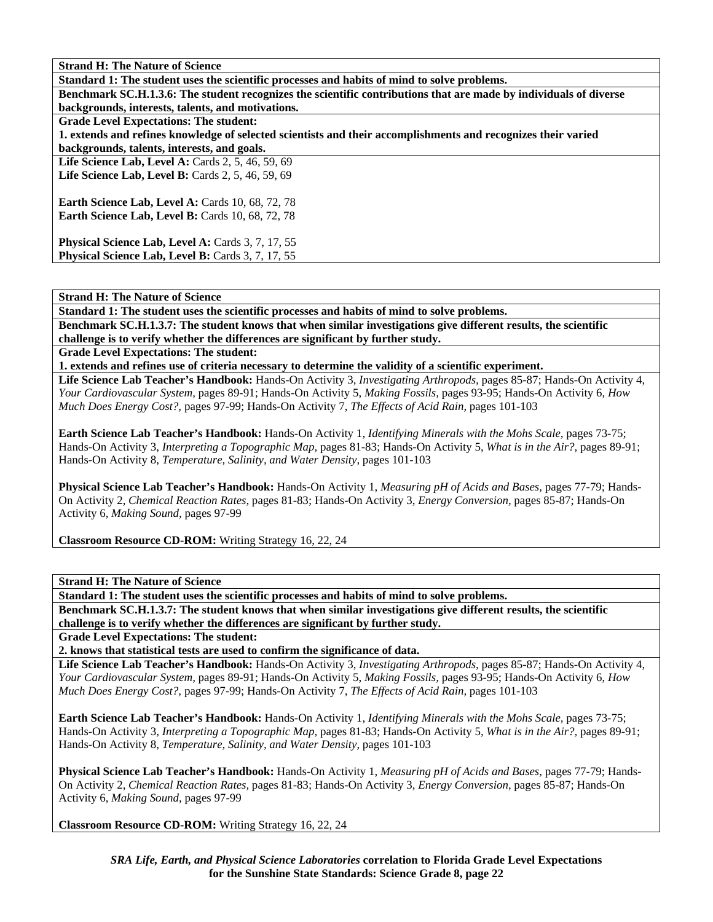| <b>Strand H: The Nature of Science</b>                                                                             |
|--------------------------------------------------------------------------------------------------------------------|
| Standard 1: The student uses the scientific processes and habits of mind to solve problems.                        |
| Benchmark SC.H.1.3.6: The student recognizes the scientific contributions that are made by individuals of diverse  |
| backgrounds, interests, talents, and motivations.                                                                  |
| <b>Grade Level Expectations: The student:</b>                                                                      |
| 1. extends and refines knowledge of selected scientists and their accomplishments and recognizes their varied      |
| backgrounds, talents, interests, and goals.                                                                        |
| Life Science Lab, Level A: Cards $2, 5, 46, 59, 69$                                                                |
| Life Science Lab, Level B: Cards 2, 5, 46, 59, 69                                                                  |
| <b>Earth Science Lab, Level A: Cards 10, 68, 72, 78</b><br><b>Earth Science Lab, Level B:</b> Cards 10, 68, 72, 78 |
| Physical Science Lab, Level A: Cards 3, 7, 17, 55                                                                  |
| <b>Physical Science Lab, Level B:</b> Cards 3, 7, 17, 55                                                           |

**Standard 1: The student uses the scientific processes and habits of mind to solve problems.** 

**Benchmark SC.H.1.3.7: The student knows that when similar investigations give different results, the scientific challenge is to verify whether the differences are significant by further study.** 

**Grade Level Expectations: The student:** 

**1. extends and refines use of criteria necessary to determine the validity of a scientific experiment.** 

**Life Science Lab Teacher's Handbook:** Hands-On Activity 3, *Investigating Arthropods,* pages 85-87; Hands-On Activity 4, *Your Cardiovascular System,* pages 89-91; Hands-On Activity 5, *Making Fossils,* pages 93-95; Hands-On Activity 6, *How Much Does Energy Cost?,* pages 97-99; Hands-On Activity 7, *The Effects of Acid Rain,* pages 101-103

**Earth Science Lab Teacher's Handbook:** Hands-On Activity 1, *Identifying Minerals with the Mohs Scale,* pages 73-75; Hands-On Activity 3, *Interpreting a Topographic Map,* pages 81-83; Hands-On Activity 5, *What is in the Air?,* pages 89-91; Hands-On Activity 8, *Temperature, Salinity, and Water Density,* pages 101-103

**Physical Science Lab Teacher's Handbook:** Hands-On Activity 1, *Measuring pH of Acids and Bases,* pages 77-79; Hands-On Activity 2, *Chemical Reaction Rates,* pages 81-83; Hands-On Activity 3, *Energy Conversion,* pages 85-87; Hands-On Activity 6, *Making Sound,* pages 97-99

**Classroom Resource CD-ROM:** Writing Strategy 16, 22, 24

**Strand H: The Nature of Science** 

**Standard 1: The student uses the scientific processes and habits of mind to solve problems.** 

**Benchmark SC.H.1.3.7: The student knows that when similar investigations give different results, the scientific challenge is to verify whether the differences are significant by further study.** 

**Grade Level Expectations: The student:** 

**2. knows that statistical tests are used to confirm the significance of data.** 

**Life Science Lab Teacher's Handbook:** Hands-On Activity 3, *Investigating Arthropods,* pages 85-87; Hands-On Activity 4, *Your Cardiovascular System,* pages 89-91; Hands-On Activity 5, *Making Fossils,* pages 93-95; Hands-On Activity 6, *How Much Does Energy Cost?,* pages 97-99; Hands-On Activity 7, *The Effects of Acid Rain,* pages 101-103

**Earth Science Lab Teacher's Handbook:** Hands-On Activity 1, *Identifying Minerals with the Mohs Scale,* pages 73-75; Hands-On Activity 3, *Interpreting a Topographic Map,* pages 81-83; Hands-On Activity 5, *What is in the Air?,* pages 89-91; Hands-On Activity 8, *Temperature, Salinity, and Water Density,* pages 101-103

**Physical Science Lab Teacher's Handbook:** Hands-On Activity 1, *Measuring pH of Acids and Bases,* pages 77-79; Hands-On Activity 2, *Chemical Reaction Rates,* pages 81-83; Hands-On Activity 3, *Energy Conversion,* pages 85-87; Hands-On Activity 6, *Making Sound,* pages 97-99

**Classroom Resource CD-ROM:** Writing Strategy 16, 22, 24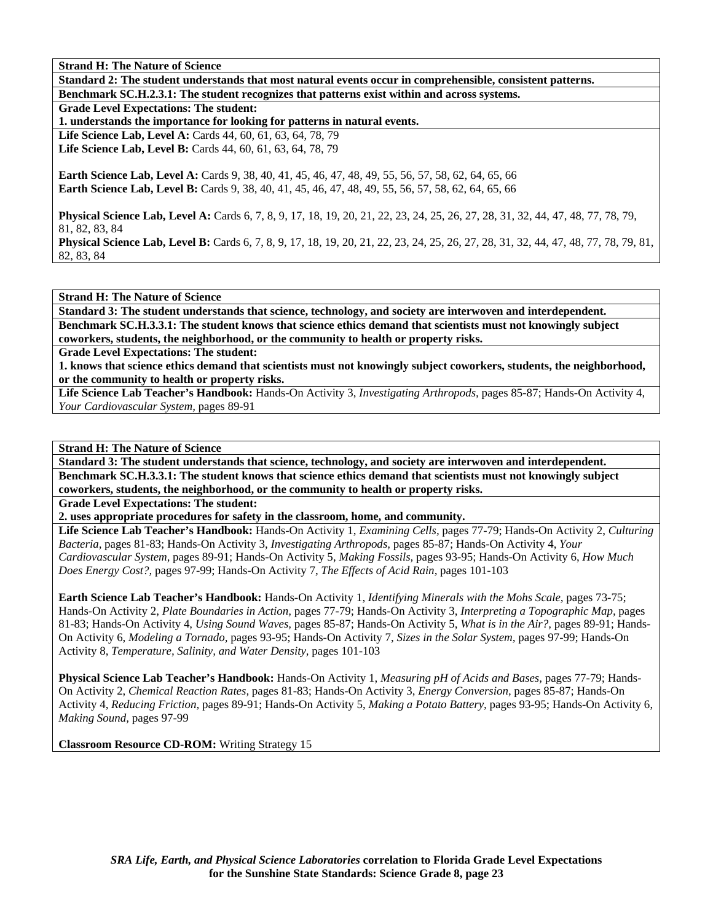| <b>Strand H: The Nature of Science</b>                                                                                                      |
|---------------------------------------------------------------------------------------------------------------------------------------------|
| Standard 2: The student understands that most natural events occur in comprehensible, consistent patterns.                                  |
| Benchmark SC.H.2.3.1: The student recognizes that patterns exist within and across systems.                                                 |
| <b>Grade Level Expectations: The student:</b>                                                                                               |
| 1. understands the importance for looking for patterns in natural events.                                                                   |
| <b>Life Science Lab, Level A: Cards 44, 60, 61, 63, 64, 78, 79</b>                                                                          |
| <b>Life Science Lab, Level B:</b> Cards 44, 60, 61, 63, 64, 78, 79                                                                          |
|                                                                                                                                             |
| <b>Earth Science Lab, Level A:</b> Cards 9, 38, 40, 41, 45, 46, 47, 48, 49, 55, 56, 57, 58, 62, 64, 65, 66                                  |
| <b>Earth Science Lab, Level B:</b> Cards 9, 38, 40, 41, 45, 46, 47, 48, 49, 55, 56, 57, 58, 62, 64, 65, 66                                  |
|                                                                                                                                             |
| Physical Science Lab, Level A: Cards 6, 7, 8, 9, 17, 18, 19, 20, 21, 22, 23, 24, 25, 26, 27, 28, 31, 32, 44, 47, 48, 77, 78, 79,            |
| 81, 82, 83, 84                                                                                                                              |
| <b>Physical Science Lab, Level B:</b> Cards 6, 7, 8, 9, 17, 18, 19, 20, 21, 22, 23, 24, 25, 26, 27, 28, 31, 32, 44, 47, 48, 77, 78, 79, 81, |
| 82, 83, 84                                                                                                                                  |

**Standard 3: The student understands that science, technology, and society are interwoven and interdependent. Benchmark SC.H.3.3.1: The student knows that science ethics demand that scientists must not knowingly subject coworkers, students, the neighborhood, or the community to health or property risks.** 

**Grade Level Expectations: The student:** 

**1. knows that science ethics demand that scientists must not knowingly subject coworkers, students, the neighborhood, or the community to health or property risks.** 

**Life Science Lab Teacher's Handbook:** Hands-On Activity 3, *Investigating Arthropods,* pages 85-87; Hands-On Activity 4, *Your Cardiovascular System,* pages 89-91

## **Strand H: The Nature of Science**

**Standard 3: The student understands that science, technology, and society are interwoven and interdependent. Benchmark SC.H.3.3.1: The student knows that science ethics demand that scientists must not knowingly subject coworkers, students, the neighborhood, or the community to health or property risks.** 

**Grade Level Expectations: The student:** 

**2. uses appropriate procedures for safety in the classroom, home, and community.** 

**Life Science Lab Teacher's Handbook:** Hands-On Activity 1, *Examining Cells,* pages 77-79; Hands-On Activity 2, *Culturing Bacteria,* pages 81-83; Hands-On Activity 3, *Investigating Arthropods,* pages 85-87; Hands-On Activity 4, *Your Cardiovascular System,* pages 89-91; Hands-On Activity 5, *Making Fossils,* pages 93-95; Hands-On Activity 6, *How Much Does Energy Cost?,* pages 97-99; Hands-On Activity 7, *The Effects of Acid Rain,* pages 101-103

**Earth Science Lab Teacher's Handbook:** Hands-On Activity 1, *Identifying Minerals with the Mohs Scale,* pages 73-75; Hands-On Activity 2, *Plate Boundaries in Action,* pages 77-79; Hands-On Activity 3, *Interpreting a Topographic Map,* pages 81-83; Hands-On Activity 4, *Using Sound Waves,* pages 85-87; Hands-On Activity 5, *What is in the Air?,* pages 89-91; Hands-On Activity 6, *Modeling a Tornado,* pages 93-95; Hands-On Activity 7, *Sizes in the Solar System,* pages 97-99; Hands-On Activity 8, *Temperature, Salinity, and Water Density,* pages 101-103

**Physical Science Lab Teacher's Handbook:** Hands-On Activity 1, *Measuring pH of Acids and Bases,* pages 77-79; Hands-On Activity 2, *Chemical Reaction Rates,* pages 81-83; Hands-On Activity 3, *Energy Conversion,* pages 85-87; Hands-On Activity 4, *Reducing Friction,* pages 89-91; Hands-On Activity 5, *Making a Potato Battery,* pages 93-95; Hands-On Activity 6, *Making Sound,* pages 97-99

**Classroom Resource CD-ROM:** Writing Strategy 15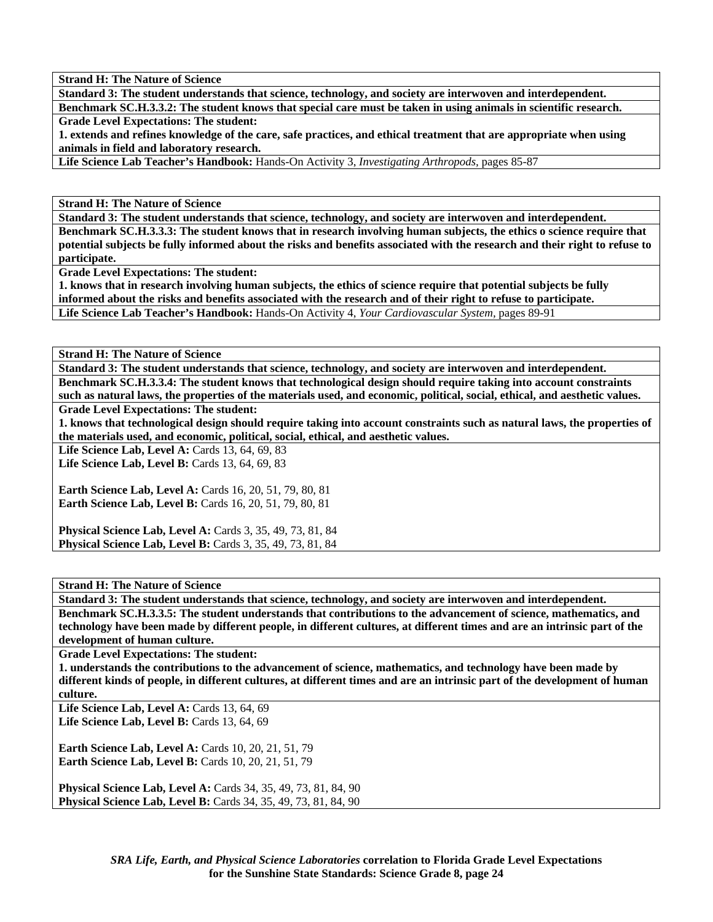**Strand H: The Nature of Science** 

**Standard 3: The student understands that science, technology, and society are interwoven and interdependent.** 

**Benchmark SC.H.3.3.2: The student knows that special care must be taken in using animals in scientific research. Grade Level Expectations: The student:** 

**1. extends and refines knowledge of the care, safe practices, and ethical treatment that are appropriate when using animals in field and laboratory research.** 

**Life Science Lab Teacher's Handbook:** Hands-On Activity 3, *Investigating Arthropods,* pages 85-87

**Strand H: The Nature of Science** 

**Standard 3: The student understands that science, technology, and society are interwoven and interdependent. Benchmark SC.H.3.3.3: The student knows that in research involving human subjects, the ethics o science require that potential subjects be fully informed about the risks and benefits associated with the research and their right to refuse to participate.** 

**Grade Level Expectations: The student:** 

**1. knows that in research involving human subjects, the ethics of science require that potential subjects be fully informed about the risks and benefits associated with the research and of their right to refuse to participate. Life Science Lab Teacher's Handbook:** Hands-On Activity 4, *Your Cardiovascular System,* pages 89-91

**Strand H: The Nature of Science** 

**Standard 3: The student understands that science, technology, and society are interwoven and interdependent. Benchmark SC.H.3.3.4: The student knows that technological design should require taking into account constraints** 

**such as natural laws, the properties of the materials used, and economic, political, social, ethical, and aesthetic values. Grade Level Expectations: The student:** 

**1. knows that technological design should require taking into account constraints such as natural laws, the properties of the materials used, and economic, political, social, ethical, and aesthetic values.** 

Life Science Lab, Level A: Cards 13, 64, 69, 83 **Life Science Lab, Level B: Cards 13, 64, 69, 83** 

**Earth Science Lab, Level A: Cards 16, 20, 51, 79, 80, 81 Earth Science Lab, Level B:** Cards 16, 20, 51, 79, 80, 81

**Physical Science Lab, Level A: Cards 3, 35, 49, 73, 81, 84 Physical Science Lab, Level B:** Cards 3, 35, 49, 73, 81, 84

## **Strand H: The Nature of Science**

**Standard 3: The student understands that science, technology, and society are interwoven and interdependent. Benchmark SC.H.3.3.5: The student understands that contributions to the advancement of science, mathematics, and technology have been made by different people, in different cultures, at different times and are an intrinsic part of the development of human culture.** 

**Grade Level Expectations: The student:** 

**1. understands the contributions to the advancement of science, mathematics, and technology have been made by different kinds of people, in different cultures, at different times and are an intrinsic part of the development of human culture.** 

**Life Science Lab, Level A: Cards 13, 64, 69 Life Science Lab, Level B:** Cards 13, 64, 69

**Earth Science Lab, Level A: Cards 10, 20, 21, 51, 79 Earth Science Lab, Level B: Cards 10, 20, 21, 51, 79** 

**Physical Science Lab, Level A:** Cards 34, 35, 49, 73, 81, 84, 90 **Physical Science Lab, Level B:** Cards 34, 35, 49, 73, 81, 84, 90